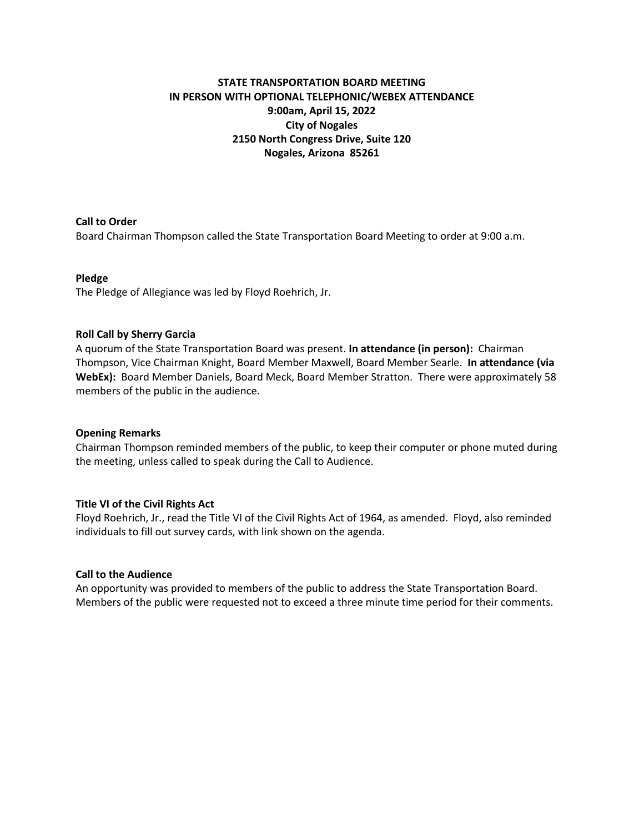## **STATE TRANSPORTATION BOARD MEETING IN PERSON WITH OPTIONAL TELEPHONIC/WEBEX ATTENDANCE 9:00am, April 15, 2022 City of Nogales 2150 North Congress Drive, Suite 120 Nogales, Arizona 85261**

## **Call to Order**

Board Chairman Thompson called the State Transportation Board Meeting to order at 9:00 a.m.

## **Pledge**

The Pledge of Allegiance was led by Floyd Roehrich, Jr.

## **Roll Call by Sherry Garcia**

A quorum of the State Transportation Board was present. **In attendance (in person):** Chairman Thompson, Vice Chairman Knight, Board Member Maxwell, Board Member Searle. **In attendance (via WebEx):** Board Member Daniels, Board Meck, Board Member Stratton. There were approximately 58 members of the public in the audience.

#### **Opening Remarks**

Chairman Thompson reminded members of the public, to keep their computer or phone muted during the meeting, unless called to speak during the Call to Audience.

## **Title VI of the Civil Rights Act**

Floyd Roehrich, Jr., read the Title VI of the Civil Rights Act of 1964, as amended. Floyd, also reminded individuals to fill out survey cards, with link shown on the agenda.

#### **Call to the Audience**

An opportunity was provided to members of the public to address the State Transportation Board. Members of the public were requested not to exceed a three minute time period for their comments.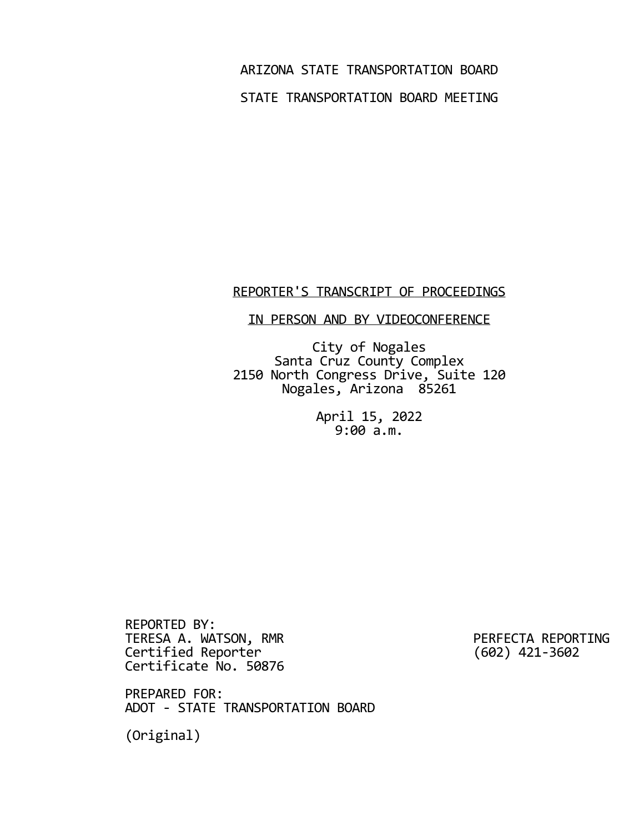ARIZONA STATE TRANSPORTATION BOARD STATE TRANSPORTATION BOARD MEETING

# REPORTER'S TRANSCRIPT OF PROCEEDINGS

## IN PERSON AND BY VIDEOCONFERENCE

City of Nogales Santa Cruz County Complex 2150 North Congress Drive, Suite 120 Nogales, Arizona 85261

> April 15, 2022  $9:00 a.m.$

REPORTED BY: TERESA A. WATSON, RMR<br>
Certified Reporter
(602) 421-3602 Certified Reporter Certificate No. 50876

PREPARED FOR: ADOT ‐ STATE TRANSPORTATION BOARD

(Original)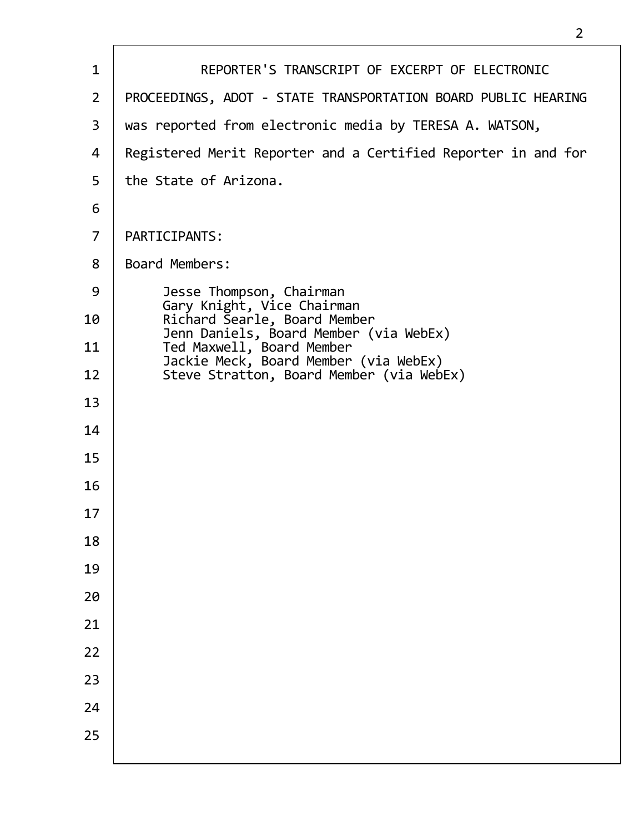| $\mathbf{1}$   | REPORTER'S TRANSCRIPT OF EXCERPT OF ELECTRONIC                                                               |
|----------------|--------------------------------------------------------------------------------------------------------------|
| $\overline{2}$ | PROCEEDINGS, ADOT - STATE TRANSPORTATION BOARD PUBLIC HEARING                                                |
| 3              | was reported from electronic media by TERESA A. WATSON,                                                      |
| 4              | Registered Merit Reporter and a Certified Reporter in and for                                                |
| 5              | the State of Arizona.                                                                                        |
| 6              |                                                                                                              |
| $\overline{7}$ | PARTICIPANTS:                                                                                                |
| 8              | Board Members:                                                                                               |
| 9              | Jesse Thompson, Chairman                                                                                     |
| 10             | Gary Knight, Vice Chairman<br>Richard Searle, Board Member                                                   |
| 11             | Jenn Daniels, Board Member (via WebEx)<br>Ted Maxwell, Board Member<br>Jackie Meck, Board Member (via WebEx) |
| 12             | Steve Stratton, Board Member (via WebEx)                                                                     |
| 13             |                                                                                                              |
| 14             |                                                                                                              |
| 15             |                                                                                                              |
| 16             |                                                                                                              |
| 17             |                                                                                                              |
| 18             |                                                                                                              |
| 19             |                                                                                                              |
| 20             |                                                                                                              |
| 21             |                                                                                                              |
| 22             |                                                                                                              |
| 23             |                                                                                                              |
| 24             |                                                                                                              |
| 25             |                                                                                                              |
|                |                                                                                                              |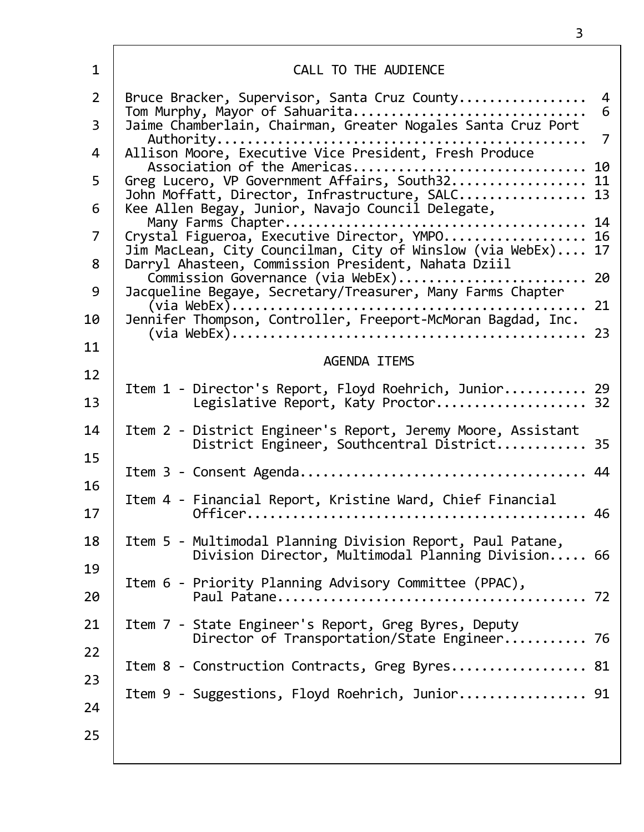| $\mathbf{1}$   | CALL TO THE AUDIENCE                                                                                                                                      |        |
|----------------|-----------------------------------------------------------------------------------------------------------------------------------------------------------|--------|
| $\overline{2}$ | Bruce Bracker, Supervisor, Santa Cruz County<br>Tom Murphy, Mayor of Sahuarita                                                                            | 4<br>6 |
| $\overline{3}$ | Jaime Chamberlain, Chairman, Greater Nogales Santa Cruz Port                                                                                              | 7      |
| 4              | Association of the Americas 10                                                                                                                            |        |
| 5              | Greg Lucero, VP Government Affairs, South32 11<br>John Moffatt, Director, Infrastructure, SALC 13                                                         |        |
| 6              | Kee Allen Begay, Junior, Navajo Council Delegate,                                                                                                         |        |
| $\overline{7}$ | Jim MacLean, City Councilman, City of Winslow (via WebEx)                                                                                                 | 17     |
| 8<br>9         | Darryl Ahasteen, Commission President, Nahata Dziil<br>Commission Governance (via WebEx) 20<br>Jacqueline Begaye, Secretary/Treasurer, Many Farms Chapter |        |
| 10             |                                                                                                                                                           |        |
| 11             |                                                                                                                                                           |        |
| 12             | <b>AGENDA ITEMS</b>                                                                                                                                       |        |
| 13             | Item 1 - Director's Report, Floyd Roehrich, Junior 29<br>Legislative Report, Katy Proctor 32                                                              |        |
| 14             | Item 2 - District Engineer's Report, Jeremy Moore, Assistant<br>District Engineer, Southcentral District 35                                               |        |
| 15<br>16       |                                                                                                                                                           |        |
| 17             | Item 4 - Financial Report, Kristine Ward, Chief Financial                                                                                                 | 46     |
| 18             | Item 5 - Multimodal Planning Division Report, Paul Patane,<br>Division Director, Multimodal Planning Division 66                                          |        |
| 19<br>20       | Item 6 - Priority Planning Advisory Committee (PPAC),                                                                                                     |        |
| 21             | Item 7 - State Engineer's Report, Greg Byres, Deputy<br>Director of Transportation/State Engineer 76                                                      |        |
| 22             | Item 8 - Construction Contracts, Greg Byres 81                                                                                                            |        |
| 23<br>24       | Item 9 - Suggestions, Floyd Roehrich, Junior 91                                                                                                           |        |
| 25             |                                                                                                                                                           |        |

 $\overline{1}$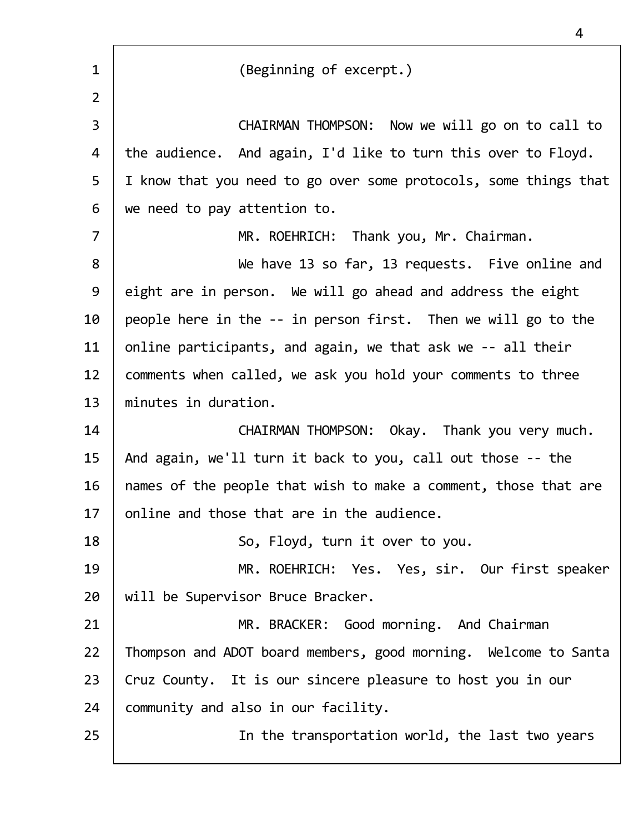| $\mathbf{1}$   | (Beginning of excerpt.)                                          |
|----------------|------------------------------------------------------------------|
| $\overline{2}$ |                                                                  |
| 3              | CHAIRMAN THOMPSON: Now we will go on to call to                  |
| 4              | the audience. And again, I'd like to turn this over to Floyd.    |
| 5              | I know that you need to go over some protocols, some things that |
| 6              | we need to pay attention to.                                     |
| $\overline{7}$ | MR. ROEHRICH: Thank you, Mr. Chairman.                           |
| 8              | We have 13 so far, 13 requests. Five online and                  |
| 9              | eight are in person. We will go ahead and address the eight      |
| 10             | people here in the -- in person first. Then we will go to the    |
| 11             | online participants, and again, we that ask we -- all their      |
| 12             | comments when called, we ask you hold your comments to three     |
| 13             | minutes in duration.                                             |
| 14             | CHAIRMAN THOMPSON: Okay. Thank you very much.                    |
| 15             | And again, we'll turn it back to you, call out those -- the      |
| 16             | names of the people that wish to make a comment, those that are  |
| 17             | online and those that are in the audience.                       |
| 18             | So, Floyd, turn it over to you.                                  |
| 19             | MR. ROEHRICH: Yes. Yes, sir. Our first speaker                   |
| 20             | will be Supervisor Bruce Bracker.                                |
| 21             | MR. BRACKER: Good morning. And Chairman                          |
| 22             | Thompson and ADOT board members, good morning. Welcome to Santa  |
| 23             | Cruz County. It is our sincere pleasure to host you in our       |
| 24             | community and also in our facility.                              |
| 25             | In the transportation world, the last two years                  |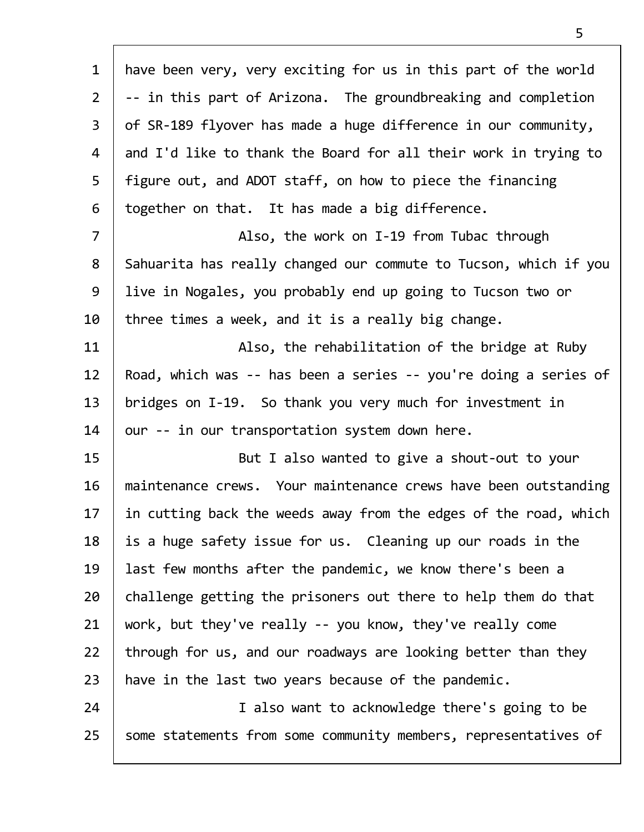| $\mathbf{1}$   | have been very, very exciting for us in this part of the world   |
|----------------|------------------------------------------------------------------|
| $\overline{2}$ | -- in this part of Arizona. The groundbreaking and completion    |
| 3              | of SR-189 flyover has made a huge difference in our community,   |
| 4              | and I'd like to thank the Board for all their work in trying to  |
| 5              | figure out, and ADOT staff, on how to piece the financing        |
| 6              | together on that. It has made a big difference.                  |
| $\overline{7}$ | Also, the work on I-19 from Tubac through                        |
| 8              | Sahuarita has really changed our commute to Tucson, which if you |
| 9              | live in Nogales, you probably end up going to Tucson two or      |
| 10             | three times a week, and it is a really big change.               |
| 11             | Also, the rehabilitation of the bridge at Ruby                   |
| 12             | Road, which was -- has been a series -- you're doing a series of |
| 13             | bridges on I-19. So thank you very much for investment in        |
| 14             | our -- in our transportation system down here.                   |
| 15             | But I also wanted to give a shout-out to your                    |
| 16             | maintenance crews. Your maintenance crews have been outstanding  |
| 17             | in cutting back the weeds away from the edges of the road, which |
| 18             | is a huge safety issue for us. Cleaning up our roads in the      |
| 19             | last few months after the pandemic, we know there's been a       |
| 20             | challenge getting the prisoners out there to help them do that   |
| 21             | work, but they've really -- you know, they've really come        |
| 22             | through for us, and our roadways are looking better than they    |
| 23             | have in the last two years because of the pandemic.              |
| 24             | I also want to acknowledge there's going to be                   |
| 25             | some statements from some community members, representatives of  |
|                |                                                                  |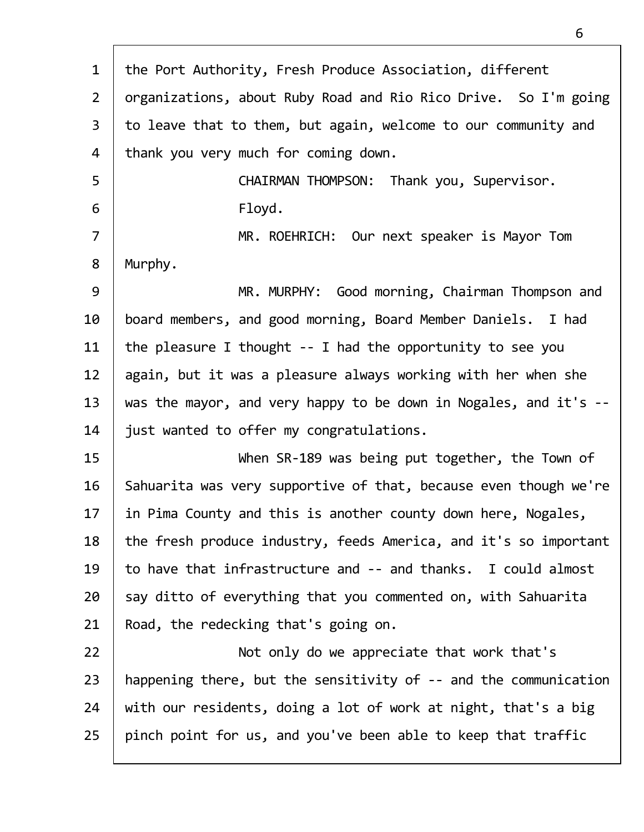| $\mathbf{1}$   | the Port Authority, Fresh Produce Association, different         |
|----------------|------------------------------------------------------------------|
| $2^{\circ}$    | organizations, about Ruby Road and Rio Rico Drive. So I'm going  |
| $\overline{3}$ | to leave that to them, but again, welcome to our community and   |
| 4              | thank you very much for coming down.                             |
| 5              | CHAIRMAN THOMPSON: Thank you, Supervisor.                        |
| 6              | Floyd.                                                           |
| $\overline{7}$ | MR. ROEHRICH: Our next speaker is Mayor Tom                      |
| 8              | Murphy.                                                          |
| 9              | MR. MURPHY: Good morning, Chairman Thompson and                  |
| 10             | board members, and good morning, Board Member Daniels. I had     |
| 11             | the pleasure I thought $-$ - I had the opportunity to see you    |
| 12             | again, but it was a pleasure always working with her when she    |
| 13             | was the mayor, and very happy to be down in Nogales, and it's -- |
| 14             | just wanted to offer my congratulations.                         |
| 15             | When SR-189 was being put together, the Town of                  |
| 16             | Sahuarita was very supportive of that, because even though we're |
| 17             | in Pima County and this is another county down here, Nogales,    |
| 18             | the fresh produce industry, feeds America, and it's so important |
| 19             | to have that infrastructure and -- and thanks. I could almost    |
| 20             | say ditto of everything that you commented on, with Sahuarita    |
| 21             | Road, the redecking that's going on.                             |
| 22             | Not only do we appreciate that work that's                       |
| 23             | happening there, but the sensitivity of -- and the communication |
| 24             | with our residents, doing a lot of work at night, that's a big   |
| 25             | pinch point for us, and you've been able to keep that traffic    |
|                |                                                                  |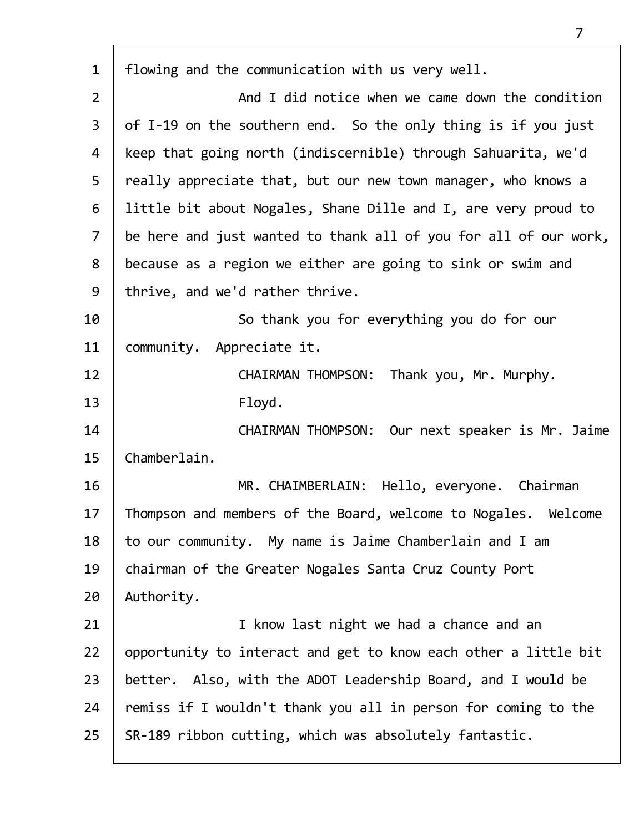| $\mathbf{1}$   | flowing and the communication with us very well.                 |
|----------------|------------------------------------------------------------------|
| $\overline{2}$ | And I did notice when we came down the condition                 |
| $\mathsf{3}$   | of I-19 on the southern end. So the only thing is if you just    |
| 4              | keep that going north (indiscernible) through Sahuarita, we'd    |
| 5              | really appreciate that, but our new town manager, who knows a    |
| 6              | little bit about Nogales, Shane Dille and I, are very proud to   |
| $\overline{7}$ | be here and just wanted to thank all of you for all of our work, |
| 8              | because as a region we either are going to sink or swim and      |
| 9              | thrive, and we'd rather thrive.                                  |
| 10             | So thank you for everything you do for our                       |
| 11             | community. Appreciate it.                                        |
| 12             | CHAIRMAN THOMPSON: Thank you, Mr. Murphy.                        |
| 13             | Floyd.                                                           |
| 14             | CHAIRMAN THOMPSON: Our next speaker is Mr. Jaime                 |
| 15             | Chamberlain.                                                     |
| 16             | MR. CHAIMBERLAIN: Hello, everyone. Chairman                      |
| 17             | Thompson and members of the Board, welcome to Nogales. Welcome   |
| 18             | to our community. My name is Jaime Chamberlain and I am          |
| 19             | chairman of the Greater Nogales Santa Cruz County Port           |
| 20             | Authority.                                                       |
| 21             | I know last night we had a chance and an                         |
| 22             | opportunity to interact and get to know each other a little bit  |
| 23             | better. Also, with the ADOT Leadership Board, and I would be     |
| 24             | remiss if I wouldn't thank you all in person for coming to the   |
| 25             | SR-189 ribbon cutting, which was absolutely fantastic.           |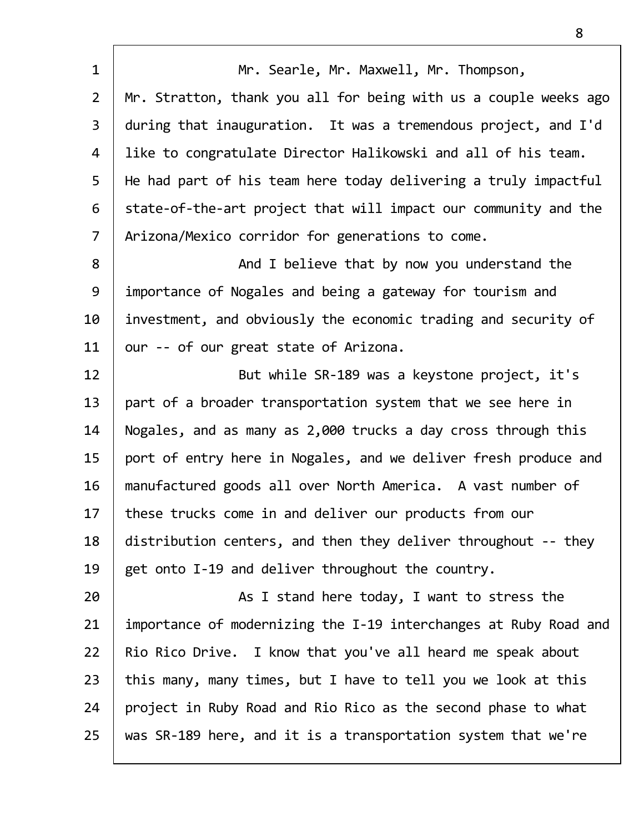| $\mathbf{1}$   | Mr. Searle, Mr. Maxwell, Mr. Thompson,                           |
|----------------|------------------------------------------------------------------|
| $\overline{2}$ | Mr. Stratton, thank you all for being with us a couple weeks ago |
| $\overline{3}$ | during that inauguration. It was a tremendous project, and I'd   |
| 4              | like to congratulate Director Halikowski and all of his team.    |
| 5              | He had part of his team here today delivering a truly impactful  |
| 6              | state-of-the-art project that will impact our community and the  |
| $\overline{7}$ | Arizona/Mexico corridor for generations to come.                 |
| 8              | And I believe that by now you understand the                     |
| 9              | importance of Nogales and being a gateway for tourism and        |
| 10             | investment, and obviously the economic trading and security of   |
| 11             | our -- of our great state of Arizona.                            |
| 12             | But while SR-189 was a keystone project, it's                    |
| 13             | part of a broader transportation system that we see here in      |
| 14             | Nogales, and as many as 2,000 trucks a day cross through this    |
| 15             | port of entry here in Nogales, and we deliver fresh produce and  |
| 16             | manufactured goods all over North America. A vast number of      |
| 17             | these trucks come in and deliver our products from our           |
| 18             | distribution centers, and then they deliver throughout -- they   |
| 19             | get onto I-19 and deliver throughout the country.                |
| 20             | As I stand here today, I want to stress the                      |
| 21             | importance of modernizing the I-19 interchanges at Ruby Road and |
| 22             | Rio Rico Drive. I know that you've all heard me speak about      |
| 23             | this many, many times, but I have to tell you we look at this    |
| 24             | project in Ruby Road and Rio Rico as the second phase to what    |
| 25             | was SR-189 here, and it is a transportation system that we're    |
|                |                                                                  |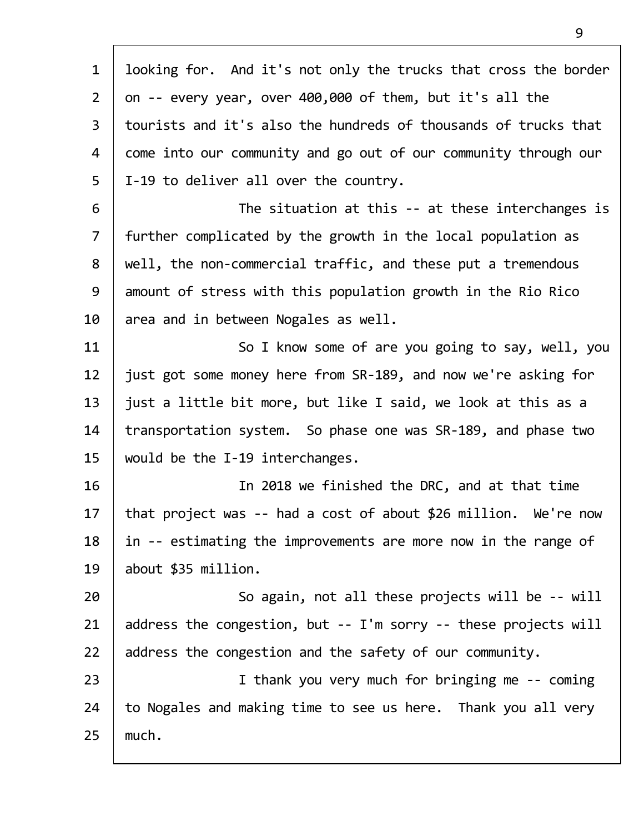| $\mathbf{1}$   | looking for. And it's not only the trucks that cross the border |
|----------------|-----------------------------------------------------------------|
| $2^{\circ}$    | on -- every year, over 400,000 of them, but it's all the        |
| $\overline{3}$ | tourists and it's also the hundreds of thousands of trucks that |
| 4              | come into our community and go out of our community through our |
| 5              | I-19 to deliver all over the country.                           |
| 6              | The situation at this -- at these interchanges is               |
| $\overline{7}$ | further complicated by the growth in the local population as    |
| 8              | well, the non-commercial traffic, and these put a tremendous    |
| 9              | amount of stress with this population growth in the Rio Rico    |
| 10             | area and in between Nogales as well.                            |
| 11             | So I know some of are you going to say, well, you               |
| 12             | just got some money here from SR-189, and now we're asking for  |
| 13             | just a little bit more, but like I said, we look at this as a   |
| 14             | transportation system. So phase one was SR-189, and phase two   |
| 15             | would be the I-19 interchanges.                                 |
| 16             | In 2018 we finished the DRC, and at that time                   |
| 17             | that project was -- had a cost of about \$26 million. We're now |
| 18             | in -- estimating the improvements are more now in the range of  |
| 19             | about \$35 million.                                             |
| 20             | So again, not all these projects will be -- will                |
| 21             | address the congestion, but -- I'm sorry -- these projects will |
| 22             | address the congestion and the safety of our community.         |
| 23             | I thank you very much for bringing me -- coming                 |
| 24             | to Nogales and making time to see us here. Thank you all very   |
| 25             | much.                                                           |
|                |                                                                 |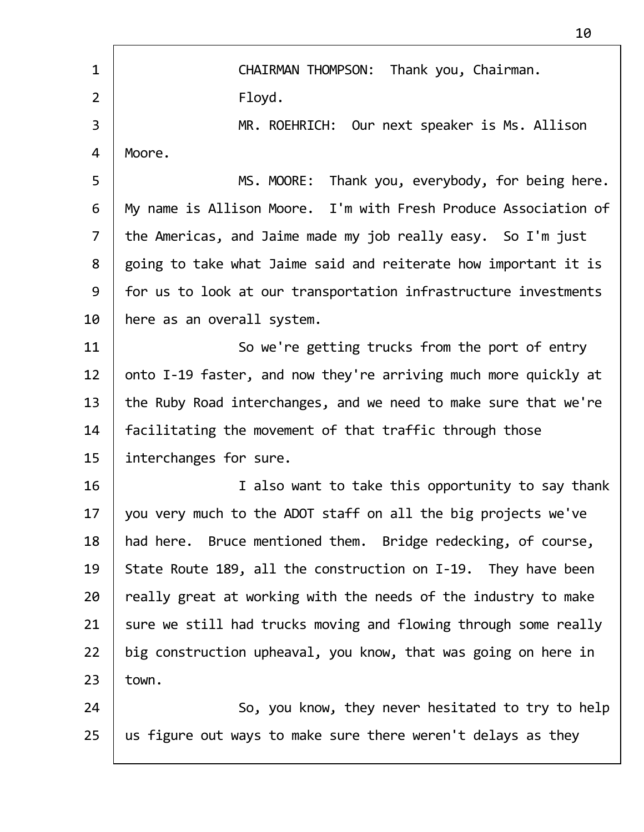| $\mathbf{1}$   | Thank you, Chairman.<br><b>CHAIRMAN THOMPSON:</b>               |
|----------------|-----------------------------------------------------------------|
| $\overline{2}$ | Floyd.                                                          |
| 3              | MR. ROEHRICH: Our next speaker is Ms. Allison                   |
| 4              | Moore.                                                          |
| 5              | Thank you, everybody, for being here.<br>MS. MOORE:             |
| 6              | My name is Allison Moore. I'm with Fresh Produce Association of |
| $\overline{7}$ | the Americas, and Jaime made my job really easy. So I'm just    |
| 8              | going to take what Jaime said and reiterate how important it is |
| 9              | for us to look at our transportation infrastructure investments |
| 10             | here as an overall system.                                      |
| 11             | So we're getting trucks from the port of entry                  |
| 12             | onto I-19 faster, and now they're arriving much more quickly at |
| 13             | the Ruby Road interchanges, and we need to make sure that we're |
| 14             | facilitating the movement of that traffic through those         |
| 15             | interchanges for sure.                                          |
|                |                                                                 |
| 16             | I also want to take this opportunity to say thank               |
| 17             | you very much to the ADOT staff on all the big projects we've   |
| 18             | had here. Bruce mentioned them. Bridge redecking, of course,    |
| 19             | State Route 189, all the construction on I-19. They have been   |
| 20             | really great at working with the needs of the industry to make  |
| 21             | sure we still had trucks moving and flowing through some really |
| 22             | big construction upheaval, you know, that was going on here in  |
| 23             | town.                                                           |
| 24             | So, you know, they never hesitated to try to help               |
| 25             | us figure out ways to make sure there weren't delays as they    |
|                |                                                                 |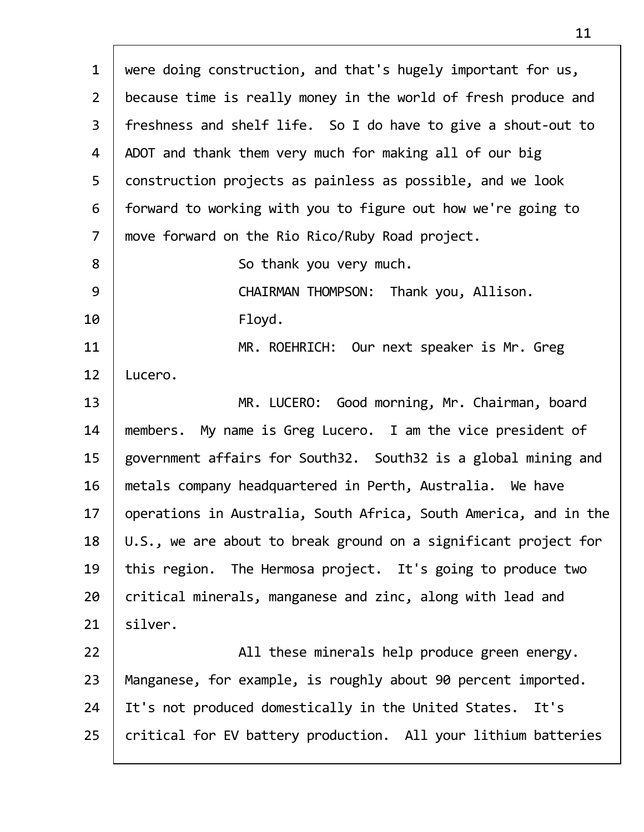1 were doing construction, and that's hugely important for us, 2 because time is really money in the world of fresh produce and 3 freshness and shelf life. So I do have to give a shout‐out to 4 | ADOT and thank them very much for making all of our big 5 construction projects as painless as possible, and we look  $6$  | forward to working with you to figure out how we're going to 7 move forward on the Rio Rico/Ruby Road project. 8 | So thank you very much. 9 CHAIRMAN THOMPSON: Thank you, Allison. 10 Floyd. 11 | MR. ROEHRICH: Our next speaker is Mr. Greg 12 Lucero. 13 | MR. LUCERO: Good morning, Mr. Chairman, board 14 | members. My name is Greg Lucero. I am the vice president of 15 government affairs for South32. South32 is a global mining and 16 | metals company headquartered in Perth, Australia. We have 17 | operations in Australia, South Africa, South America, and in the  $18$  | U.S., we are about to break ground on a significant project for 19 | this region. The Hermosa project. It's going to produce two 20 critical minerals, manganese and zinc, along with lead and  $21$  silver. 22 | All these minerals help produce green energy. 23 | Manganese, for example, is roughly about 90 percent imported. 24 | It's not produced domestically in the United States. It's  $25$  critical for EV battery production. All your lithium batteries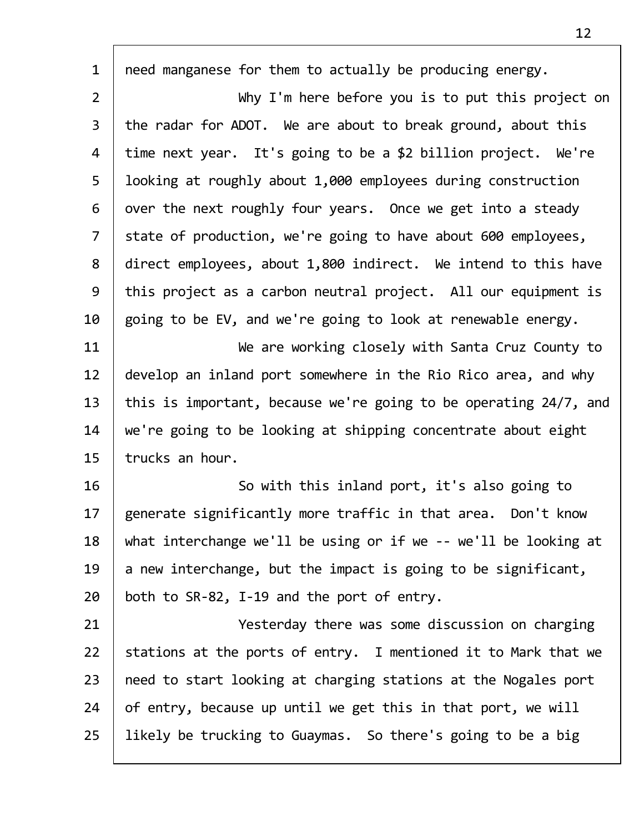| $\mathbf{1}$   | need manganese for them to actually be producing energy.         |
|----------------|------------------------------------------------------------------|
| $\overline{2}$ | Why I'm here before you is to put this project on                |
| $\mathsf{3}$   | the radar for ADOT. We are about to break ground, about this     |
| 4              | time next year. It's going to be a \$2 billion project. We're    |
| 5              | looking at roughly about 1,000 employees during construction     |
| 6              | over the next roughly four years. Once we get into a steady      |
| $\overline{7}$ | state of production, we're going to have about 600 employees,    |
| 8              | direct employees, about 1,800 indirect. We intend to this have   |
| 9              | this project as a carbon neutral project. All our equipment is   |
| 10             | going to be EV, and we're going to look at renewable energy.     |
| 11             | We are working closely with Santa Cruz County to                 |
| 12             | develop an inland port somewhere in the Rio Rico area, and why   |
| 13             | this is important, because we're going to be operating 24/7, and |
| 14             | we're going to be looking at shipping concentrate about eight    |
| 15             | trucks an hour.                                                  |
| 16             | So with this inland port, it's also going to                     |
| 17             | generate significantly more traffic in that area. Don't know     |
| 18             | what interchange we'll be using or if we -- we'll be looking at  |
| 19             | a new interchange, but the impact is going to be significant,    |
| 20             | both to SR-82, I-19 and the port of entry.                       |
| 21             | Yesterday there was some discussion on charging                  |
| 22             | stations at the ports of entry. I mentioned it to Mark that we   |
| 23             | need to start looking at charging stations at the Nogales port   |
| 24             | of entry, because up until we get this in that port, we will     |
| 25             | likely be trucking to Guaymas. So there's going to be a big      |
|                |                                                                  |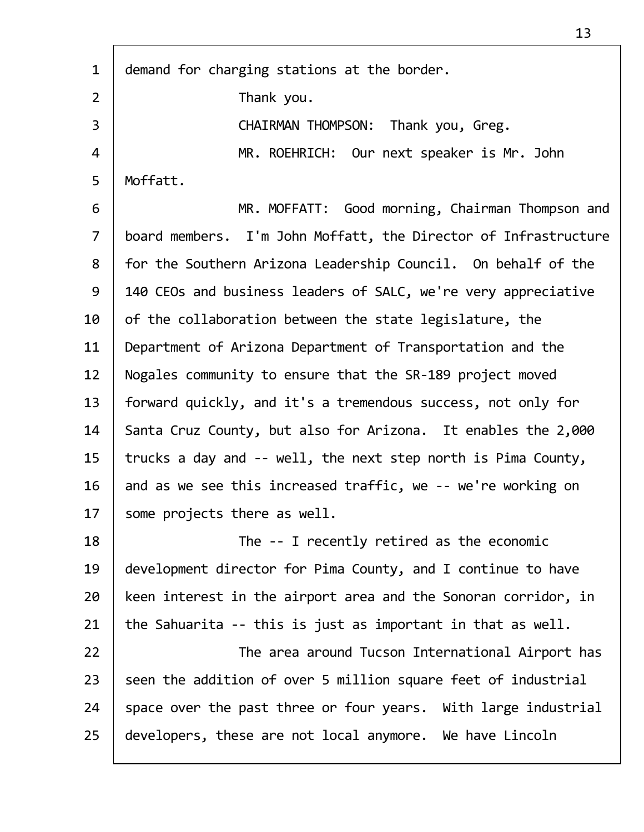| $\mathbf{1}$   | demand for charging stations at the border.                     |
|----------------|-----------------------------------------------------------------|
| $\overline{2}$ | Thank you.                                                      |
| 3              | CHAIRMAN THOMPSON: Thank you, Greg.                             |
| 4              | MR. ROEHRICH: Our next speaker is Mr. John                      |
| 5              | Moffatt.                                                        |
| 6              | MR. MOFFATT: Good morning, Chairman Thompson and                |
| $\overline{7}$ | board members. I'm John Moffatt, the Director of Infrastructure |
| 8              | for the Southern Arizona Leadership Council. On behalf of the   |
| 9              | 140 CEOs and business leaders of SALC, we're very appreciative  |
| 10             | of the collaboration between the state legislature, the         |
| 11             | Department of Arizona Department of Transportation and the      |
| 12             | Nogales community to ensure that the SR-189 project moved       |
| 13             | forward quickly, and it's a tremendous success, not only for    |
| 14             | Santa Cruz County, but also for Arizona. It enables the 2,000   |
| 15             | trucks a day and -- well, the next step north is Pima County,   |
| 16             | and as we see this increased traffic, we -- we're working on    |
| 17             | some projects there as well.                                    |
| 18             | The -- I recently retired as the economic                       |
| 19             | development director for Pima County, and I continue to have    |
| 20             | keen interest in the airport area and the Sonoran corridor, in  |
| 21             | the Sahuarita -- this is just as important in that as well.     |
| 22             | The area around Tucson International Airport has                |
| 23             | seen the addition of over 5 million square feet of industrial   |
| 24             | space over the past three or four years. With large industrial  |
| 25             | developers, these are not local anymore. We have Lincoln        |
|                |                                                                 |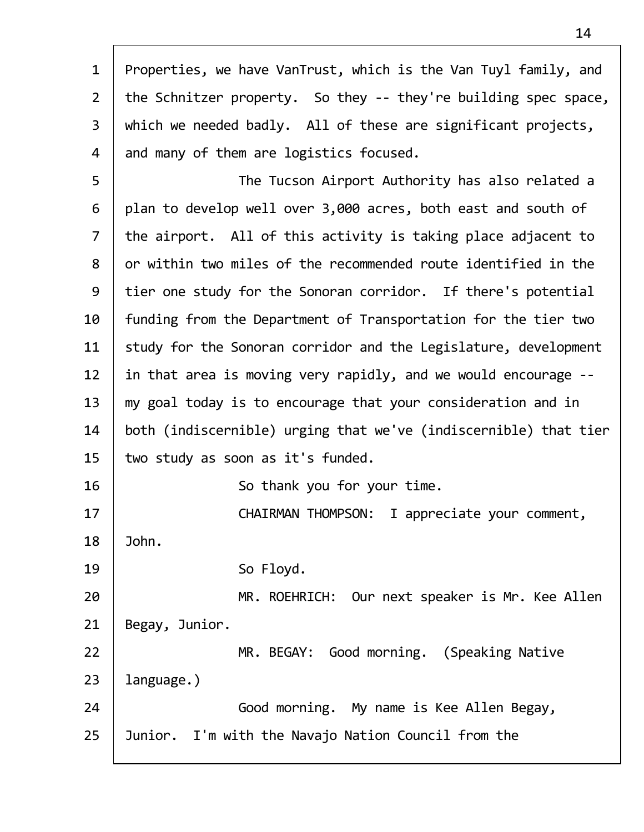| $\mathbf{1}$   | Properties, we have VanTrust, which is the Van Tuyl family, and  |
|----------------|------------------------------------------------------------------|
| $2^{\circ}$    | the Schnitzer property. So they -- they're building spec space,  |
| $\overline{3}$ | which we needed badly. All of these are significant projects,    |
| 4              | and many of them are logistics focused.                          |
| 5              | The Tucson Airport Authority has also related a                  |
| 6              | plan to develop well over 3,000 acres, both east and south of    |
| $\overline{7}$ | the airport. All of this activity is taking place adjacent to    |
| 8              | or within two miles of the recommended route identified in the   |
| 9              | tier one study for the Sonoran corridor. If there's potential    |
| 10             | funding from the Department of Transportation for the tier two   |
| 11             | study for the Sonoran corridor and the Legislature, development  |
| 12             | in that area is moving very rapidly, and we would encourage --   |
| 13             | my goal today is to encourage that your consideration and in     |
| 14             | both (indiscernible) urging that we've (indiscernible) that tier |
| 15             | two study as soon as it's funded.                                |
| 16             | So thank you for your time.                                      |
| 17             | CHAIRMAN THOMPSON: I appreciate your comment,                    |
| 18             | John.                                                            |
| 19             | So Floyd.                                                        |
| 20             | MR. ROEHRICH: Our next speaker is Mr. Kee Allen                  |
| 21             | Begay, Junior.                                                   |
| 22             | MR. BEGAY: Good morning. (Speaking Native                        |
| 23             | language.)                                                       |
| 24             | Good morning. My name is Kee Allen Begay,                        |
| 25             | Junior. I'm with the Navajo Nation Council from the              |
|                |                                                                  |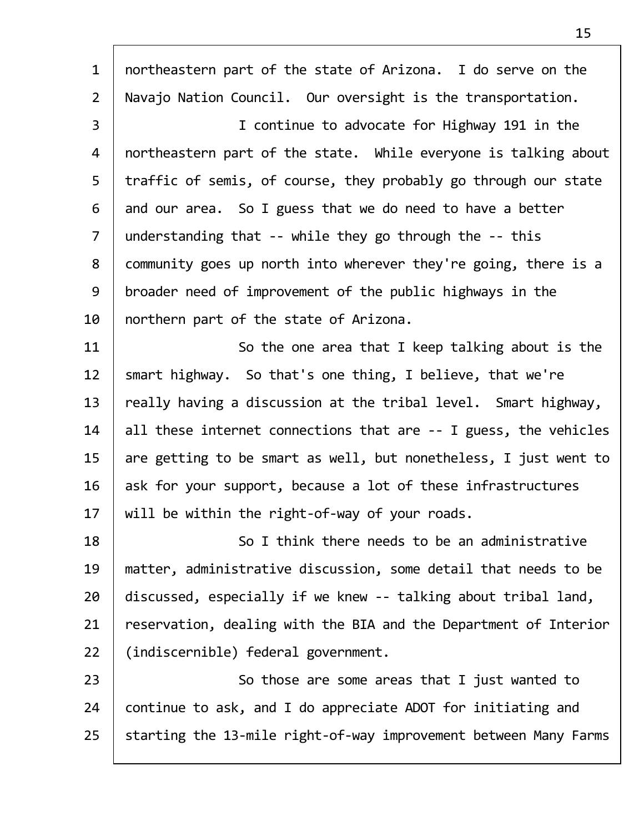1 | northeastern part of the state of Arizona. I do serve on the 2 Navajo Nation Council. Our oversight is the transportation. 3 I continue to advocate for Highway 191 in the 4 northeastern part of the state. While everyone is talking about 5 | traffic of semis, of course, they probably go through our state  $6$  and our area. So I guess that we do need to have a better 7 | understanding that -- while they go through the -- this 8 community goes up north into wherever they're going, there is a 9 | broader need of improvement of the public highways in the  $10$  | northern part of the state of Arizona. 11 | So the one area that I keep talking about is the 12 | smart highway. So that's one thing, I believe, that we're  $13$  | really having a discussion at the tribal level. Smart highway, 14 | all these internet connections that are  $-$ - I guess, the vehicles 15  $\vert$  are getting to be smart as well, but nonetheless, I just went to  $16$  ask for your support, because a lot of these infrastructures  $17$  | will be within the right-of-way of your roads. 18 | So I think there needs to be an administrative 19 matter, administrative discussion, some detail that needs to be 20 discussed, especially if we knew -- talking about tribal land, 21 | reservation, dealing with the BIA and the Department of Interior 22 (indiscernible) federal government. 23 | So those are some areas that I just wanted to 24 continue to ask, and I do appreciate ADOT for initiating and 25 Starting the 13-mile right-of-way improvement between Many Farms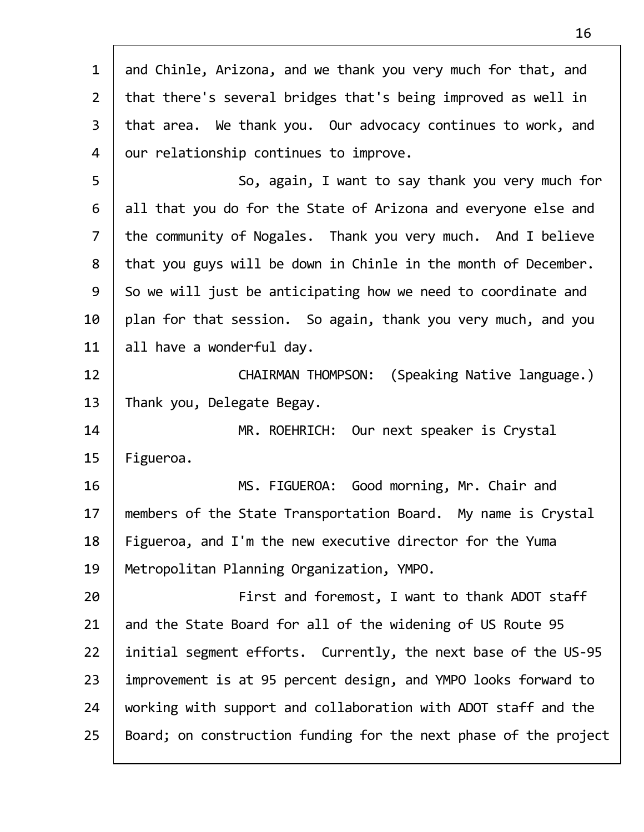| $\mathbf{1}$   | and Chinle, Arizona, and we thank you very much for that, and    |
|----------------|------------------------------------------------------------------|
| $\overline{2}$ | that there's several bridges that's being improved as well in    |
| $\mathsf{3}$   | that area. We thank you. Our advocacy continues to work, and     |
| 4              | our relationship continues to improve.                           |
| 5              | So, again, I want to say thank you very much for                 |
| 6              | all that you do for the State of Arizona and everyone else and   |
| $\overline{7}$ | the community of Nogales. Thank you very much. And I believe     |
| 8              | that you guys will be down in Chinle in the month of December.   |
| 9              | So we will just be anticipating how we need to coordinate and    |
| 10             | plan for that session. So again, thank you very much, and you    |
| 11             | all have a wonderful day.                                        |
| 12             | (Speaking Native language.)<br><b>CHAIRMAN THOMPSON:</b>         |
| 13             | Thank you, Delegate Begay.                                       |
| 14             | MR. ROEHRICH: Our next speaker is Crystal                        |
| 15             | Figueroa.                                                        |
| 16             | MS. FIGUEROA: Good morning, Mr. Chair and                        |
| 17             | members of the State Transportation Board. My name is Crystal    |
| 18             | Figueroa, and I'm the new executive director for the Yuma        |
| 19             | Metropolitan Planning Organization, YMPO.                        |
| 20             | First and foremost, I want to thank ADOT staff                   |
| 21             | and the State Board for all of the widening of US Route 95       |
| 22             | initial segment efforts. Currently, the next base of the US-95   |
| 23             | improvement is at 95 percent design, and YMPO looks forward to   |
| 24             | working with support and collaboration with ADOT staff and the   |
| 25             | Board; on construction funding for the next phase of the project |
|                |                                                                  |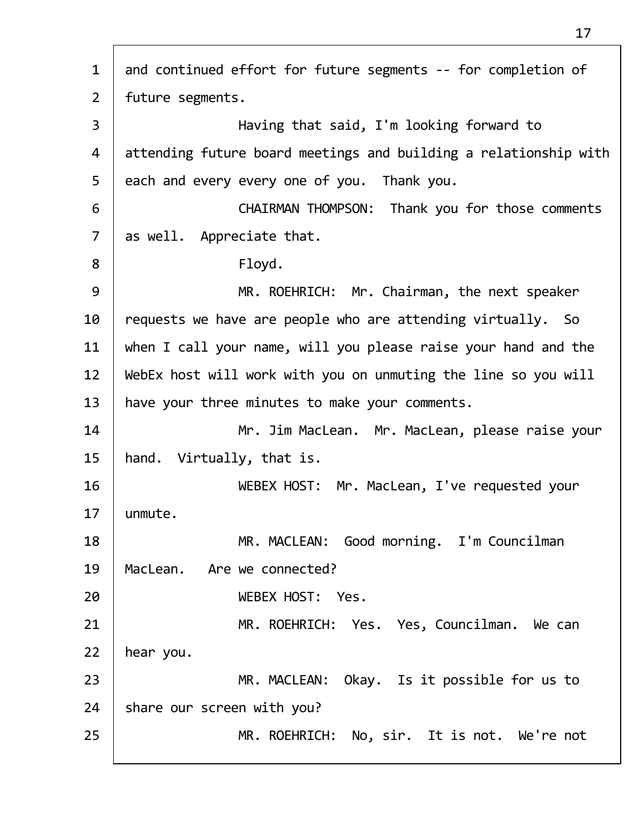1 and continued effort for future segments -- for completion of 2 future segments. 3 Having that said, I'm looking forward to 4 attending future board meetings and building a relationship with  $5$  each and every every one of you. Thank you. 6 CHAIRMAN THOMPSON: Thank you for those comments 7 | as well. Appreciate that. 8 | Floyd. 9 | MR. ROEHRICH: Mr. Chairman, the next speaker  $10$  requests we have are people who are attending virtually. So  $11$  when I call your name, will you please raise your hand and the  $12$  | WebEx host will work with you on unmuting the line so you will 13 | have your three minutes to make your comments. 14 Mr. Jim MacLean. Mr. MacLean, please raise your 15 hand. Virtually, that is. 16 WEBEX HOST: Mr. MacLean, I've requested your 17 unmute. 18 | MR. MACLEAN: Good morning. I'm Councilman 19 MacLean. Are we connected? 20 WEBEX HOST: Yes. 21 MR. ROEHRICH: Yes. Yes, Councilman. We can  $22$  | hear you. 23 | MR. MACLEAN: Okay. Is it possible for us to  $24$  share our screen with you? 25 | MR. ROEHRICH: No, sir. It is not. We're not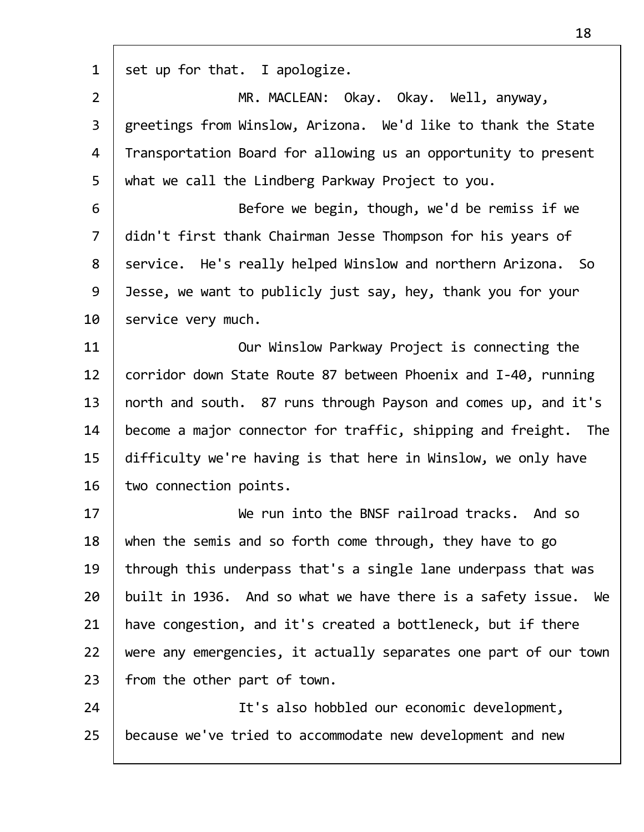| $\mathbf{1}$   | set up for that. I apologize.                                     |
|----------------|-------------------------------------------------------------------|
| $\overline{2}$ | MR. MACLEAN: Okay. Okay. Well, anyway,                            |
| 3              | greetings from Winslow, Arizona. We'd like to thank the State     |
| 4              | Transportation Board for allowing us an opportunity to present    |
| 5              | what we call the Lindberg Parkway Project to you.                 |
| 6              | Before we begin, though, we'd be remiss if we                     |
| $\overline{7}$ | didn't first thank Chairman Jesse Thompson for his years of       |
| 8              | service. He's really helped Winslow and northern Arizona. So      |
| 9              | Jesse, we want to publicly just say, hey, thank you for your      |
| 10             | service very much.                                                |
| 11             | Our Winslow Parkway Project is connecting the                     |
| 12             | corridor down State Route 87 between Phoenix and I-40, running    |
| 13             | north and south. 87 runs through Payson and comes up, and it's    |
| 14             | become a major connector for traffic, shipping and freight. The   |
| 15             | difficulty we're having is that here in Winslow, we only have     |
| 16             | two connection points.                                            |
| 17             | We run into the BNSF railroad tracks. And so                      |
| 18             | when the semis and so forth come through, they have to go         |
| 19             | through this underpass that's a single lane underpass that was    |
| 20             | built in 1936. And so what we have there is a safety issue.<br>We |
| 21             | have congestion, and it's created a bottleneck, but if there      |
| 22             | were any emergencies, it actually separates one part of our town  |
| 23             | from the other part of town.                                      |
| 24             | It's also hobbled our economic development,                       |
| 25             | because we've tried to accommodate new development and new        |
|                |                                                                   |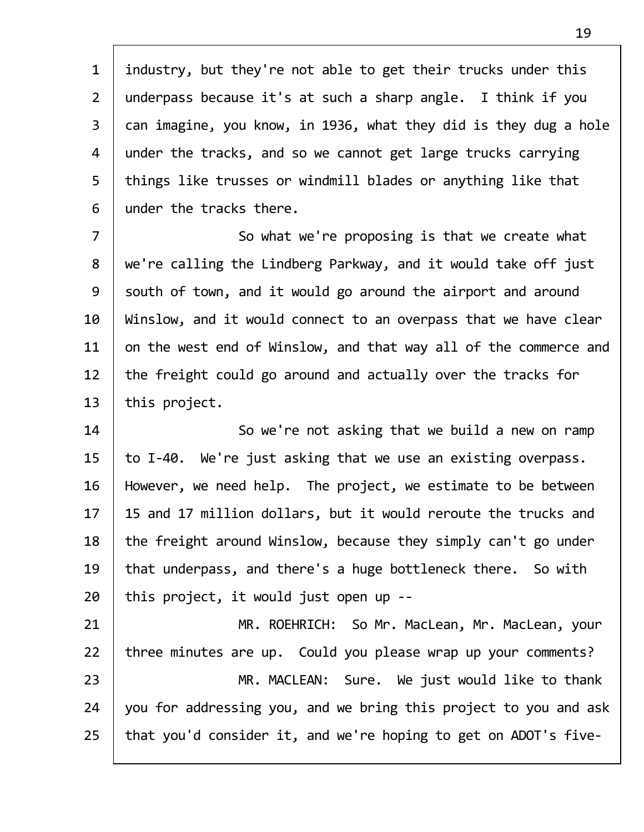1 | industry, but they're not able to get their trucks under this 2 | underpass because it's at such a sharp angle. I think if you 3 can imagine, you know, in 1936, what they did is they dug a hole 4 | under the tracks, and so we cannot get large trucks carrying  $5$  | things like trusses or windmill blades or anything like that 6 under the tracks there.

7 | So what we're proposing is that we create what 8 | we're calling the Lindberg Parkway, and it would take off just 9 South of town, and it would go around the airport and around 10 | Winslow, and it would connect to an overpass that we have clear  $11$  on the west end of Winslow, and that way all of the commerce and 12 | the freight could go around and actually over the tracks for  $13$  | this project.

14 So we're not asking that we build a new on ramp 15  $\vert$  to I-40. We're just asking that we use an existing overpass. 16 However, we need help. The project, we estimate to be between 17 | 15 and 17 million dollars, but it would reroute the trucks and  $18$  | the freight around Winslow, because they simply can't go under 19 | that underpass, and there's a huge bottleneck there. So with  $20$  | this project, it would just open up --

21 | MR. ROEHRICH: So Mr. MacLean, Mr. MacLean, your 22 three minutes are up. Could you please wrap up your comments? 23 | MR. MACLEAN: Sure. We just would like to thank 24 you for addressing you, and we bring this project to you and ask  $25$  | that you'd consider it, and we're hoping to get on ADOT's five-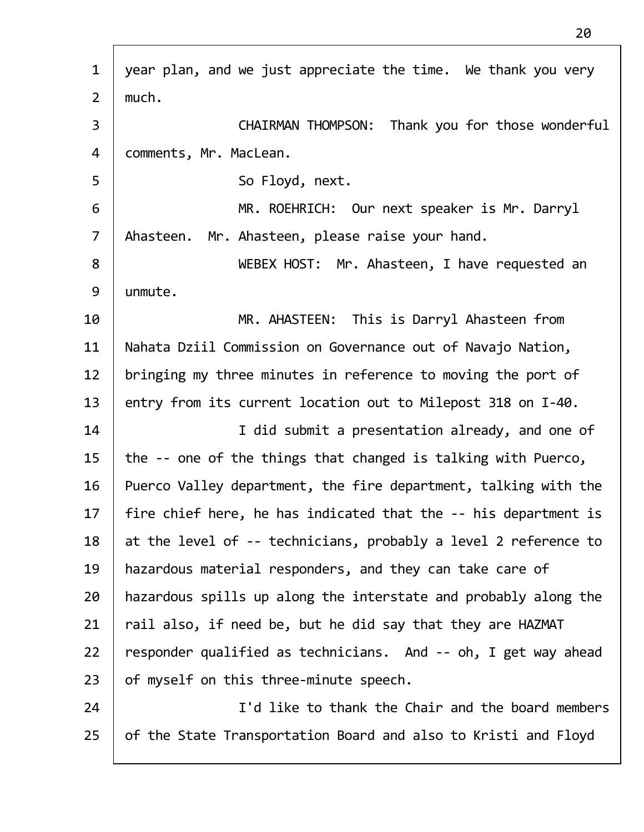| $\mathbf{1}$   | year plan, and we just appreciate the time. We thank you very   |
|----------------|-----------------------------------------------------------------|
| $\overline{2}$ | much.                                                           |
| 3              | Thank you for those wonderful<br><b>CHAIRMAN THOMPSON:</b>      |
| 4              | comments, Mr. MacLean.                                          |
| 5              | So Floyd, next.                                                 |
| 6              | MR. ROEHRICH: Our next speaker is Mr. Darryl                    |
| $\overline{7}$ | Mr. Ahasteen, please raise your hand.<br>Ahasteen.              |
| 8              | WEBEX HOST: Mr. Ahasteen, I have requested an                   |
| 9              | unmute.                                                         |
| 10             | MR. AHASTEEN: This is Darryl Ahasteen from                      |
| 11             | Nahata Dziil Commission on Governance out of Navajo Nation,     |
| 12             | bringing my three minutes in reference to moving the port of    |
| 13             | entry from its current location out to Milepost 318 on I-40.    |
| 14             | I did submit a presentation already, and one of                 |
| 15             | the -- one of the things that changed is talking with Puerco,   |
| 16             | Puerco Valley department, the fire department, talking with the |
| 17             | fire chief here, he has indicated that the -- his department is |
| 18             | at the level of -- technicians, probably a level 2 reference to |
| 19             | hazardous material responders, and they can take care of        |
| 20             | hazardous spills up along the interstate and probably along the |
| 21             | rail also, if need be, but he did say that they are HAZMAT      |
| 22             | responder qualified as technicians. And -- oh, I get way ahead  |
| 23             | of myself on this three-minute speech.                          |
| 24             | I'd like to thank the Chair and the board members               |
| 25             | of the State Transportation Board and also to Kristi and Floyd  |
|                |                                                                 |

Г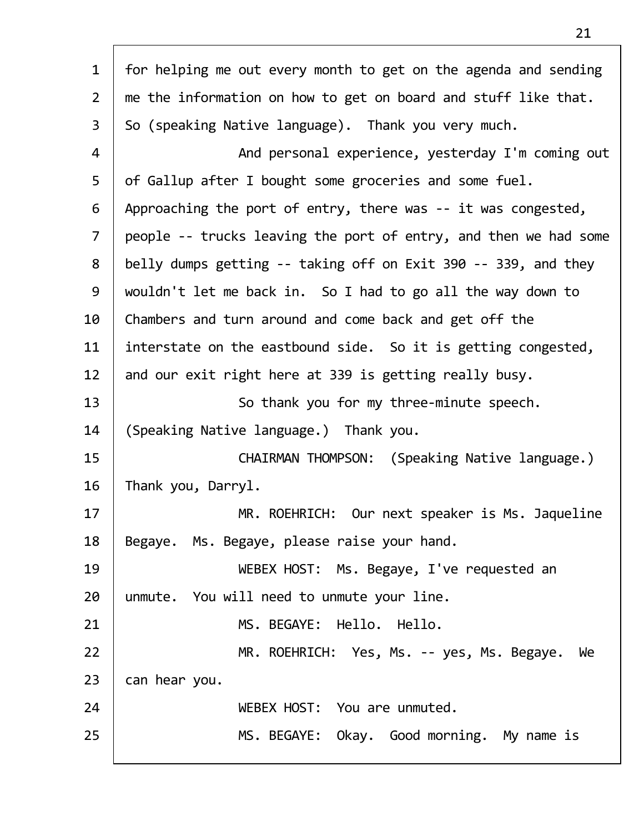| $\mathbf{1}$   | for helping me out every month to get on the agenda and sending  |
|----------------|------------------------------------------------------------------|
| $\overline{2}$ | me the information on how to get on board and stuff like that.   |
| $\overline{3}$ | So (speaking Native language). Thank you very much.              |
| 4              | And personal experience, yesterday I'm coming out                |
| 5              | of Gallup after I bought some groceries and some fuel.           |
| 6              | Approaching the port of entry, there was -- it was congested,    |
| $\overline{7}$ | people -- trucks leaving the port of entry, and then we had some |
| 8              | belly dumps getting -- taking off on Exit 390 -- 339, and they   |
| 9              | wouldn't let me back in. So I had to go all the way down to      |
| 10             | Chambers and turn around and come back and get off the           |
| 11             | interstate on the eastbound side. So it is getting congested,    |
| 12             | and our exit right here at 339 is getting really busy.           |
| 13             | So thank you for my three-minute speech.                         |
| 14             | (Speaking Native language.) Thank you.                           |
| 15             | CHAIRMAN THOMPSON: (Speaking Native language.)                   |
| 16             | Thank you, Darryl.                                               |
| 17             | MR. ROEHRICH: Our next speaker is Ms. Jaqueline                  |
| 18             | Begaye. Ms. Begaye, please raise your hand.                      |
| 19             | WEBEX HOST: Ms. Begaye, I've requested an                        |
| 20             | unmute. You will need to unmute your line.                       |
| 21             | MS. BEGAYE: Hello. Hello.                                        |
| 22             | MR. ROEHRICH: Yes, Ms. -- yes, Ms. Begaye.<br>We                 |
| 23             | can hear you.                                                    |
| 24             | WEBEX HOST: You are unmuted.                                     |
| 25             | MS. BEGAYE: Okay. Good morning. My name is                       |
|                |                                                                  |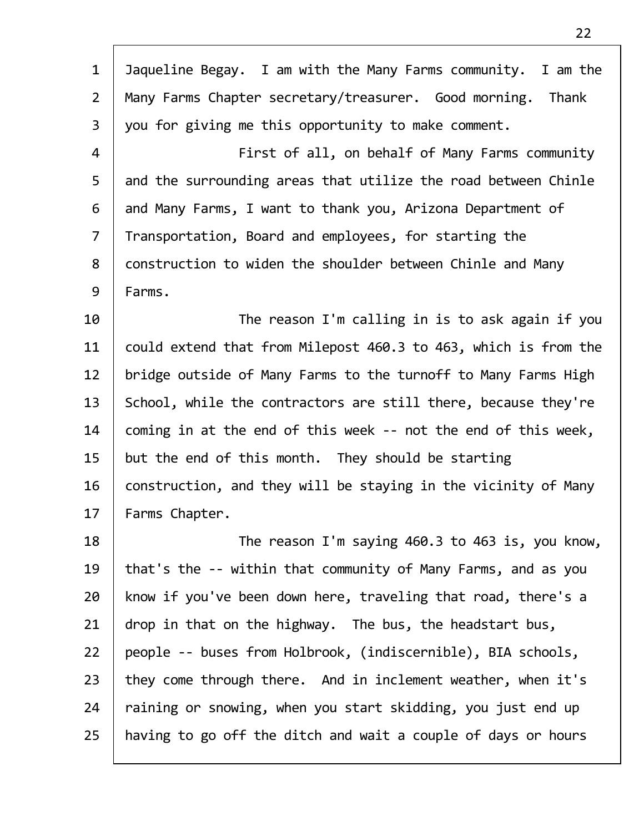| $\mathbf 1$    | Jaqueline Begay. I am with the Many Farms community. I am the   |
|----------------|-----------------------------------------------------------------|
| $\overline{2}$ | Many Farms Chapter secretary/treasurer. Good morning. Thank     |
| 3              | you for giving me this opportunity to make comment.             |
| 4              | First of all, on behalf of Many Farms community                 |
| 5              | and the surrounding areas that utilize the road between Chinle  |
| 6              | and Many Farms, I want to thank you, Arizona Department of      |
| $\overline{7}$ | Transportation, Board and employees, for starting the           |
| 8              | construction to widen the shoulder between Chinle and Many      |
| 9              | Farms.                                                          |
| 10             | The reason I'm calling in is to ask again if you                |
| 11             | could extend that from Milepost 460.3 to 463, which is from the |
| 12             | bridge outside of Many Farms to the turnoff to Many Farms High  |
| 13             | School, while the contractors are still there, because they're  |
| 14             | coming in at the end of this week -- not the end of this week,  |
| 15             | but the end of this month. They should be starting              |
| 16             | construction, and they will be staying in the vicinity of Many  |
| 17             | Farms Chapter.                                                  |
| 18             | The reason I'm saying 460.3 to 463 is, you know,                |
| 19             | that's the -- within that community of Many Farms, and as you   |
| 20             | know if you've been down here, traveling that road, there's a   |
| 21             | drop in that on the highway. The bus, the headstart bus,        |
| 22             | people -- buses from Holbrook, (indiscernible), BIA schools,    |
| 23             | they come through there. And in inclement weather, when it's    |
| 24             | raining or snowing, when you start skidding, you just end up    |
| 25             | having to go off the ditch and wait a couple of days or hours   |

 $\Gamma$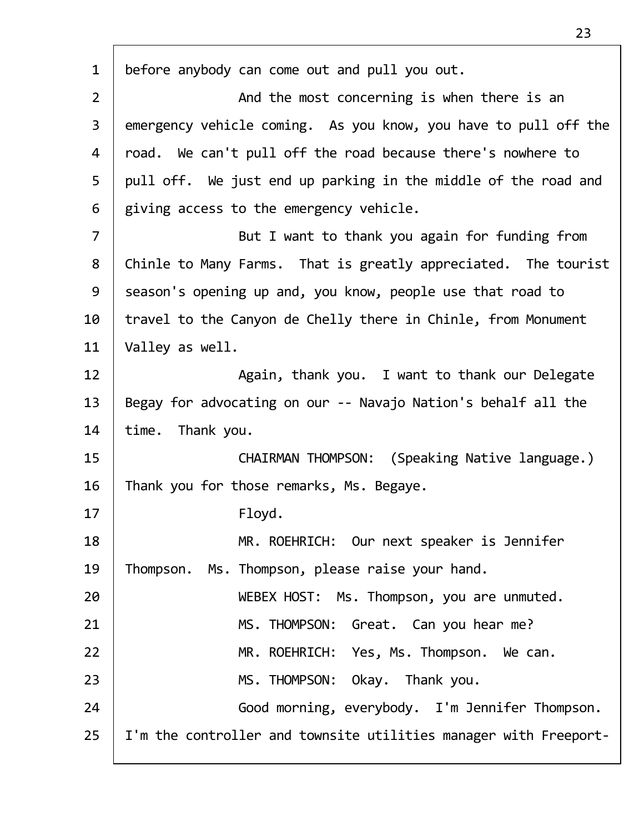| $\mathbf{1}$   | before anybody can come out and pull you out.                    |
|----------------|------------------------------------------------------------------|
| $\overline{2}$ | And the most concerning is when there is an                      |
| 3              | emergency vehicle coming. As you know, you have to pull off the  |
| 4              | road. We can't pull off the road because there's nowhere to      |
| 5              | pull off. We just end up parking in the middle of the road and   |
| 6              | giving access to the emergency vehicle.                          |
| $\overline{7}$ | But I want to thank you again for funding from                   |
| 8              | Chinle to Many Farms. That is greatly appreciated. The tourist   |
| 9              | season's opening up and, you know, people use that road to       |
| 10             | travel to the Canyon de Chelly there in Chinle, from Monument    |
| 11             | Valley as well.                                                  |
| 12             | Again, thank you. I want to thank our Delegate                   |
| 13             | Begay for advocating on our -- Navajo Nation's behalf all the    |
| 14             | time. Thank you.                                                 |
| 15             | CHAIRMAN THOMPSON: (Speaking Native language.)                   |
| 16             | Thank you for those remarks, Ms. Begaye.                         |
| 17             | Floyd.                                                           |
| 18             | MR. ROEHRICH: Our next speaker is Jennifer                       |
| 19             | Thompson. Ms. Thompson, please raise your hand.                  |
| 20             | WEBEX HOST: Ms. Thompson, you are unmuted.                       |
| 21             | MS. THOMPSON: Great. Can you hear me?                            |
| 22             | MR. ROEHRICH: Yes, Ms. Thompson. We can.                         |
| 23             | MS. THOMPSON: Okay. Thank you.                                   |
| 24             | Good morning, everybody. I'm Jennifer Thompson.                  |
| 25             | I'm the controller and townsite utilities manager with Freeport- |
|                |                                                                  |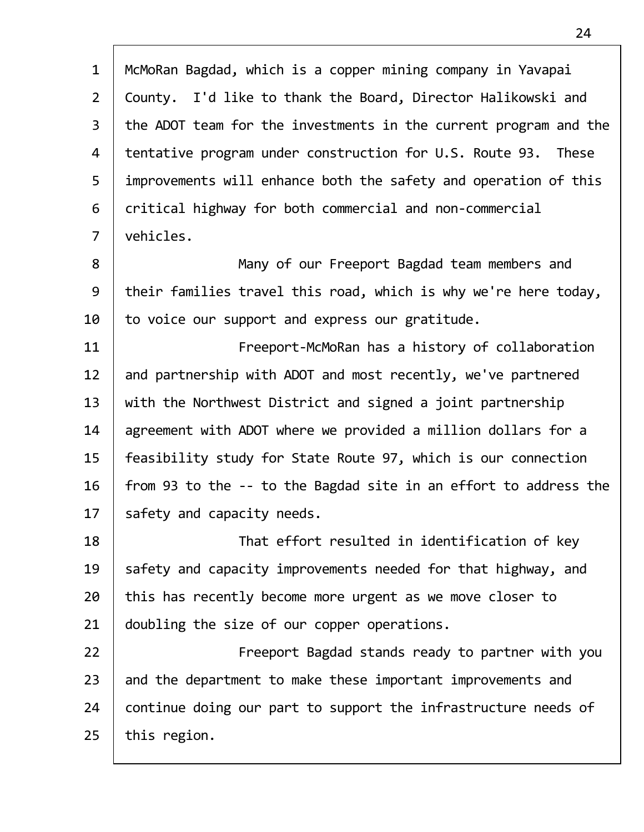| $\mathbf{1}$   | McMoRan Bagdad, which is a copper mining company in Yavapai      |
|----------------|------------------------------------------------------------------|
| $\overline{2}$ | County. I'd like to thank the Board, Director Halikowski and     |
| 3              | the ADOT team for the investments in the current program and the |
| 4              | tentative program under construction for U.S. Route 93. These    |
| 5              | improvements will enhance both the safety and operation of this  |
| 6              | critical highway for both commercial and non-commercial          |
| $\overline{7}$ | vehicles.                                                        |
| 8              | Many of our Freeport Bagdad team members and                     |
| 9              | their families travel this road, which is why we're here today,  |
| 10             | to voice our support and express our gratitude.                  |
| 11             | Freeport-McMoRan has a history of collaboration                  |
| 12             | and partnership with ADOT and most recently, we've partnered     |
| 13             | with the Northwest District and signed a joint partnership       |
| 14             | agreement with ADOT where we provided a million dollars for a    |
| 15             | feasibility study for State Route 97, which is our connection    |
| 16             | from 93 to the -- to the Bagdad site in an effort to address the |
| 17             | safety and capacity needs.                                       |
| 18             | That effort resulted in identification of key                    |
| 19             | safety and capacity improvements needed for that highway, and    |
| 20             | this has recently become more urgent as we move closer to        |
| 21             | doubling the size of our copper operations.                      |
| 22             | Freeport Bagdad stands ready to partner with you                 |
| 23             | and the department to make these important improvements and      |
| 24             | continue doing our part to support the infrastructure needs of   |
| 25             | this region.                                                     |
|                |                                                                  |

 $\overline{1}$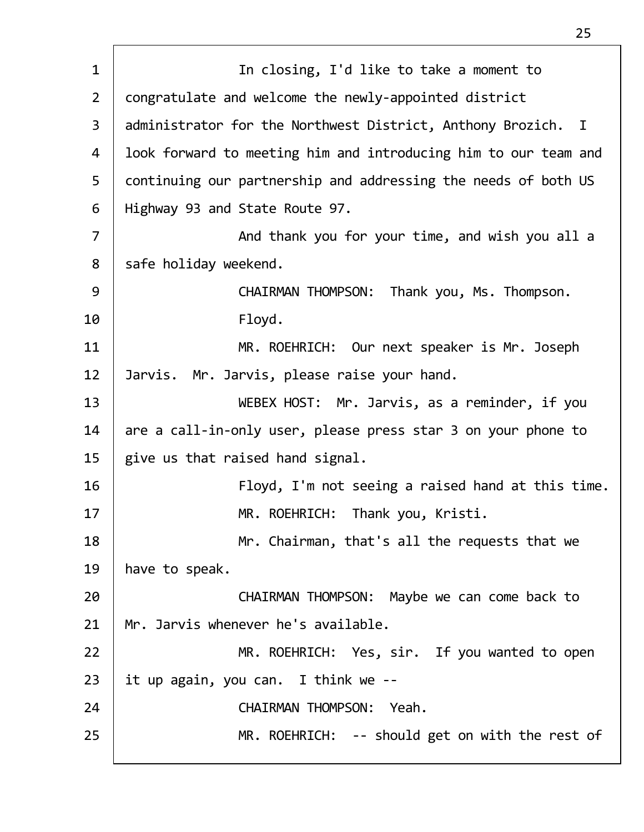| $\mathbf{1}$   | In closing, I'd like to take a moment to                        |
|----------------|-----------------------------------------------------------------|
| $2^{\circ}$    | congratulate and welcome the newly-appointed district           |
| 3              | administrator for the Northwest District, Anthony Brozich. I    |
| 4              | look forward to meeting him and introducing him to our team and |
| 5              | continuing our partnership and addressing the needs of both US  |
| 6              | Highway 93 and State Route 97.                                  |
| $\overline{7}$ | And thank you for your time, and wish you all a                 |
| 8              | safe holiday weekend.                                           |
| 9              | CHAIRMAN THOMPSON: Thank you, Ms. Thompson.                     |
| 10             | Floyd.                                                          |
| 11             | MR. ROEHRICH: Our next speaker is Mr. Joseph                    |
| 12             | Jarvis. Mr. Jarvis, please raise your hand.                     |
| 13             | WEBEX HOST: Mr. Jarvis, as a reminder, if you                   |
| 14             | are a call-in-only user, please press star 3 on your phone to   |
| 15             | give us that raised hand signal.                                |
| 16             | Floyd, I'm not seeing a raised hand at this time.               |
| 17             | MR. ROEHRICH: Thank you, Kristi.                                |
| 18             | Mr. Chairman, that's all the requests that we                   |
| 19             | have to speak.                                                  |
| 20             | CHAIRMAN THOMPSON: Maybe we can come back to                    |
| 21             | Mr. Jarvis whenever he's available.                             |
| 22             | MR. ROEHRICH: Yes, sir. If you wanted to open                   |
| 23             | it up again, you can. I think we --                             |
| 24             | CHAIRMAN THOMPSON: Yeah.                                        |
| 25             | MR. ROEHRICH: -- should get on with the rest of                 |
|                |                                                                 |

Г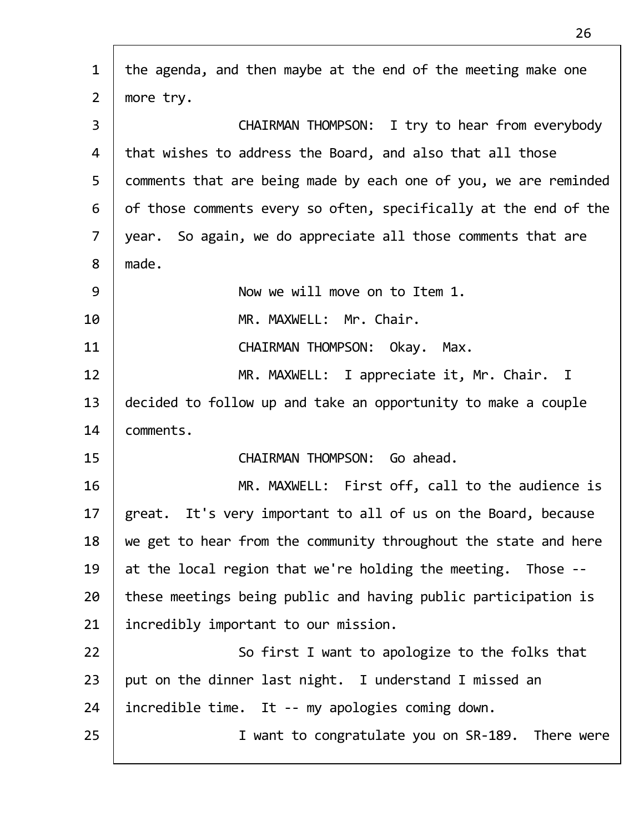| $\mathbf{1}$   | the agenda, and then maybe at the end of the meeting make one    |
|----------------|------------------------------------------------------------------|
| $\overline{2}$ | more try.                                                        |
| 3              | CHAIRMAN THOMPSON: I try to hear from everybody                  |
| 4              | that wishes to address the Board, and also that all those        |
| 5              | comments that are being made by each one of you, we are reminded |
| 6              | of those comments every so often, specifically at the end of the |
| $\overline{7}$ | year. So again, we do appreciate all those comments that are     |
| 8              | made.                                                            |
| 9              | Now we will move on to Item 1.                                   |
| 10             | MR. MAXWELL: Mr. Chair.                                          |
| 11             | CHAIRMAN THOMPSON: Okay. Max.                                    |
| 12             | MR. MAXWELL: I appreciate it, Mr. Chair. I                       |
| 13             | decided to follow up and take an opportunity to make a couple    |
| 14             | comments.                                                        |
| 15             | CHAIRMAN THOMPSON: Go ahead.                                     |
| 16             | MR. MAXWELL: First off, call to the audience is                  |
| 17             | great. It's very important to all of us on the Board, because    |
| 18             | we get to hear from the community throughout the state and here  |
| 19             | at the local region that we're holding the meeting. Those --     |
| 20             | these meetings being public and having public participation is   |
| 21             | incredibly important to our mission.                             |
| 22             | So first I want to apologize to the folks that                   |
| 23             | put on the dinner last night. I understand I missed an           |
| 24             | incredible time. It -- my apologies coming down.                 |
| 25             | I want to congratulate you on SR-189. There were                 |
|                |                                                                  |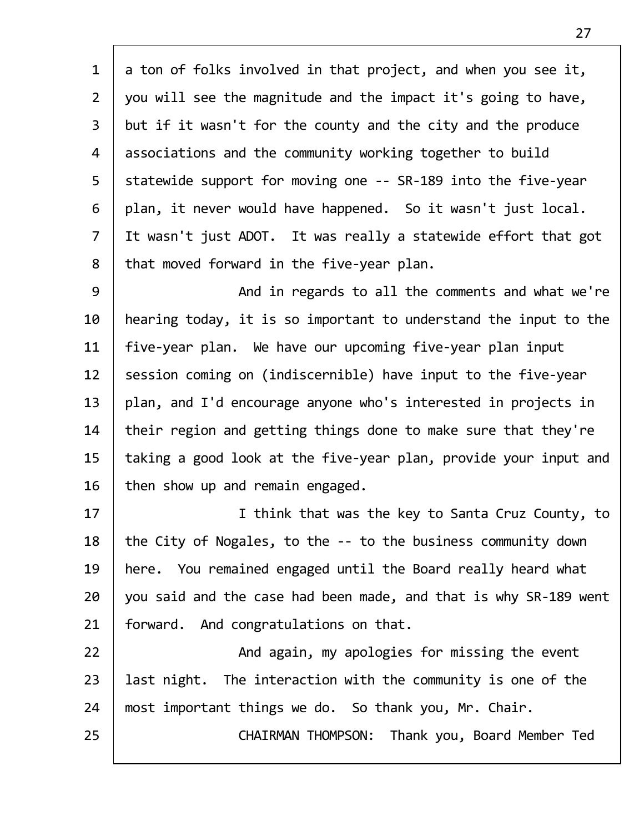1 a ton of folks involved in that project, and when you see it, 2 | you will see the magnitude and the impact it's going to have, 3 | but if it wasn't for the county and the city and the produce 4 associations and the community working together to build 5 Statewide support for moving one -- SR-189 into the five-year  $6$  | plan, it never would have happened. So it wasn't just local. 7 It wasn't just ADOT. It was really a statewide effort that got  $8$  | that moved forward in the five-year plan.

9 | And in regards to all the comments and what we're 10 | hearing today, it is so important to understand the input to the 11 | five-year plan. We have our upcoming five-year plan input 12 Session coming on (indiscernible) have input to the five-year  $13$  | plan, and I'd encourage anyone who's interested in projects in  $14$  their region and getting things done to make sure that they're 15 taking a good look at the five-year plan, provide your input and  $16$  then show up and remain engaged.

17 | Think that was the key to Santa Cruz County, to 18 the City of Nogales, to the -- to the business community down 19 here. You remained engaged until the Board really heard what  $20$  | you said and the case had been made, and that is why SR-189 went 21 | forward. And congratulations on that.

22 | And again, my apologies for missing the event 23 | last night. The interaction with the community is one of the  $24$  | most important things we do. So thank you, Mr. Chair.

25 CHAIRMAN THOMPSON: Thank you, Board Member Ted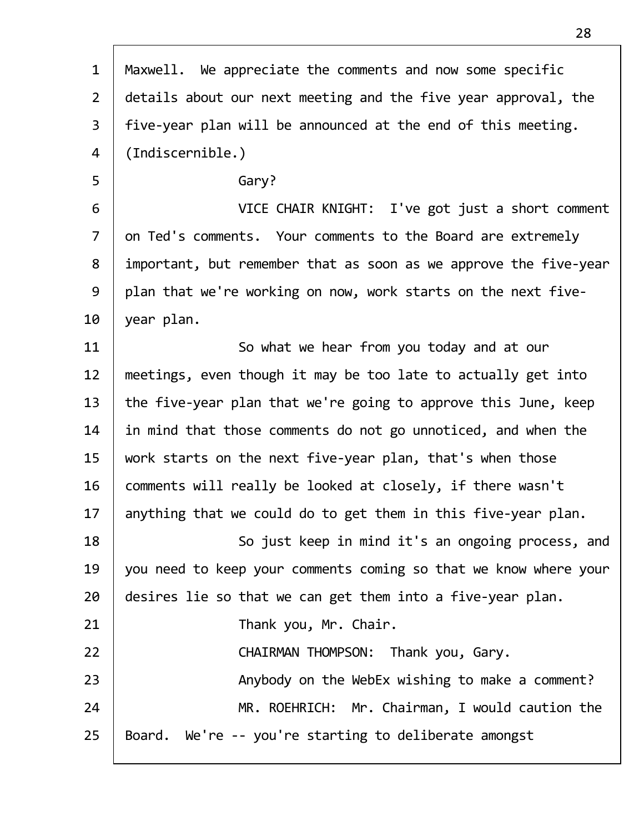| $\mathbf{1}$   | Maxwell. We appreciate the comments and now some specific        |
|----------------|------------------------------------------------------------------|
| $\overline{2}$ | details about our next meeting and the five year approval, the   |
| $\overline{3}$ | five-year plan will be announced at the end of this meeting.     |
| 4              | (Indiscernible.)                                                 |
| 5              | Gary?                                                            |
| 6              | VICE CHAIR KNIGHT: I've got just a short comment                 |
| $\overline{7}$ | on Ted's comments. Your comments to the Board are extremely      |
| 8              | important, but remember that as soon as we approve the five-year |
| 9              | plan that we're working on now, work starts on the next five-    |
| 10             | year plan.                                                       |
| 11             | So what we hear from you today and at our                        |
| 12             | meetings, even though it may be too late to actually get into    |
| 13             | the five-year plan that we're going to approve this June, keep   |
| 14             | in mind that those comments do not go unnoticed, and when the    |
| 15             | work starts on the next five-year plan, that's when those        |
| 16             | comments will really be looked at closely, if there wasn't       |
| 17             | anything that we could do to get them in this five-year plan.    |
| 18             | So just keep in mind it's an ongoing process, and                |
| 19             | you need to keep your comments coming so that we know where your |
| 20             | desires lie so that we can get them into a five-year plan.       |
| 21             | Thank you, Mr. Chair.                                            |
| 22             | CHAIRMAN THOMPSON: Thank you, Gary.                              |
| 23             | Anybody on the WebEx wishing to make a comment?                  |
| 24             | MR. ROEHRICH: Mr. Chairman, I would caution the                  |
| 25             | Board. We're -- you're starting to deliberate amongst            |
|                |                                                                  |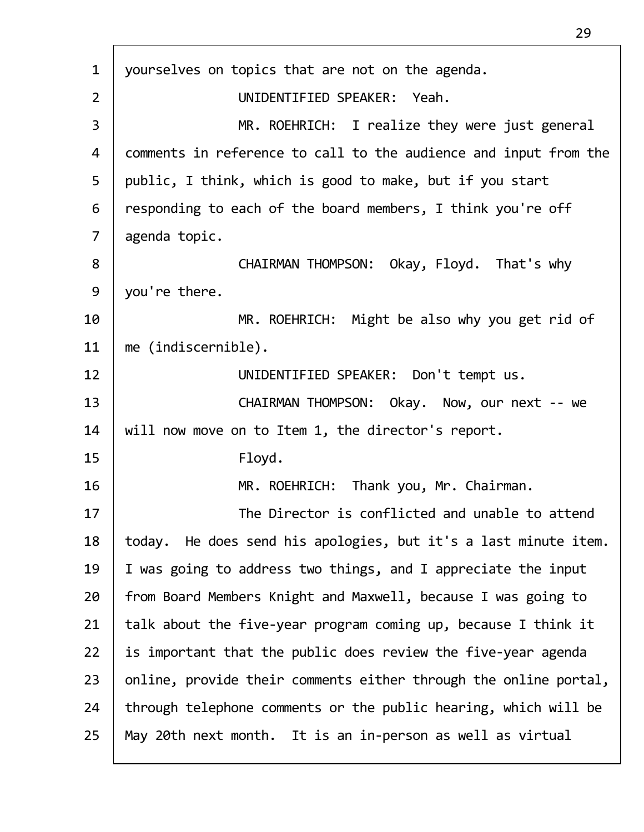| $\mathbf{1}$   | yourselves on topics that are not on the agenda.                   |
|----------------|--------------------------------------------------------------------|
| $\overline{2}$ | UNIDENTIFIED SPEAKER: Yeah.                                        |
| 3              | MR. ROEHRICH: I realize they were just general                     |
| 4              | comments in reference to call to the audience and input from the   |
| 5              | public, I think, which is good to make, but if you start           |
| 6              | responding to each of the board members, I think you're off        |
| $\overline{7}$ | agenda topic.                                                      |
| 8              | CHAIRMAN THOMPSON: Okay, Floyd. That's why                         |
| 9              | you're there.                                                      |
| 10             | MR. ROEHRICH: Might be also why you get rid of                     |
| 11             | me (indiscernible).                                                |
| 12             | UNIDENTIFIED SPEAKER: Don't tempt us.                              |
| 13             | CHAIRMAN THOMPSON: Okay. Now, our next -- we                       |
| 14             | will now move on to Item 1, the director's report.                 |
| 15             | Floyd.                                                             |
| 16             | MR. ROEHRICH: Thank you, Mr. Chairman.                             |
| 17             | The Director is conflicted and unable to attend                    |
| 18             | He does send his apologies, but it's a last minute item.<br>today. |
| 19             | I was going to address two things, and I appreciate the input      |
| 20             | from Board Members Knight and Maxwell, because I was going to      |
| 21             | talk about the five-year program coming up, because I think it     |
| 22             | is important that the public does review the five-year agenda      |
| 23             | online, provide their comments either through the online portal,   |
| 24             | through telephone comments or the public hearing, which will be    |
| 25             | May 20th next month. It is an in-person as well as virtual         |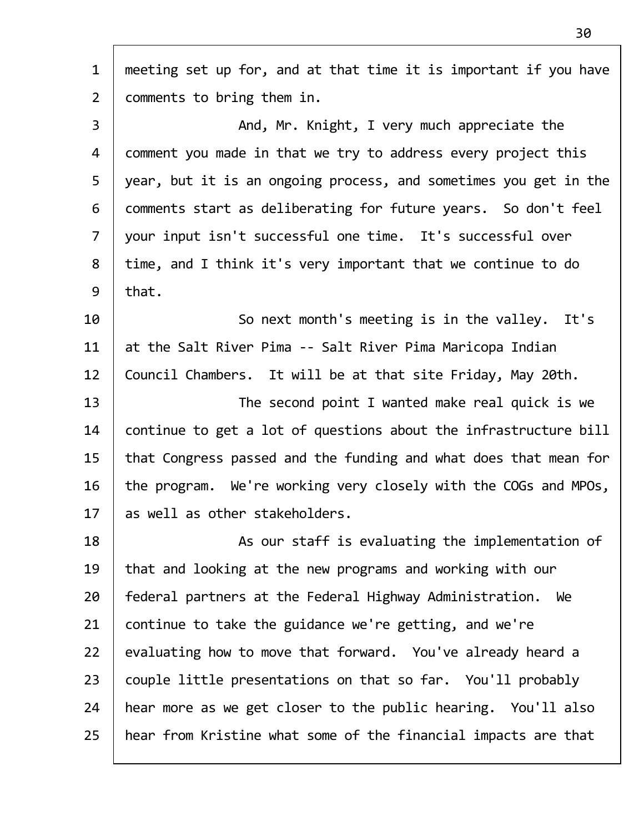| $\mathbf{1}$   | meeting set up for, and at that time it is important if you have |
|----------------|------------------------------------------------------------------|
| $\overline{2}$ | comments to bring them in.                                       |
| 3              | And, Mr. Knight, I very much appreciate the                      |
| 4              | comment you made in that we try to address every project this    |
| 5              | year, but it is an ongoing process, and sometimes you get in the |
| 6              | comments start as deliberating for future years. So don't feel   |
| $\overline{7}$ | your input isn't successful one time. It's successful over       |
| 8              | time, and I think it's very important that we continue to do     |
| 9              | that.                                                            |
| 10             | So next month's meeting is in the valley. It's                   |
| 11             | at the Salt River Pima -- Salt River Pima Maricopa Indian        |
| 12             | Council Chambers. It will be at that site Friday, May 20th.      |
| 13             | The second point I wanted make real quick is we                  |
| 14             | continue to get a lot of questions about the infrastructure bill |
| 15             | that Congress passed and the funding and what does that mean for |
| 16             | the program. We're working very closely with the COGs and MPOs,  |
| 17             | as well as other stakeholders.                                   |
| 18             | As our staff is evaluating the implementation of                 |
| 19             | that and looking at the new programs and working with our        |
| 20             | federal partners at the Federal Highway Administration. We       |
| 21             | continue to take the guidance we're getting, and we're           |
| 22             | evaluating how to move that forward. You've already heard a      |
| 23             | couple little presentations on that so far. You'll probably      |
| 24             | hear more as we get closer to the public hearing. You'll also    |
| 25             | hear from Kristine what some of the financial impacts are that   |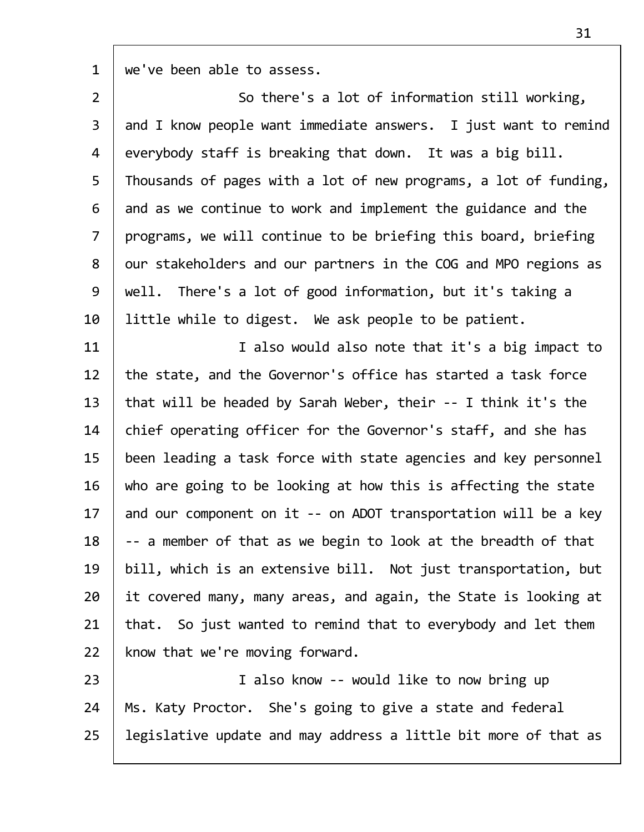$1 \mid$  we've been able to assess.

| $\overline{2}$ | So there's a lot of information still working,                   |
|----------------|------------------------------------------------------------------|
| $\mathsf{3}$   | and I know people want immediate answers. I just want to remind  |
| 4              | everybody staff is breaking that down. It was a big bill.        |
| 5              | Thousands of pages with a lot of new programs, a lot of funding, |
| 6              | and as we continue to work and implement the guidance and the    |
| $\overline{7}$ | programs, we will continue to be briefing this board, briefing   |
| 8              | our stakeholders and our partners in the COG and MPO regions as  |
| 9              | well. There's a lot of good information, but it's taking a       |
| 10             | little while to digest. We ask people to be patient.             |
| 11             | I also would also note that it's a big impact to                 |
| 12             | the state, and the Governor's office has started a task force    |
| 13             | that will be headed by Sarah Weber, their -- I think it's the    |
| 14             | chief operating officer for the Governor's staff, and she has    |
| 15             | been leading a task force with state agencies and key personnel  |
| 16             | who are going to be looking at how this is affecting the state   |
| 17             | and our component on it -- on ADOT transportation will be a key  |
| 18             | -- a member of that as we begin to look at the breadth of that   |
| 19             | bill, which is an extensive bill. Not just transportation, but   |
| 20             | it covered many, many areas, and again, the State is looking at  |
| 21             | that. So just wanted to remind that to everybody and let them    |
| 22             | know that we're moving forward.                                  |
| 23             | I also know -- would like to now bring up                        |
| 24             | Ms. Katy Proctor. She's going to give a state and federal        |

 $25$  legislative update and may address a little bit more of that as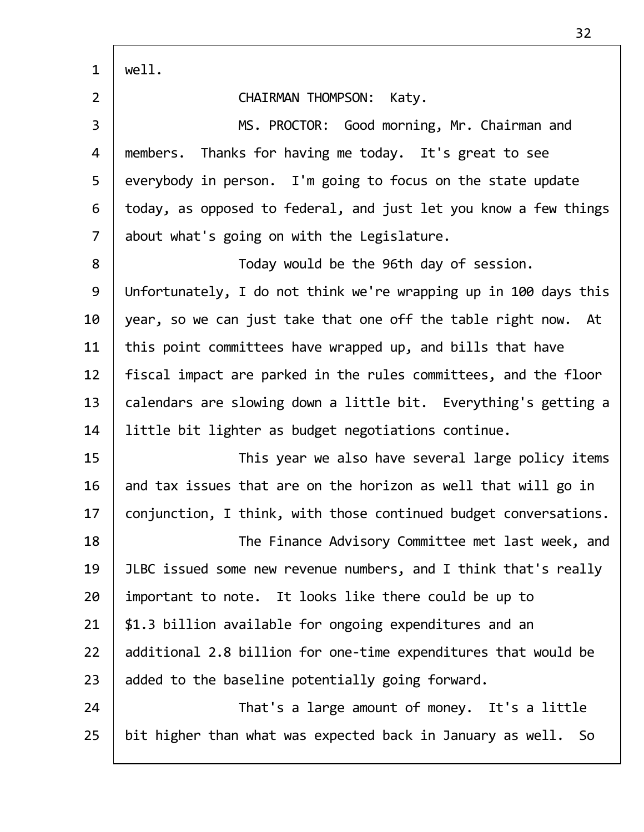| $\overline{2}$ | <b>CHAIRMAN THOMPSON:</b><br>Katy.                               |
|----------------|------------------------------------------------------------------|
| $\overline{3}$ | MS. PROCTOR: Good morning, Mr. Chairman and                      |
| 4              | members. Thanks for having me today. It's great to see           |
| 5              | everybody in person. I'm going to focus on the state update      |
| 6              | today, as opposed to federal, and just let you know a few things |
| $\overline{7}$ | about what's going on with the Legislature.                      |
| 8              | Today would be the 96th day of session.                          |
| 9              | Unfortunately, I do not think we're wrapping up in 100 days this |
| 10             | year, so we can just take that one off the table right now. At   |
| 11             | this point committees have wrapped up, and bills that have       |
| 12             | fiscal impact are parked in the rules committees, and the floor  |
| 13             | calendars are slowing down a little bit. Everything's getting a  |
| 14             | little bit lighter as budget negotiations continue.              |
| 15             | This year we also have several large policy items                |
| 16             | and tax issues that are on the horizon as well that will go in   |
| 17             | conjunction, I think, with those continued budget conversations. |
| 18             | The Finance Advisory Committee met last week, and                |
| 19             | JLBC issued some new revenue numbers, and I think that's really  |
| 20             | important to note. It looks like there could be up to            |
| 21             | \$1.3 billion available for ongoing expenditures and an          |
| 22             | additional 2.8 billion for one-time expenditures that would be   |
| 23             | added to the baseline potentially going forward.                 |
| 24             | That's a large amount of money. It's a little                    |
| 25             | bit higher than what was expected back in January as well. So    |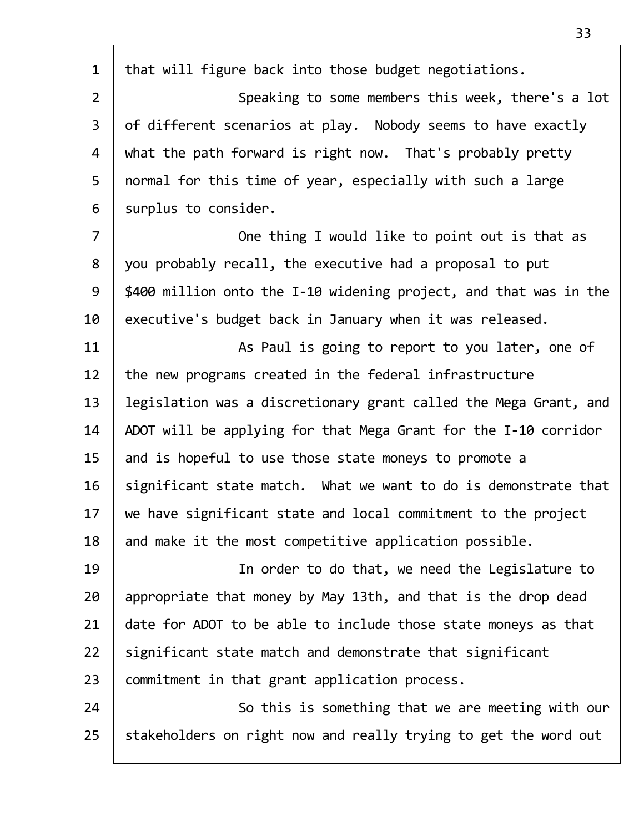| $\mathbf{1}$   | that will figure back into those budget negotiations.             |
|----------------|-------------------------------------------------------------------|
| $\overline{2}$ | Speaking to some members this week, there's a lot                 |
| $\mathsf{3}$   | of different scenarios at play. Nobody seems to have exactly      |
| 4              | what the path forward is right now. That's probably pretty        |
| 5              | normal for this time of year, especially with such a large        |
| 6              | surplus to consider.                                              |
| $\overline{7}$ | One thing I would like to point out is that as                    |
| 8              | you probably recall, the executive had a proposal to put          |
| 9              | \$400 million onto the I-10 widening project, and that was in the |
| 10             | executive's budget back in January when it was released.          |
| 11             | As Paul is going to report to you later, one of                   |
| 12             | the new programs created in the federal infrastructure            |
| 13             | legislation was a discretionary grant called the Mega Grant, and  |
| 14             | ADOT will be applying for that Mega Grant for the I-10 corridor   |
| 15             | and is hopeful to use those state moneys to promote a             |
| 16             | significant state match. What we want to do is demonstrate that   |
| 17             | we have significant state and local commitment to the project     |
| 18             | and make it the most competitive application possible.            |
| 19             | In order to do that, we need the Legislature to                   |
| 20             | appropriate that money by May 13th, and that is the drop dead     |
| 21             | date for ADOT to be able to include those state moneys as that    |
| 22             | significant state match and demonstrate that significant          |
| 23             | commitment in that grant application process.                     |
| 24             | So this is something that we are meeting with our                 |
| 25             | stakeholders on right now and really trying to get the word out   |
|                |                                                                   |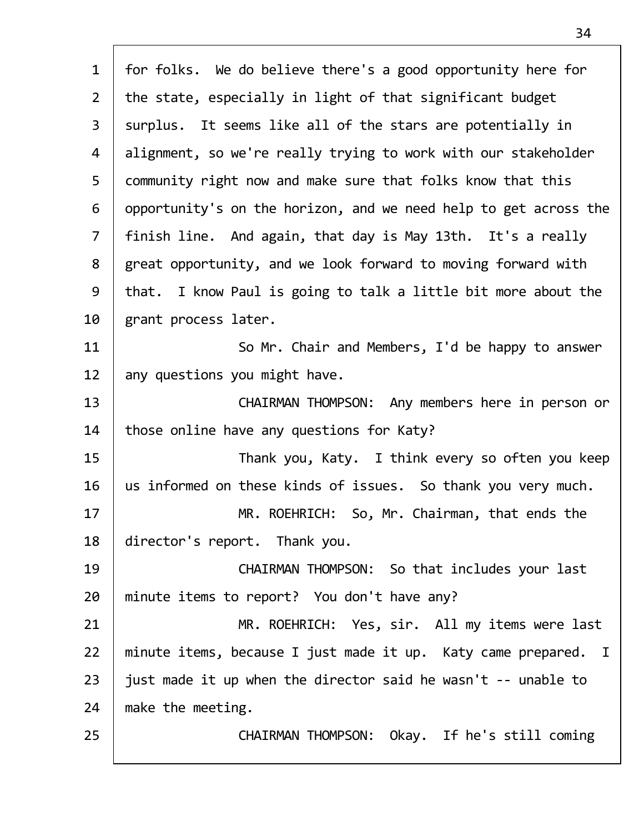| $\mathbf{1}$   | for folks. We do believe there's a good opportunity here for     |
|----------------|------------------------------------------------------------------|
| $2^{\circ}$    | the state, especially in light of that significant budget        |
| $\overline{3}$ | surplus. It seems like all of the stars are potentially in       |
| 4              | alignment, so we're really trying to work with our stakeholder   |
| 5              | community right now and make sure that folks know that this      |
| 6              | opportunity's on the horizon, and we need help to get across the |
| $\overline{7}$ | finish line. And again, that day is May 13th. It's a really      |
| 8              | great opportunity, and we look forward to moving forward with    |
| 9              | that. I know Paul is going to talk a little bit more about the   |
| 10             | grant process later.                                             |
| 11             | So Mr. Chair and Members, I'd be happy to answer                 |
| 12             | any questions you might have.                                    |
| 13             | CHAIRMAN THOMPSON: Any members here in person or                 |
| 14             | those online have any questions for Katy?                        |
| 15             | Thank you, Katy. I think every so often you keep                 |
| 16             | us informed on these kinds of issues. So thank you very much.    |
| 17             | MR. ROEHRICH: So, Mr. Chairman, that ends the                    |
| 18             | director's report. Thank you.                                    |
| 19             | CHAIRMAN THOMPSON: So that includes your last                    |
| 20             | minute items to report? You don't have any?                      |
| 21             | MR. ROEHRICH: Yes, sir. All my items were last                   |
| 22             | minute items, because I just made it up. Katy came prepared. I   |
| 23             | just made it up when the director said he wasn't -- unable to    |
| 24             | make the meeting.                                                |
| 25             | CHAIRMAN THOMPSON: Okay. If he's still coming                    |
|                |                                                                  |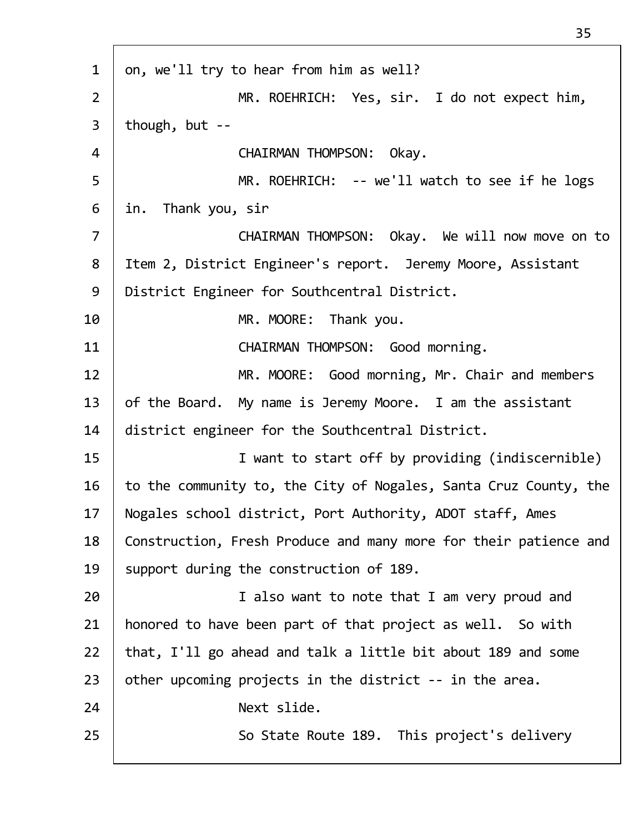| $\mathbf{1}$   | on, we'll try to hear from him as well?                          |
|----------------|------------------------------------------------------------------|
| $\overline{2}$ | MR. ROEHRICH: Yes, sir. I do not expect him,                     |
| $\mathsf{3}$   | though, but $-$                                                  |
| 4              | CHAIRMAN THOMPSON: Okay.                                         |
| 5              | MR. ROEHRICH: -- we'll watch to see if he logs                   |
| 6              | in. Thank you, sir                                               |
| $\overline{7}$ | CHAIRMAN THOMPSON: Okay. We will now move on to                  |
| 8              | Item 2, District Engineer's report. Jeremy Moore, Assistant      |
| 9              | District Engineer for Southcentral District.                     |
| 10             | MR. MOORE: Thank you.                                            |
| 11             | CHAIRMAN THOMPSON: Good morning.                                 |
| 12             | MR. MOORE: Good morning, Mr. Chair and members                   |
| 13             | of the Board. My name is Jeremy Moore. I am the assistant        |
| 14             | district engineer for the Southcentral District.                 |
| 15             | I want to start off by providing (indiscernible)                 |
| 16             | to the community to, the City of Nogales, Santa Cruz County, the |
| 17             | Nogales school district, Port Authority, ADOT staff, Ames        |
| 18             | Construction, Fresh Produce and many more for their patience and |
| 19             | support during the construction of 189.                          |
| 20             | I also want to note that I am very proud and                     |
| 21             | honored to have been part of that project as well. So with       |
| 22             | that, I'll go ahead and talk a little bit about 189 and some     |
| 23             | other upcoming projects in the district -- in the area.          |
| 24             | Next slide.                                                      |
| 25             | So State Route 189. This project's delivery                      |
|                |                                                                  |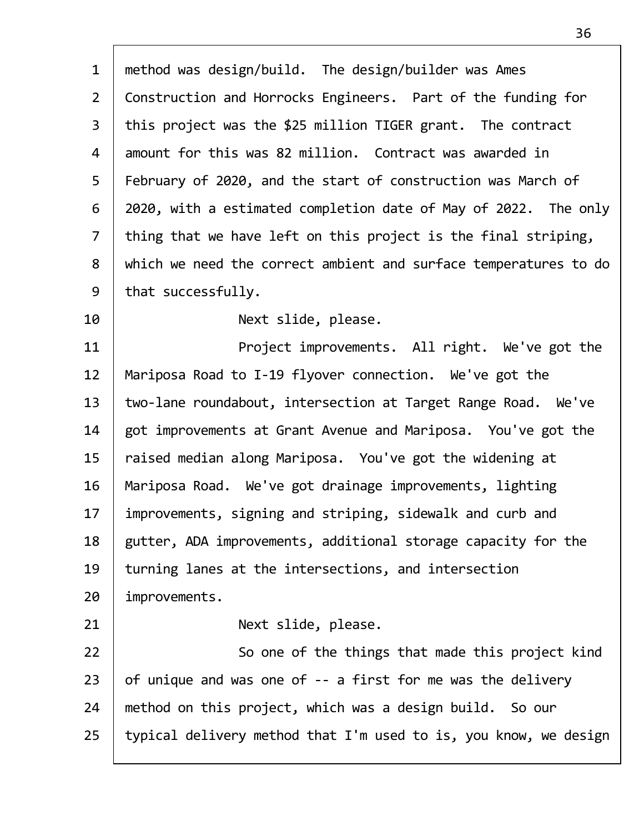| $\mathbf{1}$   | method was design/build. The design/builder was Ames             |
|----------------|------------------------------------------------------------------|
| $\overline{2}$ | Construction and Horrocks Engineers. Part of the funding for     |
| $\overline{3}$ | this project was the \$25 million TIGER grant. The contract      |
| 4              | amount for this was 82 million. Contract was awarded in          |
| 5              | February of 2020, and the start of construction was March of     |
| 6              | 2020, with a estimated completion date of May of 2022. The only  |
| $\overline{7}$ | thing that we have left on this project is the final striping,   |
| 8              | which we need the correct ambient and surface temperatures to do |
| 9              | that successfully.                                               |
| 10             | Next slide, please.                                              |
| 11             | Project improvements. All right. We've got the                   |
| 12             | Mariposa Road to I-19 flyover connection. We've got the          |
| 13             | two-lane roundabout, intersection at Target Range Road. We've    |
| 14             | got improvements at Grant Avenue and Mariposa. You've got the    |
| 15             | raised median along Mariposa. You've got the widening at         |
| 16             | Mariposa Road. We've got drainage improvements, lighting         |
| 17             | improvements, signing and striping, sidewalk and curb and        |
| 18             | gutter, ADA improvements, additional storage capacity for the    |
| 19             | turning lanes at the intersections, and intersection             |
| 20             | improvements.                                                    |
| 21             | Next slide, please.                                              |
| 22             | So one of the things that made this project kind                 |
| 23             | of unique and was one of -- a first for me was the delivery      |
| 24             | method on this project, which was a design build. So our         |
| 25             | typical delivery method that I'm used to is, you know, we design |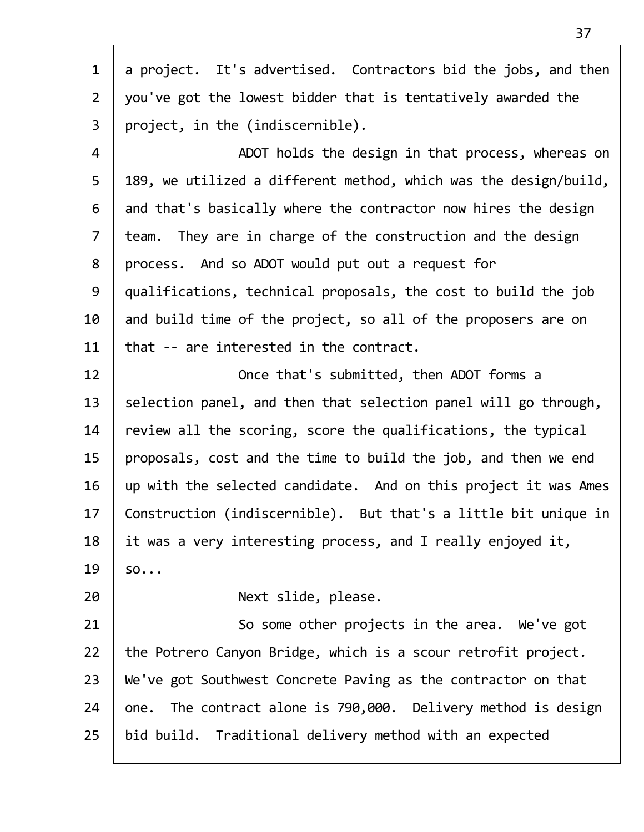| $\mathbf{1}$   | a project. It's advertised. Contractors bid the jobs, and then   |
|----------------|------------------------------------------------------------------|
| $\overline{2}$ | you've got the lowest bidder that is tentatively awarded the     |
| $\overline{3}$ | project, in the (indiscernible).                                 |
| 4              | ADOT holds the design in that process, whereas on                |
| 5              | 189, we utilized a different method, which was the design/build, |
| 6              | and that's basically where the contractor now hires the design   |
| $\overline{7}$ | team. They are in charge of the construction and the design      |
| 8              | process. And so ADOT would put out a request for                 |
| 9              | qualifications, technical proposals, the cost to build the job   |
| 10             | and build time of the project, so all of the proposers are on    |
| 11             | that -- are interested in the contract.                          |
| 12             | Once that's submitted, then ADOT forms a                         |
| 13             | selection panel, and then that selection panel will go through,  |
| 14             | review all the scoring, score the qualifications, the typical    |
| 15             | proposals, cost and the time to build the job, and then we end   |
| 16             | up with the selected candidate. And on this project it was Ames  |
| 17             | Construction (indiscernible). But that's a little bit unique in  |
| 18             | it was a very interesting process, and I really enjoyed it,      |
| 19             | SO                                                               |
| 20             | Next slide, please.                                              |
| 21             | So some other projects in the area. We've got                    |
| 22             | the Potrero Canyon Bridge, which is a scour retrofit project.    |
| 23             | We've got Southwest Concrete Paving as the contractor on that    |
| 24             | one. The contract alone is 790,000. Delivery method is design    |
| 25             | bid build. Traditional delivery method with an expected          |
|                |                                                                  |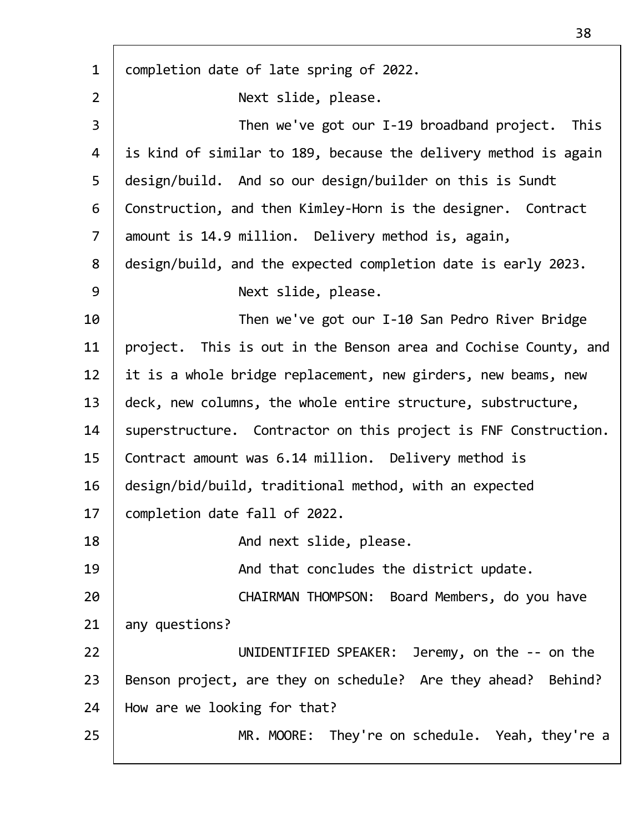| $\mathbf{1}$   | completion date of late spring of 2022.                         |
|----------------|-----------------------------------------------------------------|
| $\overline{2}$ | Next slide, please.                                             |
| 3              | Then we've got our I-19 broadband project. This                 |
| 4              | is kind of similar to 189, because the delivery method is again |
| 5              | design/build. And so our design/builder on this is Sundt        |
| 6              | Construction, and then Kimley-Horn is the designer. Contract    |
| $\overline{7}$ | amount is 14.9 million. Delivery method is, again,              |
| 8              | design/build, and the expected completion date is early 2023.   |
| 9              | Next slide, please.                                             |
| 10             | Then we've got our I-10 San Pedro River Bridge                  |
| 11             | project. This is out in the Benson area and Cochise County, and |
| 12             | it is a whole bridge replacement, new girders, new beams, new   |
| 13             | deck, new columns, the whole entire structure, substructure,    |
| 14             | superstructure. Contractor on this project is FNF Construction. |
| 15             | Contract amount was 6.14 million. Delivery method is            |
| 16             | design/bid/build, traditional method, with an expected          |
| 17             | completion date fall of 2022.                                   |
| 18             | And next slide, please.                                         |
| 19             | And that concludes the district update.                         |
| 20             | CHAIRMAN THOMPSON: Board Members, do you have                   |
| 21             | any questions?                                                  |
| 22             | UNIDENTIFIED SPEAKER: Jeremy, on the -- on the                  |
| 23             | Benson project, are they on schedule? Are they ahead? Behind?   |
| 24             | How are we looking for that?                                    |
| 25             | MR. MOORE: They're on schedule. Yeah, they're a                 |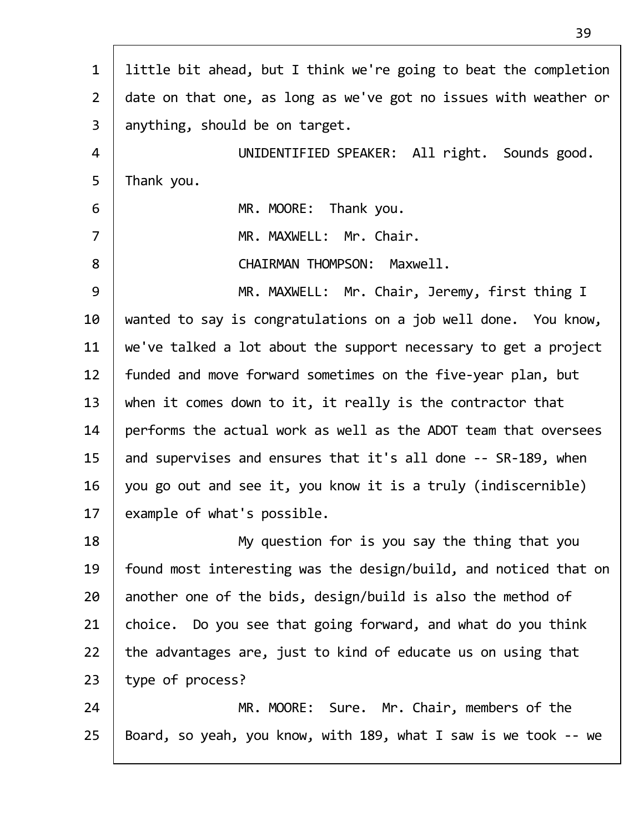| $\mathbf{1}$   | little bit ahead, but I think we're going to beat the completion |
|----------------|------------------------------------------------------------------|
| $\overline{2}$ | date on that one, as long as we've got no issues with weather or |
| $\overline{3}$ | anything, should be on target.                                   |
| 4              | UNIDENTIFIED SPEAKER: All right. Sounds good.                    |
| 5              | Thank you.                                                       |
| 6              | MR. MOORE: Thank you.                                            |
| $\overline{7}$ | MR. MAXWELL: Mr. Chair.                                          |
| 8              | CHAIRMAN THOMPSON: Maxwell.                                      |
| 9              | MR. MAXWELL: Mr. Chair, Jeremy, first thing I                    |
| 10             | wanted to say is congratulations on a job well done. You know,   |
| 11             | we've talked a lot about the support necessary to get a project  |
| 12             | funded and move forward sometimes on the five-year plan, but     |
| 13             | when it comes down to it, it really is the contractor that       |
| 14             | performs the actual work as well as the ADOT team that oversees  |
| 15             | and supervises and ensures that it's all done -- SR-189, when    |
| 16             | you go out and see it, you know it is a truly (indiscernible)    |
| 17             | example of what's possible.                                      |
| 18             | My question for is you say the thing that you                    |
| 19             | found most interesting was the design/build, and noticed that on |
| 20             | another one of the bids, design/build is also the method of      |
| 21             | choice. Do you see that going forward, and what do you think     |
| 22             | the advantages are, just to kind of educate us on using that     |
| 23             | type of process?                                                 |
| 24             | MR. MOORE: Sure. Mr. Chair, members of the                       |
| 25             | Board, so yeah, you know, with 189, what I saw is we took -- we  |
|                |                                                                  |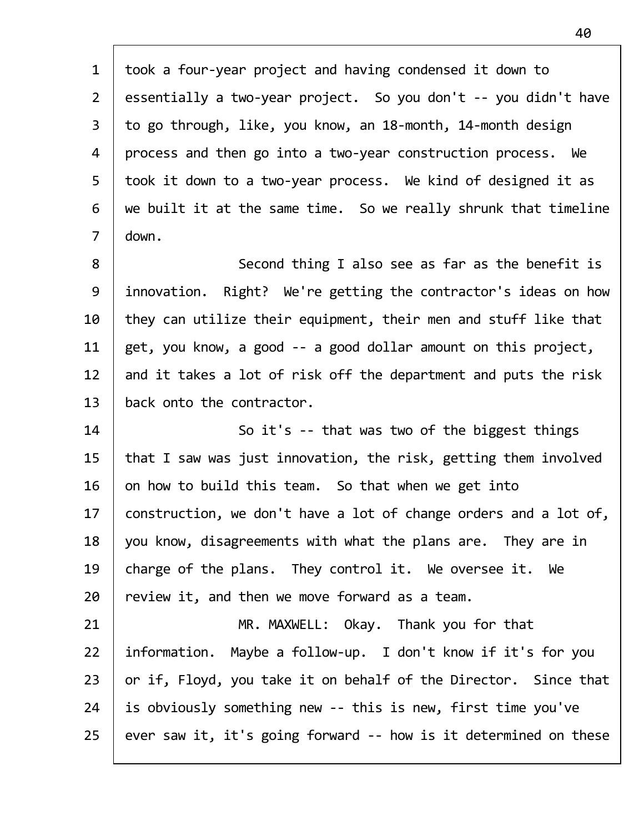| took a four-year project and having condensed it down to         |
|------------------------------------------------------------------|
| essentially a two-year project. So you don't -- you didn't have  |
| to go through, like, you know, an 18-month, 14-month design      |
| process and then go into a two-year construction process. We     |
| took it down to a two-year process. We kind of designed it as    |
| we built it at the same time. So we really shrunk that timeline  |
| down.                                                            |
| Second thing I also see as far as the benefit is                 |
| innovation. Right? We're getting the contractor's ideas on how   |
| they can utilize their equipment, their men and stuff like that  |
| get, you know, a good -- a good dollar amount on this project,   |
| and it takes a lot of risk off the department and puts the risk  |
| back onto the contractor.                                        |
| So it's -- that was two of the biggest things                    |
| that I saw was just innovation, the risk, getting them involved  |
| on how to build this team. So that when we get into              |
| construction, we don't have a lot of change orders and a lot of, |
| you know, disagreements with what the plans are. They are in     |
| charge of the plans. They control it. We oversee it. We          |
| review it, and then we move forward as a team.                   |
| MR. MAXWELL: Okay. Thank you for that                            |
| information. Maybe a follow-up. I don't know if it's for you     |
| or if, Floyd, you take it on behalf of the Director. Since that  |
| is obviously something new -- this is new, first time you've     |
| ever saw it, it's going forward -- how is it determined on these |
|                                                                  |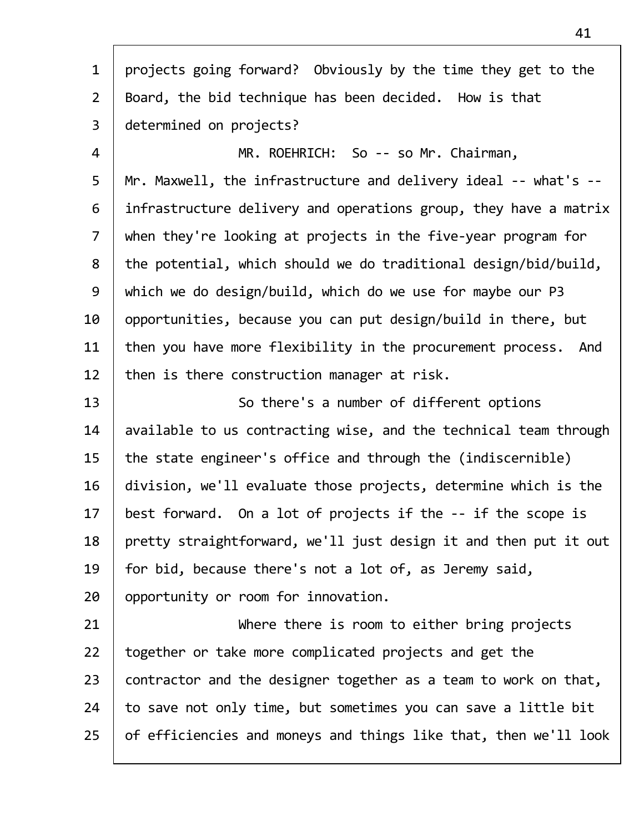| $\mathbf{1}$   | projects going forward? Obviously by the time they get to the    |
|----------------|------------------------------------------------------------------|
| $\overline{2}$ | Board, the bid technique has been decided. How is that           |
| $\overline{3}$ | determined on projects?                                          |
| 4              | MR. ROEHRICH: So -- so Mr. Chairman,                             |
| 5              | Mr. Maxwell, the infrastructure and delivery ideal -- what's --  |
| 6              | infrastructure delivery and operations group, they have a matrix |
| $\overline{7}$ | when they're looking at projects in the five-year program for    |
| 8              | the potential, which should we do traditional design/bid/build,  |
| 9              | which we do design/build, which do we use for maybe our P3       |
| 10             | opportunities, because you can put design/build in there, but    |
| 11             | then you have more flexibility in the procurement process. And   |
| 12             | then is there construction manager at risk.                      |
| 13             | So there's a number of different options                         |
| 14             | available to us contracting wise, and the technical team through |
| 15             | the state engineer's office and through the (indiscernible)      |
| 16             | division, we'll evaluate those projects, determine which is the  |
| 17             | best forward. On a lot of projects if the -- if the scope is     |
| 18             | pretty straightforward, we'll just design it and then put it out |
| 19             | for bid, because there's not a lot of, as Jeremy said,           |
| 20             | opportunity or room for innovation.                              |
| 21             | Where there is room to either bring projects                     |
| 22             | together or take more complicated projects and get the           |
| 23             | contractor and the designer together as a team to work on that,  |
| 24             | to save not only time, but sometimes you can save a little bit   |
| 25             | of efficiencies and moneys and things like that, then we'll look |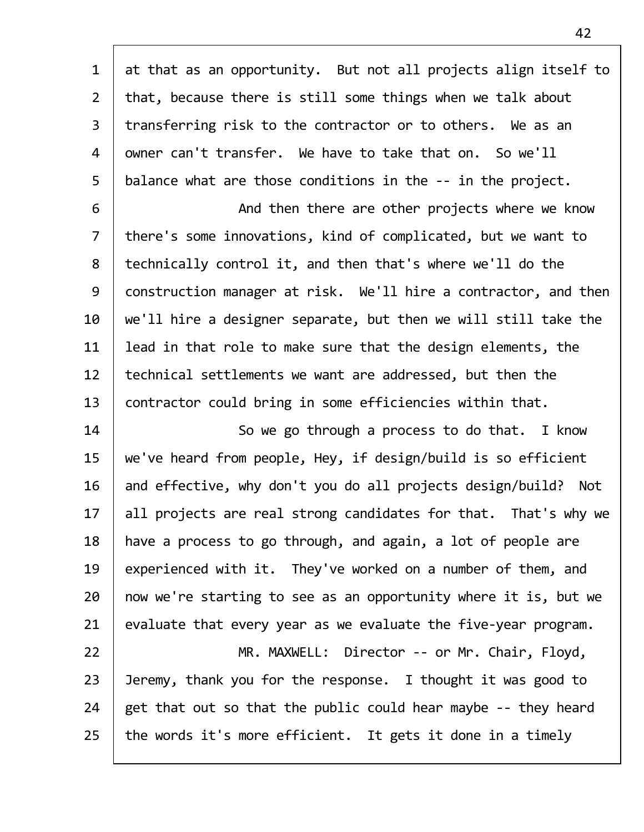| $\mathbf{1}$   | at that as an opportunity. But not all projects align itself to   |
|----------------|-------------------------------------------------------------------|
| $\overline{2}$ | that, because there is still some things when we talk about       |
| $\overline{3}$ | transferring risk to the contractor or to others. We as an        |
| 4              | owner can't transfer. We have to take that on. So we'll           |
| 5              | balance what are those conditions in the -- in the project.       |
| 6              | And then there are other projects where we know                   |
| $\overline{7}$ | there's some innovations, kind of complicated, but we want to     |
| 8              | technically control it, and then that's where we'll do the        |
| 9              | construction manager at risk. We'll hire a contractor, and then   |
| 10             | we'll hire a designer separate, but then we will still take the   |
| 11             | lead in that role to make sure that the design elements, the      |
| 12             | technical settlements we want are addressed, but then the         |
| 13             | contractor could bring in some efficiencies within that.          |
| 14             | So we go through a process to do that. I know                     |
| 15             | we've heard from people, Hey, if design/build is so efficient     |
| 16             | and effective, why don't you do all projects design/build?<br>Not |
| 17             | all projects are real strong candidates for that. That's why we   |
| 18             | have a process to go through, and again, a lot of people are      |
| 19             | experienced with it. They've worked on a number of them, and      |
| 20             | now we're starting to see as an opportunity where it is, but we   |
| 21             | evaluate that every year as we evaluate the five-year program.    |
| 22             | MR. MAXWELL: Director -- or Mr. Chair, Floyd,                     |
| 23             | Jeremy, thank you for the response. I thought it was good to      |
| 24             | get that out so that the public could hear maybe -- they heard    |
| 25             | the words it's more efficient. It gets it done in a timely        |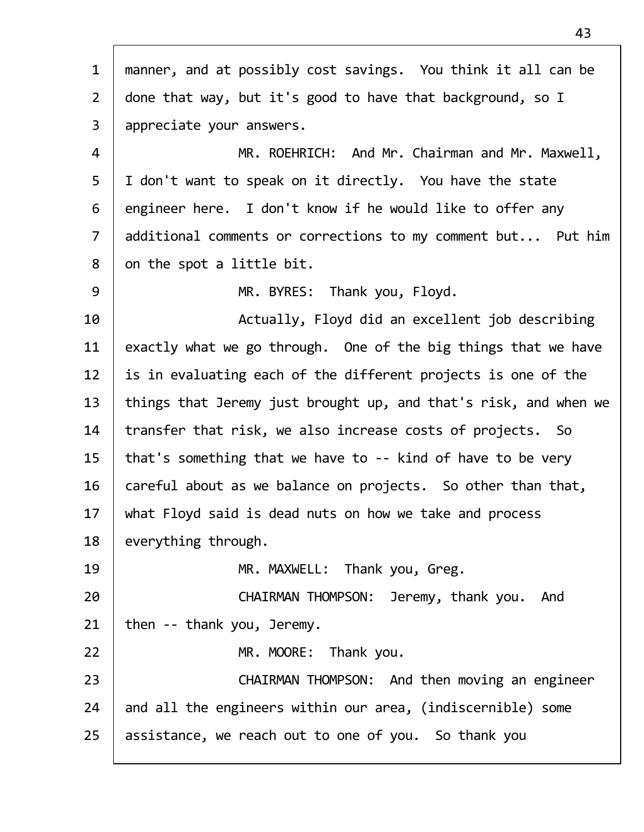| $\mathbf{1}$   | manner, and at possibly cost savings. You think it all can be    |
|----------------|------------------------------------------------------------------|
| $2^{\circ}$    | done that way, but it's good to have that background, so I       |
| $\mathsf{3}$   | appreciate your answers.                                         |
| 4              | MR. ROEHRICH: And Mr. Chairman and Mr. Maxwell,                  |
| 5              | I don't want to speak on it directly. You have the state         |
| 6              | engineer here. I don't know if he would like to offer any        |
| $\overline{7}$ | additional comments or corrections to my comment but Put him     |
| 8              | on the spot a little bit.                                        |
| 9              | MR. BYRES: Thank you, Floyd.                                     |
| 10             | Actually, Floyd did an excellent job describing                  |
| 11             | exactly what we go through. One of the big things that we have   |
| 12             | is in evaluating each of the different projects is one of the    |
| 13             | things that Jeremy just brought up, and that's risk, and when we |
| 14             | transfer that risk, we also increase costs of projects. So       |
| 15             | that's something that we have to -- kind of have to be very      |
| 16             | careful about as we balance on projects. So other than that,     |
| 17             | what Floyd said is dead nuts on how we take and process          |
| 18             | everything through.                                              |
| 19             | MR. MAXWELL: Thank you, Greg.                                    |
| 20             | CHAIRMAN THOMPSON: Jeremy, thank you.<br>And                     |
| 21             | then -- thank you, Jeremy.                                       |
| 22             | MR. MOORE:<br>Thank you.                                         |
| 23             | CHAIRMAN THOMPSON: And then moving an engineer                   |
| 24             | and all the engineers within our area, (indiscernible) some      |
| 25             | assistance, we reach out to one of you. So thank you             |
|                |                                                                  |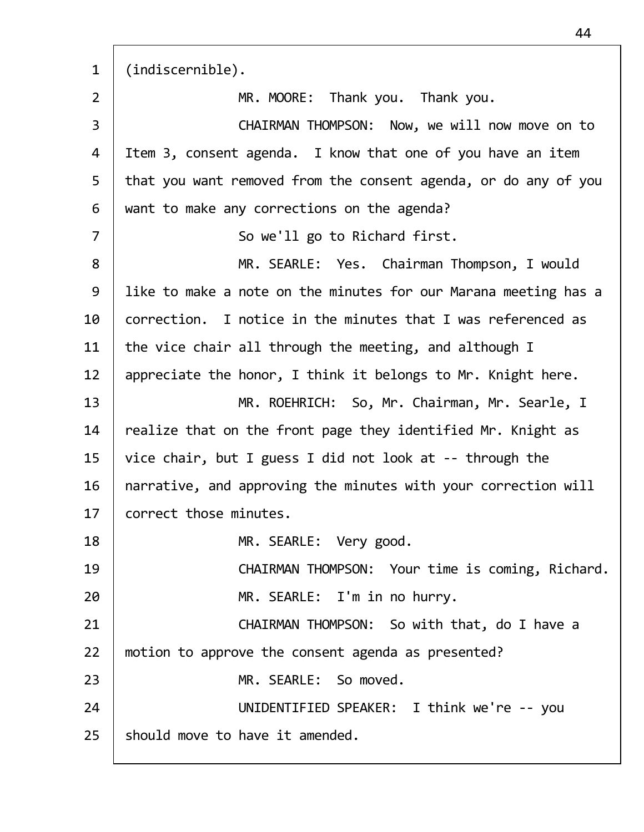1 (indiscernible). 2 | MR. MOORE: Thank you. Thank you. 3 CHAIRMAN THOMPSON: Now, we will now move on to 4 | Item 3, consent agenda. I know that one of you have an item 5 that you want removed from the consent agenda, or do any of you  $6$  want to make any corrections on the agenda? 7 | So we'll go to Richard first. 8 | MR. SEARLE: Yes. Chairman Thompson, I would 9 | like to make a note on the minutes for our Marana meeting has a 10  $\vert$  correction. I notice in the minutes that I was referenced as 11 the vice chair all through the meeting, and although I 12 | appreciate the honor, I think it belongs to Mr. Knight here. 13 MR. ROEHRICH: So, Mr. Chairman, Mr. Searle, I 14  $\parallel$  realize that on the front page they identified Mr. Knight as 15 vice chair, but I guess I did not look at  $-$ - through the  $16$  | narrative, and approving the minutes with your correction will 17 correct those minutes. 18 | MR. SEARLE: Very good. 19 | CHAIRMAN THOMPSON: Your time is coming, Richard. 20 MR. SEARLE: I'm in no hurry. 21 | CHAIRMAN THOMPSON: So with that, do I have a 22 | motion to approve the consent agenda as presented? 23 | MR. SEARLE: So moved. 24 | UNIDENTIFIED SPEAKER: I think we're -- you  $25$  should move to have it amended.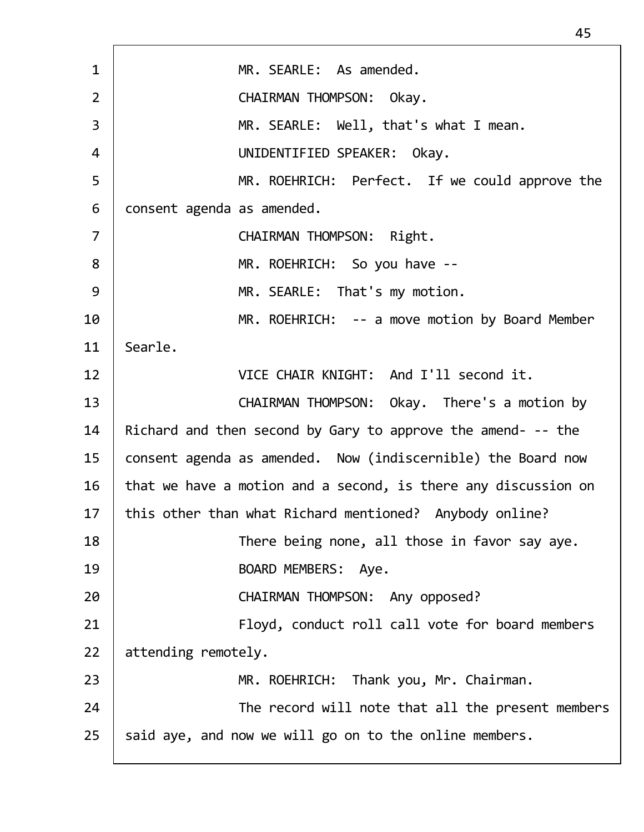| $\mathbf{1}$   | MR. SEARLE: As amended.                                        |
|----------------|----------------------------------------------------------------|
| $\overline{2}$ | CHAIRMAN THOMPSON: Okay.                                       |
| 3              | MR. SEARLE: Well, that's what I mean.                          |
| 4              | UNIDENTIFIED SPEAKER: Okay.                                    |
| 5              | MR. ROEHRICH: Perfect. If we could approve the                 |
| 6              | consent agenda as amended.                                     |
| $\overline{7}$ | CHAIRMAN THOMPSON: Right.                                      |
| 8              | MR. ROEHRICH: So you have --                                   |
| 9              | MR. SEARLE: That's my motion.                                  |
| 10             | MR. ROEHRICH: -- a move motion by Board Member                 |
| 11             | Searle.                                                        |
| 12             | VICE CHAIR KNIGHT: And I'll second it.                         |
| 13             | CHAIRMAN THOMPSON: Okay. There's a motion by                   |
| 14             | Richard and then second by Gary to approve the amend- -- the   |
| 15             | consent agenda as amended. Now (indiscernible) the Board now   |
| 16             | that we have a motion and a second, is there any discussion on |
| 17             | this other than what Richard mentioned? Anybody online?        |
| 18             | There being none, all those in favor say aye.                  |
| 19             | BOARD MEMBERS: Aye.                                            |
| 20             | CHAIRMAN THOMPSON: Any opposed?                                |
| 21             | Floyd, conduct roll call vote for board members                |
| 22             | attending remotely.                                            |
| 23             | MR. ROEHRICH: Thank you, Mr. Chairman.                         |
| 24             | The record will note that all the present members              |
| 25             | said aye, and now we will go on to the online members.         |
|                |                                                                |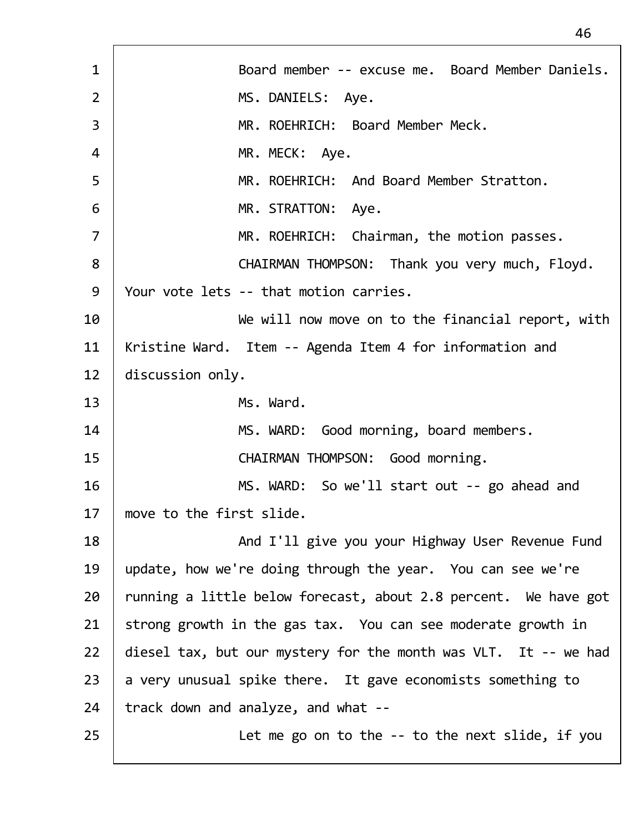1 | Board member -- excuse me. Board Member Daniels. 2 | MS.DANIELS: Aye. 3 MR. ROEHRICH: Board Member Meck. 4 | MR. MECK: Aye. 5 MR. ROEHRICH: And Board Member Stratton. 6 MR. STRATTON: Aye. 7 | MR. ROEHRICH: Chairman, the motion passes. 8 | CHAIRMAN THOMPSON: Thank you very much, Floyd. 9 | Your vote lets -- that motion carries. 10 | We will now move on to the financial report, with 11 | Kristine Ward. Item -- Agenda Item 4 for information and 12 discussion only. 13 Ms. Ward. 14 | MS. WARD: Good morning, board members. 15 | CHAIRMAN THOMPSON: Good morning. 16 | MS. WARD: So we'll start out -- go ahead and 17 move to the first slide. 18 | And I'll give you your Highway User Revenue Fund 19 update, how we're doing through the year. You can see we're  $20$  | running a little below forecast, about 2.8 percent. We have got  $21$  strong growth in the gas tax. You can see moderate growth in 22 diesel tax, but our mystery for the month was VLT. It -- we had  $23$  a very unusual spike there. It gave economists something to  $24$  | track down and analyze, and what  $-$ 25 | Let me go on to the -- to the next slide, if you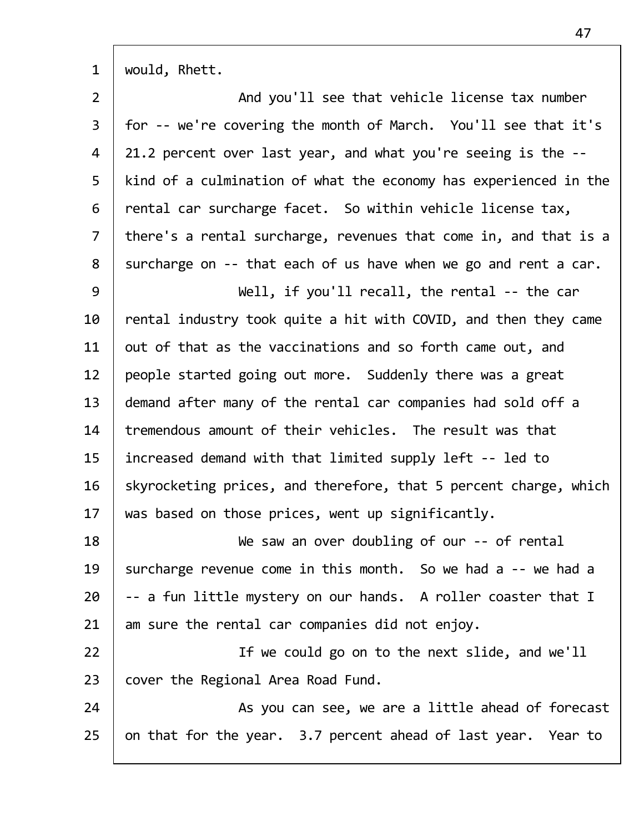| $\mathbf{1}$   | would, Rhett.                                                    |
|----------------|------------------------------------------------------------------|
| $\overline{2}$ | And you'll see that vehicle license tax number                   |
| 3              | for -- we're covering the month of March. You'll see that it's   |
| 4              | 21.2 percent over last year, and what you're seeing is the --    |
| 5              | kind of a culmination of what the economy has experienced in the |
| 6              | rental car surcharge facet. So within vehicle license tax,       |
| $\overline{7}$ | there's a rental surcharge, revenues that come in, and that is a |
| 8              | surcharge on -- that each of us have when we go and rent a car.  |
| 9              | Well, if you'll recall, the rental -- the car                    |
| 10             | rental industry took quite a hit with COVID, and then they came  |
| 11             | out of that as the vaccinations and so forth came out, and       |
| 12             | people started going out more. Suddenly there was a great        |
| 13             | demand after many of the rental car companies had sold off a     |
| 14             | tremendous amount of their vehicles. The result was that         |
| 15             | increased demand with that limited supply left -- led to         |
| 16             | skyrocketing prices, and therefore, that 5 percent charge, which |
| 17             | was based on those prices, went up significantly.                |
| 18             | We saw an over doubling of our -- of rental                      |
| 19             | surcharge revenue come in this month. So we had a -- we had a    |
| 20             | -- a fun little mystery on our hands. A roller coaster that I    |
| 21             | am sure the rental car companies did not enjoy.                  |
| 22             | If we could go on to the next slide, and we'll                   |
| 23             | cover the Regional Area Road Fund.                               |
| 24             | As you can see, we are a little ahead of forecast                |
| 25             | on that for the year. 3.7 percent ahead of last year. Year to    |
|                |                                                                  |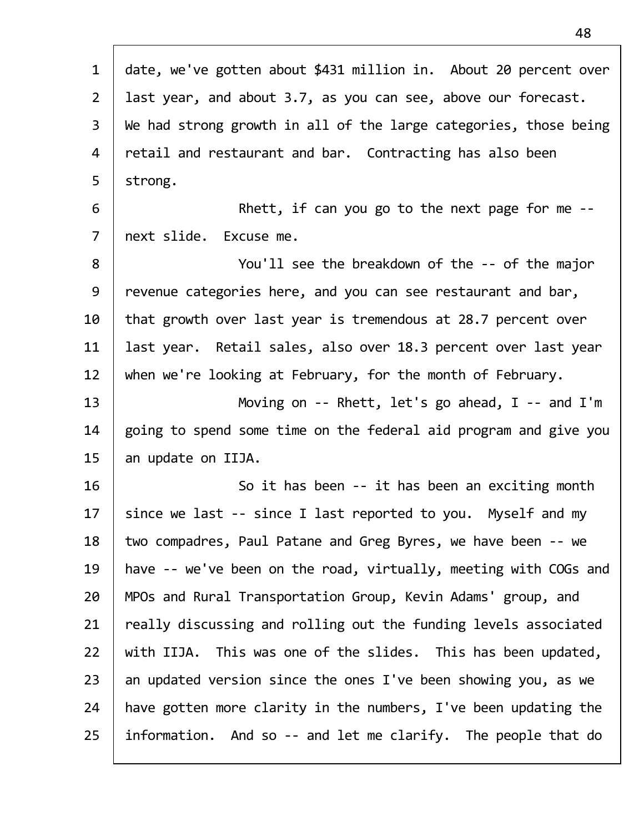| $\mathbf{1}$   | date, we've gotten about \$431 million in. About 20 percent over |
|----------------|------------------------------------------------------------------|
| $2^{\circ}$    | last year, and about 3.7, as you can see, above our forecast.    |
| $\mathsf{3}$   | We had strong growth in all of the large categories, those being |
| 4              | retail and restaurant and bar. Contracting has also been         |
| 5              | strong.                                                          |
| 6              | Rhett, if can you go to the next page for me $-$                 |
| $\overline{7}$ | next slide. Excuse me.                                           |
| 8              | You'll see the breakdown of the -- of the major                  |
| 9              | revenue categories here, and you can see restaurant and bar,     |
| 10             | that growth over last year is tremendous at 28.7 percent over    |
| 11             | last year. Retail sales, also over 18.3 percent over last year   |
| 12             | when we're looking at February, for the month of February.       |
| 13             | Moving on -- Rhett, let's go ahead, $I$ -- and $I'm$             |
| 14             | going to spend some time on the federal aid program and give you |
| 15             | an update on IIJA.                                               |
| 16             | So it has been -- it has been an exciting month                  |
| 17             | since we last -- since I last reported to you. Myself and my     |
| 18             | two compadres, Paul Patane and Greg Byres, we have been -- we    |
| 19             | have -- we've been on the road, virtually, meeting with COGs and |
| 20             | MPOs and Rural Transportation Group, Kevin Adams' group, and     |
| 21             | really discussing and rolling out the funding levels associated  |
| 22             | with IIJA. This was one of the slides. This has been updated,    |
| 23             | an updated version since the ones I've been showing you, as we   |
| 24             | have gotten more clarity in the numbers, I've been updating the  |
| 25             | information. And so -- and let me clarify. The people that do    |
|                |                                                                  |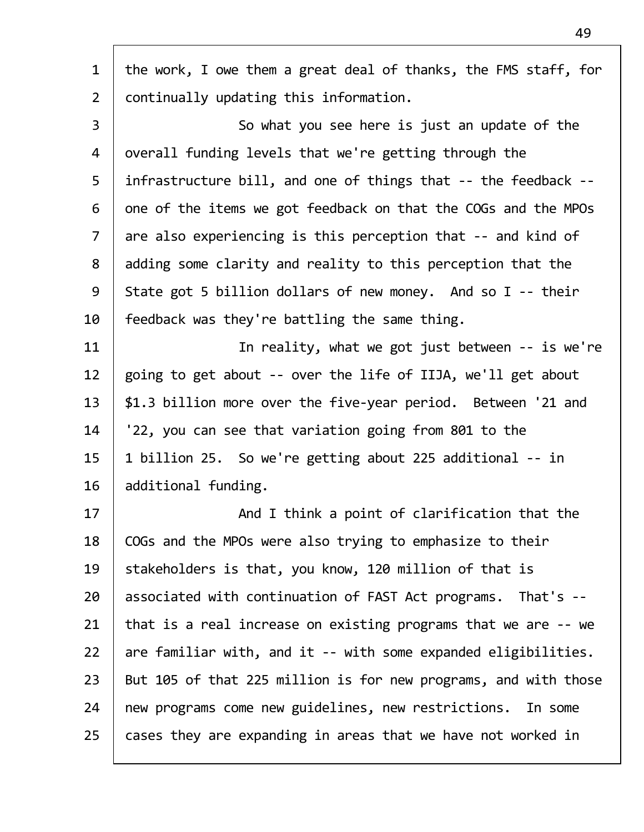| the work, I owe them a great deal of thanks, the FMS staff, for |
|-----------------------------------------------------------------|
| continually updating this information.                          |
| So what you see here is just an update of the                   |
| overall funding levels that we're getting through the           |
| infrastructure bill, and one of things that -- the feedback --  |
| one of the items we got feedback on that the COGs and the MPOs  |
| are also experiencing is this perception that -- and kind of    |
| adding some clarity and reality to this perception that the     |
| State got 5 billion dollars of new money. And so I -- their     |
| feedback was they're battling the same thing.                   |
| In reality, what we got just between -- is we're                |
| going to get about -- over the life of IIJA, we'll get about    |
| \$1.3 billion more over the five-year period. Between '21 and   |
| '22, you can see that variation going from 801 to the           |
| 1 billion 25. So we're getting about 225 additional -- in       |
| additional funding.                                             |
| And I think a point of clarification that the                   |
| COGs and the MPOs were also trying to emphasize to their        |
| stakeholders is that, you know, 120 million of that is          |
| associated with continuation of FAST Act programs. That's --    |
| that is a real increase on existing programs that we are -- we  |
| are familiar with, and it -- with some expanded eligibilities.  |
| But 105 of that 225 million is for new programs, and with those |
| new programs come new guidelines, new restrictions. In some     |
| cases they are expanding in areas that we have not worked in    |
|                                                                 |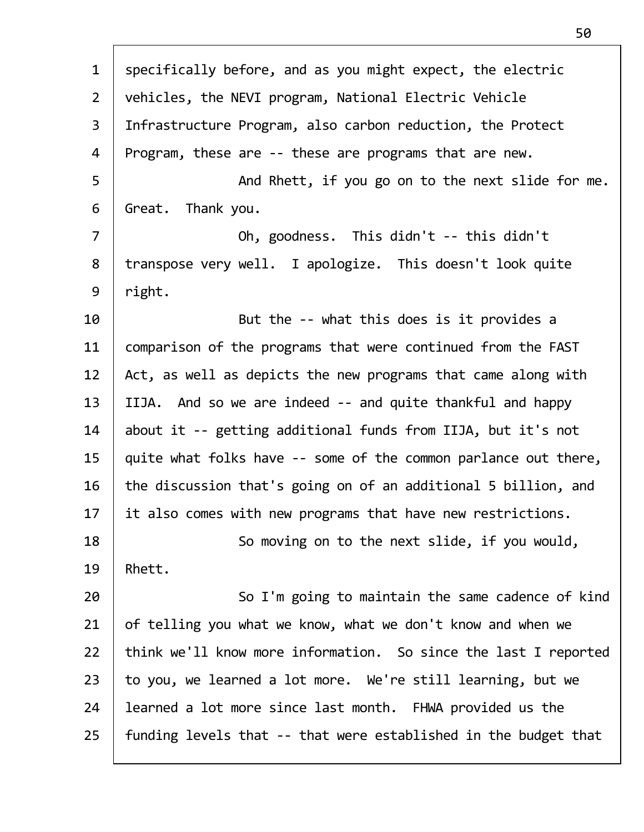| $\mathbf{1}$   | specifically before, and as you might expect, the electric      |
|----------------|-----------------------------------------------------------------|
| $\overline{2}$ | vehicles, the NEVI program, National Electric Vehicle           |
| $\overline{3}$ | Infrastructure Program, also carbon reduction, the Protect      |
| 4              | Program, these are -- these are programs that are new.          |
| 5              | And Rhett, if you go on to the next slide for me.               |
| 6              | Great. Thank you.                                               |
| $\overline{7}$ | Oh, goodness. This didn't -- this didn't                        |
| 8              | transpose very well. I apologize. This doesn't look quite       |
| 9              | right.                                                          |
| 10             | But the -- what this does is it provides a                      |
| 11             | comparison of the programs that were continued from the FAST    |
| 12             | Act, as well as depicts the new programs that came along with   |
| 13             | IIJA. And so we are indeed -- and quite thankful and happy      |
| 14             | about it -- getting additional funds from IIJA, but it's not    |
| 15             | quite what folks have -- some of the common parlance out there, |
| 16             | the discussion that's going on of an additional 5 billion, and  |
| 17             | it also comes with new programs that have new restrictions.     |
| 18             | So moving on to the next slide, if you would,                   |
| 19             | Rhett.                                                          |
| 20             | So I'm going to maintain the same cadence of kind               |
| 21             | of telling you what we know, what we don't know and when we     |
| 22             | think we'll know more information. So since the last I reported |
| 23             | to you, we learned a lot more. We're still learning, but we     |
| 24             | learned a lot more since last month. FHWA provided us the       |
| 25             | funding levels that -- that were established in the budget that |
|                |                                                                 |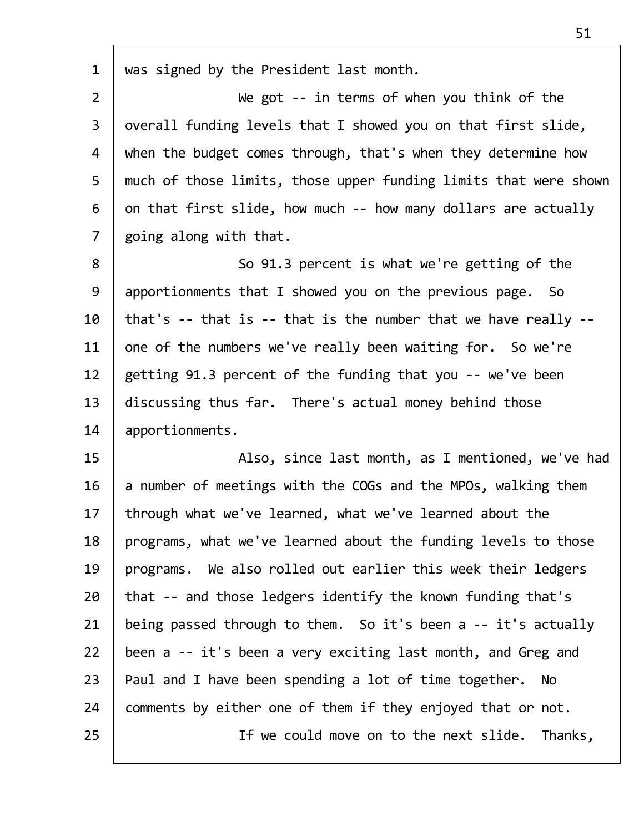| $\mathbf{1}$   | was signed by the President last month.                          |
|----------------|------------------------------------------------------------------|
| $\overline{2}$ | We got -- in terms of when you think of the                      |
| 3              | overall funding levels that I showed you on that first slide,    |
| 4              | when the budget comes through, that's when they determine how    |
| 5              | much of those limits, those upper funding limits that were shown |
| 6              | on that first slide, how much -- how many dollars are actually   |
| $\overline{7}$ | going along with that.                                           |
| 8              | So 91.3 percent is what we're getting of the                     |
| 9              | apportionments that I showed you on the previous page. So        |
| 10             | that's -- that is -- that is the number that we have really --   |
| 11             | one of the numbers we've really been waiting for. So we're       |
| 12             | getting 91.3 percent of the funding that you -- we've been       |
| 13             | discussing thus far. There's actual money behind those           |
| 14             | apportionments.                                                  |
| 15             | Also, since last month, as I mentioned, we've had                |
| 16             | a number of meetings with the COGs and the MPOs, walking them    |
| 17             | through what we've learned, what we've learned about the         |
| 18             | programs, what we've learned about the funding levels to those   |
| 19             | programs. We also rolled out earlier this week their ledgers     |
| 20             | that -- and those ledgers identify the known funding that's      |
| 21             | being passed through to them. So it's been a -- it's actually    |
| 22             | been a -- it's been a very exciting last month, and Greg and     |
| 23             | Paul and I have been spending a lot of time together. No         |
| 24             | comments by either one of them if they enjoyed that or not.      |
| 25             | If we could move on to the next slide. Thanks,                   |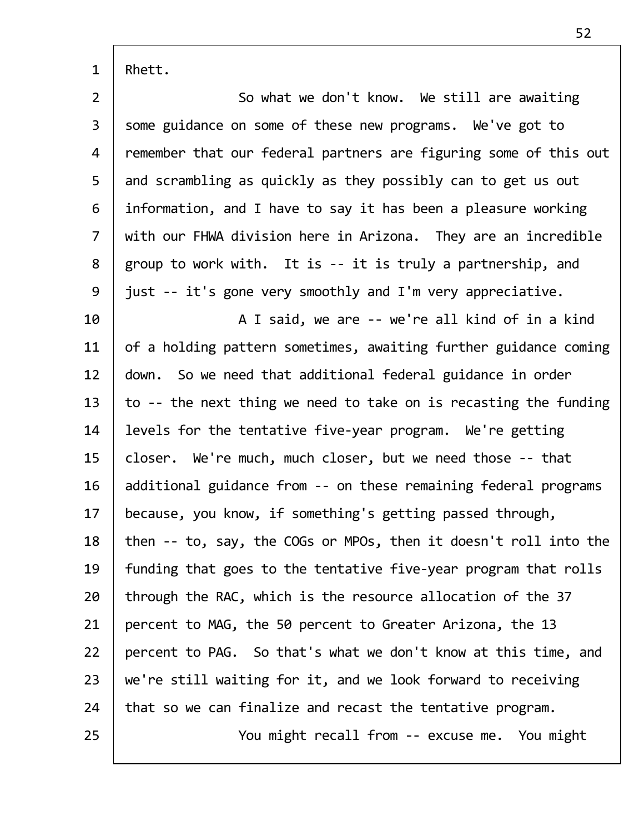$1 |$  Rhett.

| $\overline{2}$ | So what we don't know. We still are awaiting                     |
|----------------|------------------------------------------------------------------|
| $\mathsf{3}$   | some guidance on some of these new programs. We've got to        |
| 4              | remember that our federal partners are figuring some of this out |
| 5              | and scrambling as quickly as they possibly can to get us out     |
| 6              | information, and I have to say it has been a pleasure working    |
| $\overline{7}$ | with our FHWA division here in Arizona. They are an incredible   |
| 8              | group to work with. It is -- it is truly a partnership, and      |
| 9              | just -- it's gone very smoothly and I'm very appreciative.       |
| 10             | A I said, we are -- we're all kind of in a kind                  |
| 11             | of a holding pattern sometimes, awaiting further guidance coming |
| 12             | down. So we need that additional federal guidance in order       |
| 13             | to -- the next thing we need to take on is recasting the funding |
| 14             | levels for the tentative five-year program. We're getting        |
| 15             | closer. We're much, much closer, but we need those -- that       |
|                |                                                                  |
| 16             | additional guidance from -- on these remaining federal programs  |
| 17             | because, you know, if something's getting passed through,        |
| 18             | then -- to, say, the COGs or MPOs, then it doesn't roll into the |
| 19             | funding that goes to the tentative five-year program that rolls  |
| 20             | through the RAC, which is the resource allocation of the 37      |
| 21             | percent to MAG, the 50 percent to Greater Arizona, the 13        |
| 22             | percent to PAG. So that's what we don't know at this time, and   |
| 23             | we're still waiting for it, and we look forward to receiving     |
| 24             | that so we can finalize and recast the tentative program.        |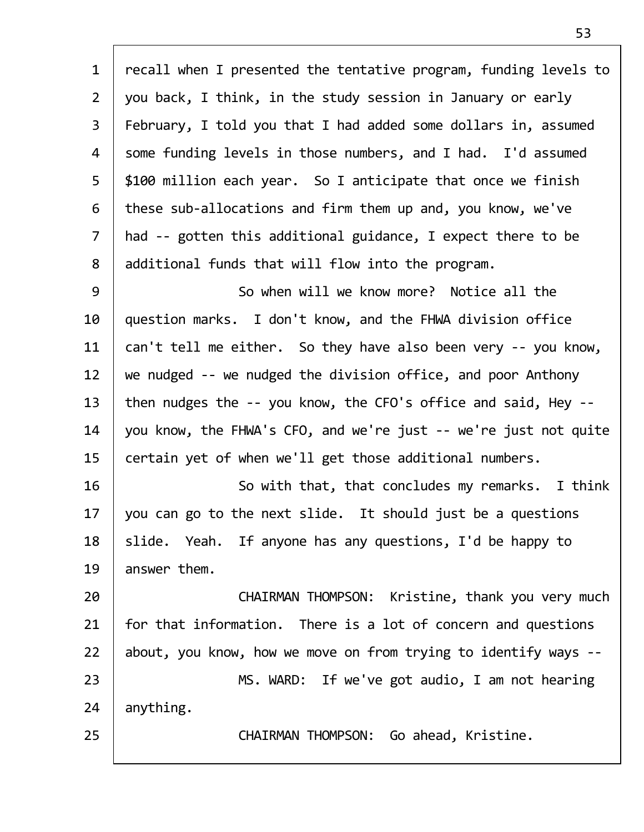| $\mathbf{1}$   | recall when I presented the tentative program, funding levels to |
|----------------|------------------------------------------------------------------|
| $\overline{2}$ | you back, I think, in the study session in January or early      |
| $\overline{3}$ | February, I told you that I had added some dollars in, assumed   |
| 4              | some funding levels in those numbers, and I had. I'd assumed     |
| 5              | \$100 million each year. So I anticipate that once we finish     |
| 6              | these sub-allocations and firm them up and, you know, we've      |
| $\overline{7}$ | had -- gotten this additional guidance, I expect there to be     |
| 8              | additional funds that will flow into the program.                |
| 9              | So when will we know more? Notice all the                        |
| 10             | question marks. I don't know, and the FHWA division office       |
| 11             | can't tell me either. So they have also been very -- you know,   |
| 12             | we nudged -- we nudged the division office, and poor Anthony     |
| 13             | then nudges the -- you know, the CFO's office and said, Hey --   |
| 14             | you know, the FHWA's CFO, and we're just -- we're just not quite |
| 15             | certain yet of when we'll get those additional numbers.          |
| 16             | So with that, that concludes my remarks. I think                 |
| 17             | you can go to the next slide. It should just be a questions      |
| 18             | slide. Yeah. If anyone has any questions, I'd be happy to        |
| 19             | answer them.                                                     |
| 20             | CHAIRMAN THOMPSON: Kristine, thank you very much                 |
| 21             | for that information. There is a lot of concern and questions    |
| 22             | about, you know, how we move on from trying to identify ways --  |
| 23             | MS. WARD: If we've got audio, I am not hearing                   |
| 24             | anything.                                                        |
| 25             | CHAIRMAN THOMPSON: Go ahead, Kristine.                           |
|                |                                                                  |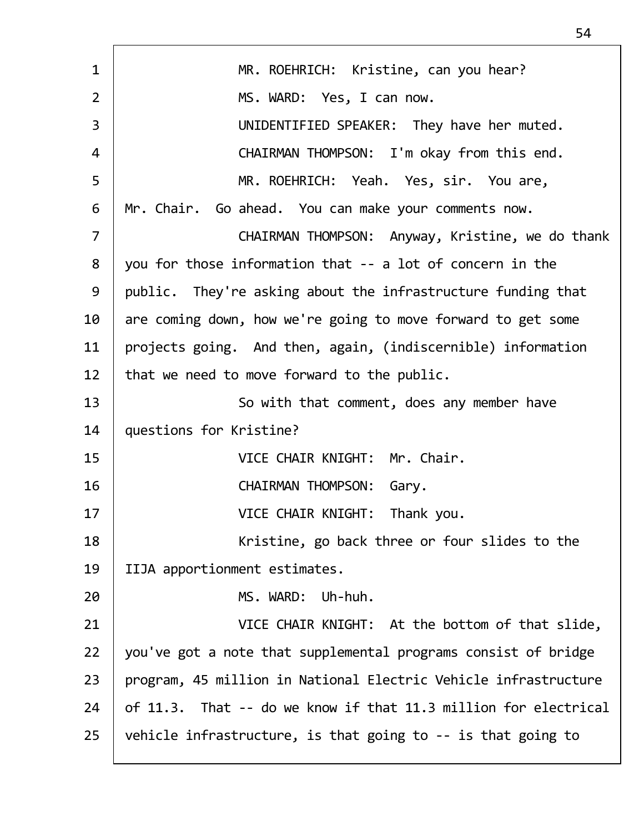| $\mathbf{1}$   | MR. ROEHRICH: Kristine, can you hear?                           |
|----------------|-----------------------------------------------------------------|
| $\overline{2}$ | MS. WARD: Yes, I can now.                                       |
| 3              | UNIDENTIFIED SPEAKER: They have her muted.                      |
| 4              | CHAIRMAN THOMPSON: I'm okay from this end.                      |
| 5              | MR. ROEHRICH: Yeah. Yes, sir. You are,                          |
| 6              | Mr. Chair. Go ahead. You can make your comments now.            |
| $\overline{7}$ | CHAIRMAN THOMPSON: Anyway, Kristine, we do thank                |
| 8              | you for those information that -- a lot of concern in the       |
| 9              | public. They're asking about the infrastructure funding that    |
| 10             | are coming down, how we're going to move forward to get some    |
| 11             | projects going. And then, again, (indiscernible) information    |
| 12             | that we need to move forward to the public.                     |
| 13             | So with that comment, does any member have                      |
| 14             | questions for Kristine?                                         |
| 15             | VICE CHAIR KNIGHT: Mr. Chair.                                   |
| 16             | CHAIRMAN THOMPSON: Gary.                                        |
| 17             | VICE CHAIR KNIGHT: Thank you.                                   |
| 18             | Kristine, go back three or four slides to the                   |
| 19             | IIJA apportionment estimates.                                   |
| 20             | MS. WARD:<br>Uh-huh.                                            |
| 21             | VICE CHAIR KNIGHT: At the bottom of that slide,                 |
| 22             | you've got a note that supplemental programs consist of bridge  |
| 23             | program, 45 million in National Electric Vehicle infrastructure |
| 24             | of 11.3. That -- do we know if that 11.3 million for electrical |
| 25             | vehicle infrastructure, is that going to -- is that going to    |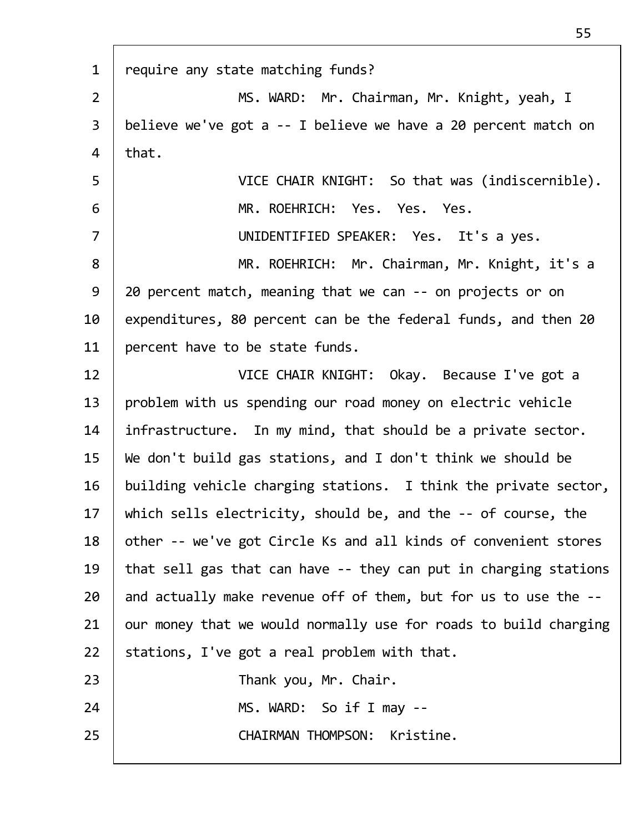| $\mathbf{1}$   | require any state matching funds?                                |
|----------------|------------------------------------------------------------------|
| $\overline{2}$ | MS. WARD: Mr. Chairman, Mr. Knight, yeah, I                      |
| $\overline{3}$ | believe we've got a -- I believe we have a 20 percent match on   |
| 4              | that.                                                            |
| 5              | VICE CHAIR KNIGHT: So that was (indiscernible).                  |
| 6              | MR. ROEHRICH: Yes. Yes. Yes.                                     |
| $\overline{7}$ | UNIDENTIFIED SPEAKER: Yes. It's a yes.                           |
| 8              | MR. ROEHRICH: Mr. Chairman, Mr. Knight, it's a                   |
| 9              | 20 percent match, meaning that we can -- on projects or on       |
| 10             | expenditures, 80 percent can be the federal funds, and then 20   |
| 11             | percent have to be state funds.                                  |
| 12             | VICE CHAIR KNIGHT: Okay. Because I've got a                      |
| 13             | problem with us spending our road money on electric vehicle      |
| 14             | infrastructure. In my mind, that should be a private sector.     |
| 15             | We don't build gas stations, and I don't think we should be      |
| 16             | building vehicle charging stations. I think the private sector,  |
| 17             | which sells electricity, should be, and the -- of course, the    |
| 18             | other -- we've got Circle Ks and all kinds of convenient stores  |
| 19             | that sell gas that can have -- they can put in charging stations |
| 20             | and actually make revenue off of them, but for us to use the --  |
| 21             | our money that we would normally use for roads to build charging |
| 22             | stations, I've got a real problem with that.                     |
| 23             | Thank you, Mr. Chair.                                            |
| 24             | MS. WARD: So if I may --                                         |
| 25             | CHAIRMAN THOMPSON: Kristine.                                     |
|                |                                                                  |

 $\overline{1}$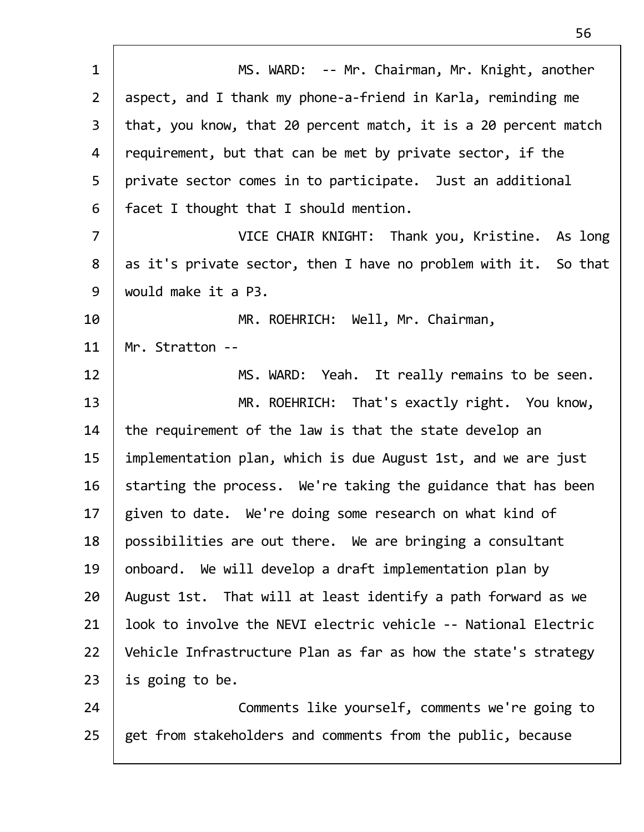| $\mathbf{1}$   | MS. WARD: -- Mr. Chairman, Mr. Knight, another                  |
|----------------|-----------------------------------------------------------------|
| $\overline{2}$ | aspect, and I thank my phone-a-friend in Karla, reminding me    |
| $\overline{3}$ | that, you know, that 20 percent match, it is a 20 percent match |
| 4              | requirement, but that can be met by private sector, if the      |
| 5              | private sector comes in to participate. Just an additional      |
| 6              | facet I thought that I should mention.                          |
| $\overline{7}$ | VICE CHAIR KNIGHT: Thank you, Kristine. As long                 |
| 8              | as it's private sector, then I have no problem with it. So that |
| 9              | would make it a P3.                                             |
| 10             | MR. ROEHRICH: Well, Mr. Chairman,                               |
| 11             | Mr. Stratton --                                                 |
| 12             | MS. WARD: Yeah. It really remains to be seen.                   |
| 13             | MR. ROEHRICH: That's exactly right. You know,                   |
| 14             | the requirement of the law is that the state develop an         |
| 15             | implementation plan, which is due August 1st, and we are just   |
| 16             | starting the process. We're taking the guidance that has been   |
| 17             | given to date. We're doing some research on what kind of        |
| 18             | possibilities are out there. We are bringing a consultant       |
| 19             | onboard. We will develop a draft implementation plan by         |
| 20             | August 1st. That will at least identify a path forward as we    |
| 21             | look to involve the NEVI electric vehicle -- National Electric  |
| 22             | Vehicle Infrastructure Plan as far as how the state's strategy  |
| 23             | is going to be.                                                 |
| 24             | Comments like yourself, comments we're going to                 |
| 25             | get from stakeholders and comments from the public, because     |
|                |                                                                 |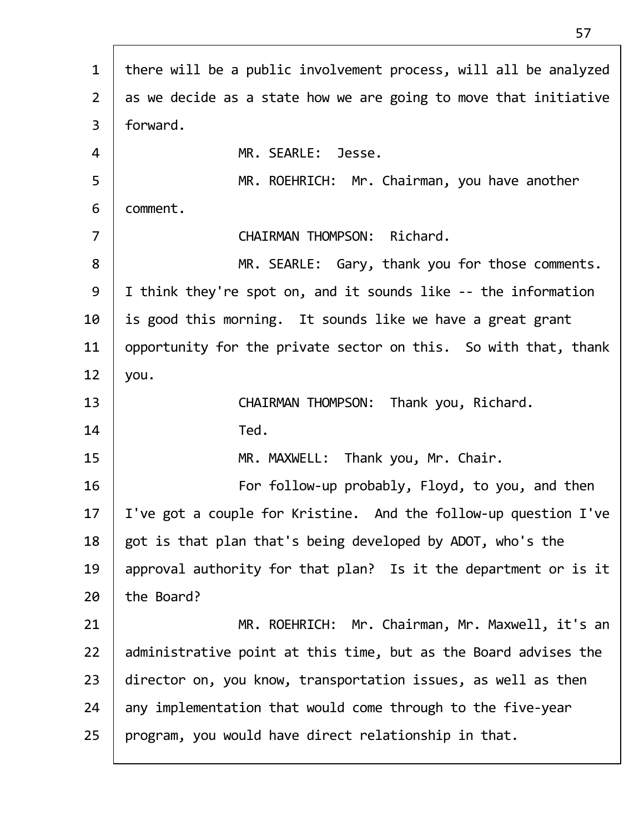| $\mathbf{1}$   | there will be a public involvement process, will all be analyzed |
|----------------|------------------------------------------------------------------|
| $\overline{2}$ | as we decide as a state how we are going to move that initiative |
| $\mathsf{3}$   | forward.                                                         |
| 4              | MR. SEARLE: Jesse.                                               |
| 5              | MR. ROEHRICH: Mr. Chairman, you have another                     |
| 6              | comment.                                                         |
| $\overline{7}$ | CHAIRMAN THOMPSON: Richard.                                      |
| 8              | MR. SEARLE: Gary, thank you for those comments.                  |
| 9              | I think they're spot on, and it sounds like -- the information   |
| 10             | is good this morning. It sounds like we have a great grant       |
| 11             | opportunity for the private sector on this. So with that, thank  |
| 12             | you.                                                             |
| 13             | CHAIRMAN THOMPSON: Thank you, Richard.                           |
| 14             | Ted.                                                             |
| 15             | MR. MAXWELL: Thank you, Mr. Chair.                               |
| 16             | For follow-up probably, Floyd, to you, and then                  |
| 17             | I've got a couple for Kristine. And the follow-up question I've  |
| 18             | got is that plan that's being developed by ADOT, who's the       |
| 19             | approval authority for that plan? Is it the department or is it  |
| 20             | the Board?                                                       |
| 21             | MR. ROEHRICH: Mr. Chairman, Mr. Maxwell, it's an                 |
| 22             | administrative point at this time, but as the Board advises the  |
|                |                                                                  |
| 23             | director on, you know, transportation issues, as well as then    |
| 24             | any implementation that would come through to the five-year      |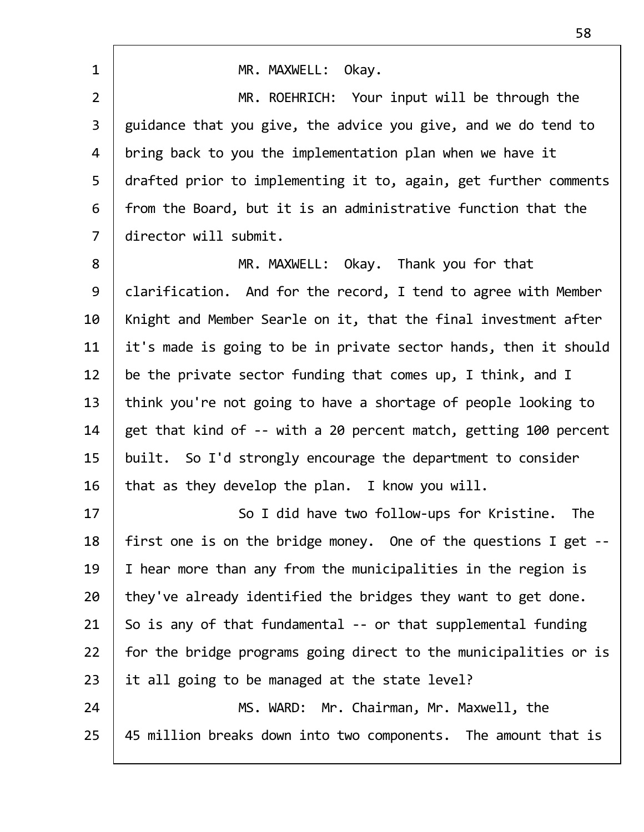| $\mathbf{1}$   | MR. MAXWELL: Okay.                                               |
|----------------|------------------------------------------------------------------|
| $\overline{2}$ | MR. ROEHRICH: Your input will be through the                     |
| 3              | guidance that you give, the advice you give, and we do tend to   |
| 4              |                                                                  |
|                | bring back to you the implementation plan when we have it        |
| 5              | drafted prior to implementing it to, again, get further comments |
| 6              | from the Board, but it is an administrative function that the    |
| $\overline{7}$ | director will submit.                                            |
| 8              | MR. MAXWELL: Okay. Thank you for that                            |
| 9              | clarification. And for the record, I tend to agree with Member   |
| 10             | Knight and Member Searle on it, that the final investment after  |
| 11             | it's made is going to be in private sector hands, then it should |
| 12             | be the private sector funding that comes up, I think, and I      |
| 13             | think you're not going to have a shortage of people looking to   |
| 14             | get that kind of -- with a 20 percent match, getting 100 percent |
| 15             | built. So I'd strongly encourage the department to consider      |
| 16             | that as they develop the plan. I know you will.                  |
| 17             | So I did have two follow-ups for Kristine.<br><b>The</b>         |
| 18             | first one is on the bridge money. One of the questions I get --  |
| 19             | I hear more than any from the municipalities in the region is    |
| 20             | they've already identified the bridges they want to get done.    |
| 21             | So is any of that fundamental -- or that supplemental funding    |
| 22             | for the bridge programs going direct to the municipalities or is |
| 23             | it all going to be managed at the state level?                   |
| 24             | MS. WARD: Mr. Chairman, Mr. Maxwell, the                         |
| 25             | 45 million breaks down into two components. The amount that is   |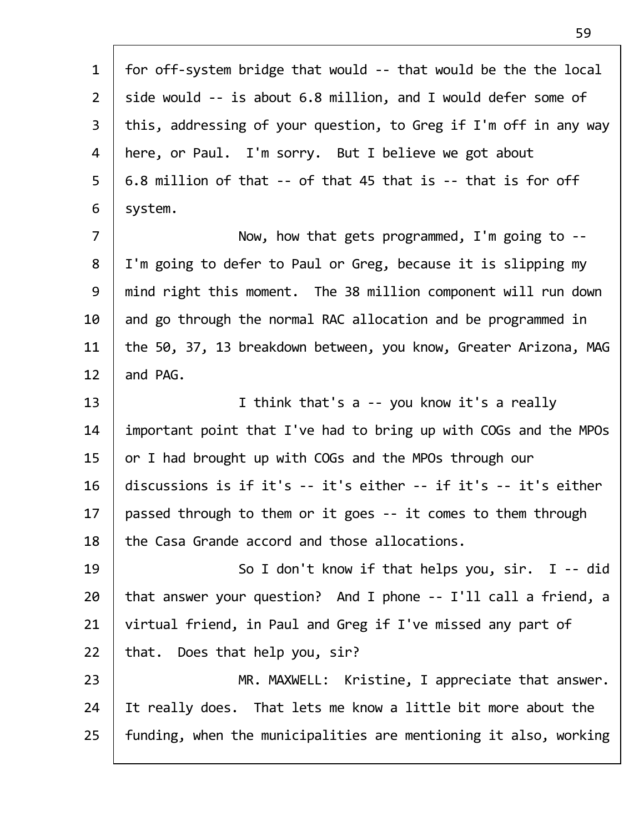| $\mathbf{1}$   | for off-system bridge that would -- that would be the the local  |
|----------------|------------------------------------------------------------------|
| $\overline{2}$ | side would -- is about 6.8 million, and I would defer some of    |
| $\overline{3}$ | this, addressing of your question, to Greg if I'm off in any way |
| 4              | here, or Paul. I'm sorry. But I believe we got about             |
| 5              | 6.8 million of that -- of that 45 that is -- that is for off     |
| 6              | system.                                                          |
| $\overline{7}$ | Now, how that gets programmed, I'm going to $-$ -                |
| 8              | I'm going to defer to Paul or Greg, because it is slipping my    |
| 9              | mind right this moment. The 38 million component will run down   |
| 10             | and go through the normal RAC allocation and be programmed in    |
| 11             | the 50, 37, 13 breakdown between, you know, Greater Arizona, MAG |
| 12             | and PAG.                                                         |
| 13             | I think that's a -- you know it's a really                       |
| 14             | important point that I've had to bring up with COGs and the MPOs |
| 15             | or I had brought up with COGs and the MPOs through our           |
| 16             | discussions is if it's -- it's either -- if it's -- it's either  |
| 17             | passed through to them or it goes -- it comes to them through    |
| 18             | the Casa Grande accord and those allocations.                    |
| 19             | So I don't know if that helps you, $\sin$ . I -- did             |
| 20             | that answer your question? And I phone -- I'll call a friend, a  |
| 21             | virtual friend, in Paul and Greg if I've missed any part of      |
| 22             | that. Does that help you, sir?                                   |
| 23             | MR. MAXWELL: Kristine, I appreciate that answer.                 |
| 24             | It really does. That lets me know a little bit more about the    |
| 25             | funding, when the municipalities are mentioning it also, working |
|                |                                                                  |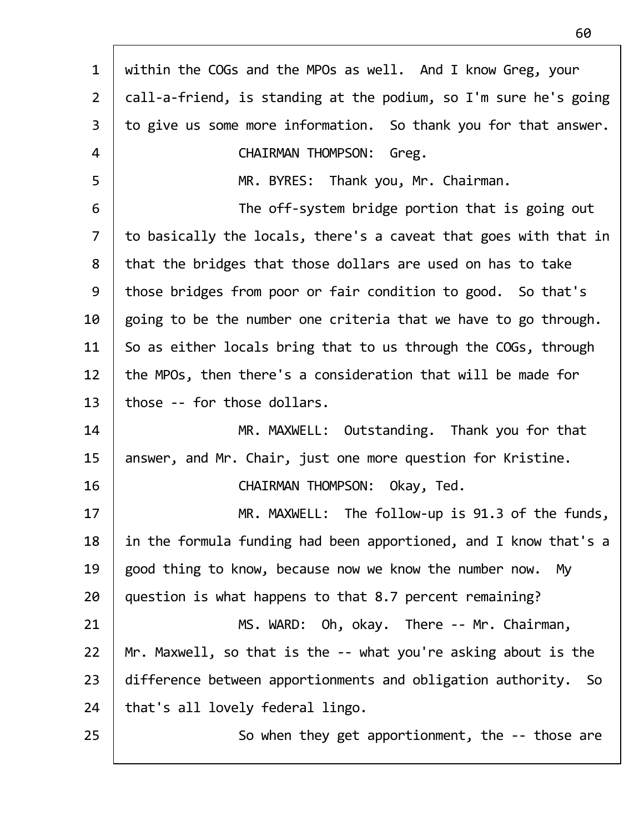| $\mathbf{1}$   | within the COGs and the MPOs as well. And I know Greg, your      |
|----------------|------------------------------------------------------------------|
| $\overline{2}$ | call-a-friend, is standing at the podium, so I'm sure he's going |
| $\mathsf{3}$   | to give us some more information. So thank you for that answer.  |
| 4              | <b>CHAIRMAN THOMPSON:</b><br>Greg.                               |
| 5              | MR. BYRES: Thank you, Mr. Chairman.                              |
| 6              | The off-system bridge portion that is going out                  |
| $\overline{7}$ | to basically the locals, there's a caveat that goes with that in |
| 8              | that the bridges that those dollars are used on has to take      |
| 9              | those bridges from poor or fair condition to good. So that's     |
| 10             | going to be the number one criteria that we have to go through.  |
| 11             | So as either locals bring that to us through the COGs, through   |
| 12             | the MPOs, then there's a consideration that will be made for     |
| 13             | those -- for those dollars.                                      |
| 14             | MR. MAXWELL: Outstanding. Thank you for that                     |
| 15             | answer, and Mr. Chair, just one more question for Kristine.      |
| 16             | CHAIRMAN THOMPSON: Okay, Ted.                                    |
| 17             | MR. MAXWELL: The follow-up is 91.3 of the funds,                 |
| 18             | in the formula funding had been apportioned, and I know that's a |
| 19             | good thing to know, because now we know the number now.<br>Mv    |
| 20             | question is what happens to that 8.7 percent remaining?          |
| 21             | MS. WARD: Oh, okay. There -- Mr. Chairman,                       |
| 22             | Mr. Maxwell, so that is the -- what you're asking about is the   |
| 23             | difference between apportionments and obligation authority. So   |
| 24             | that's all lovely federal lingo.                                 |
| 25             | So when they get apportionment, the -- those are                 |
|                |                                                                  |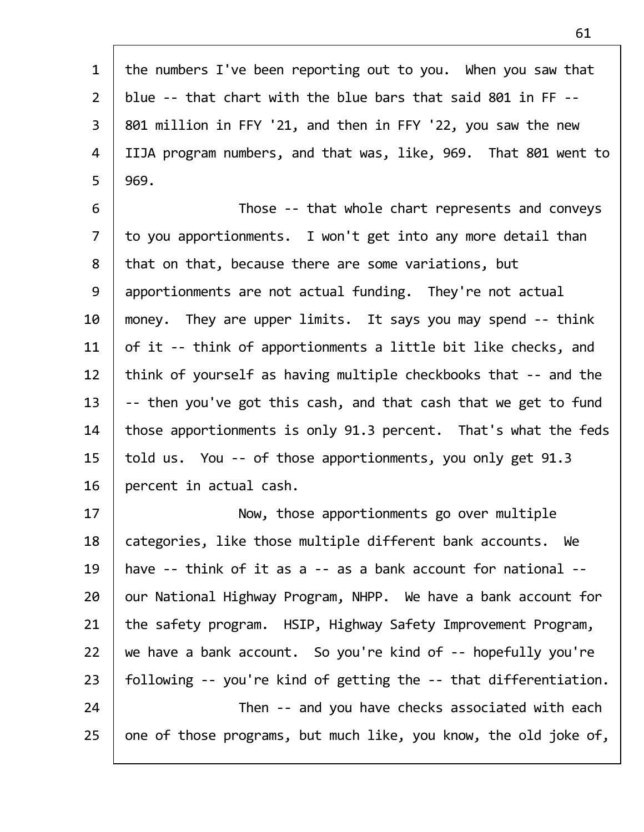| $\mathbf{1}$   | the numbers I've been reporting out to you. When you saw that    |
|----------------|------------------------------------------------------------------|
| $\overline{2}$ | blue -- that chart with the blue bars that said 801 in FF --     |
| $\overline{3}$ | 801 million in FFY '21, and then in FFY '22, you saw the new     |
| $\overline{4}$ | IIJA program numbers, and that was, like, 969. That 801 went to  |
| 5              | 969.                                                             |
| 6              | Those -- that whole chart represents and conveys                 |
| $\overline{7}$ | to you apportionments. I won't get into any more detail than     |
| 8              | that on that, because there are some variations, but             |
| 9              | apportionments are not actual funding. They're not actual        |
| 10             | money. They are upper limits. It says you may spend -- think     |
| 11             | of it -- think of apportionments a little bit like checks, and   |
| 12             | think of yourself as having multiple checkbooks that -- and the  |
| 13             | -- then you've got this cash, and that cash that we get to fund  |
| 14             | those apportionments is only 91.3 percent. That's what the feds  |
| 15             | told us. You -- of those apportionments, you only get 91.3       |
| 16             | percent in actual cash.                                          |
| 17             | Now, those apportionments go over multiple                       |
| 18             | categories, like those multiple different bank accounts. We      |
| 19             | have -- think of it as a -- as a bank account for national --    |
| 20             | our National Highway Program, NHPP. We have a bank account for   |
| 21             | the safety program. HSIP, Highway Safety Improvement Program,    |
| 22             | we have a bank account. So you're kind of -- hopefully you're    |
| 23             | following -- you're kind of getting the -- that differentiation. |
| 24             | Then -- and you have checks associated with each                 |
| 25             | one of those programs, but much like, you know, the old joke of, |

Г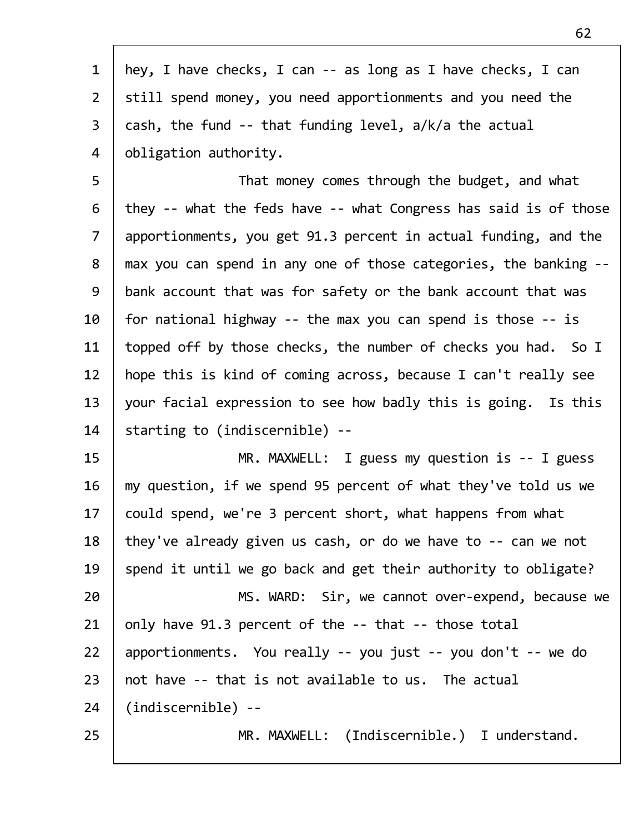| hey, I have checks, I can -- as long as I have checks, I can     |
|------------------------------------------------------------------|
| still spend money, you need apportionments and you need the      |
| cash, the fund -- that funding level, a/k/a the actual           |
| obligation authority.                                            |
| That money comes through the budget, and what                    |
| they -- what the feds have -- what Congress has said is of those |
| apportionments, you get 91.3 percent in actual funding, and the  |
| max you can spend in any one of those categories, the banking -- |
| bank account that was for safety or the bank account that was    |
| for national highway -- the max you can spend is those $-$ is    |
| topped off by those checks, the number of checks you had. So I   |
| hope this is kind of coming across, because I can't really see   |
| your facial expression to see how badly this is going. Is this   |
| starting to (indiscernible) --                                   |
| MR. MAXWELL: I guess my question is -- I guess                   |
| my question, if we spend 95 percent of what they've told us we   |
| could spend, we're 3 percent short, what happens from what       |
| they've already given us cash, or do we have to -- can we not    |
| spend it until we go back and get their authority to obligate?   |
| MS. WARD: Sir, we cannot over-expend, because we                 |
| only have 91.3 percent of the -- that -- those total             |
| apportionments. You really -- you just -- you don't -- we do     |
| not have -- that is not available to us. The actual              |
| (indiscernible) --                                               |
| MR. MAXWELL: (Indiscernible.) I understand.                      |
|                                                                  |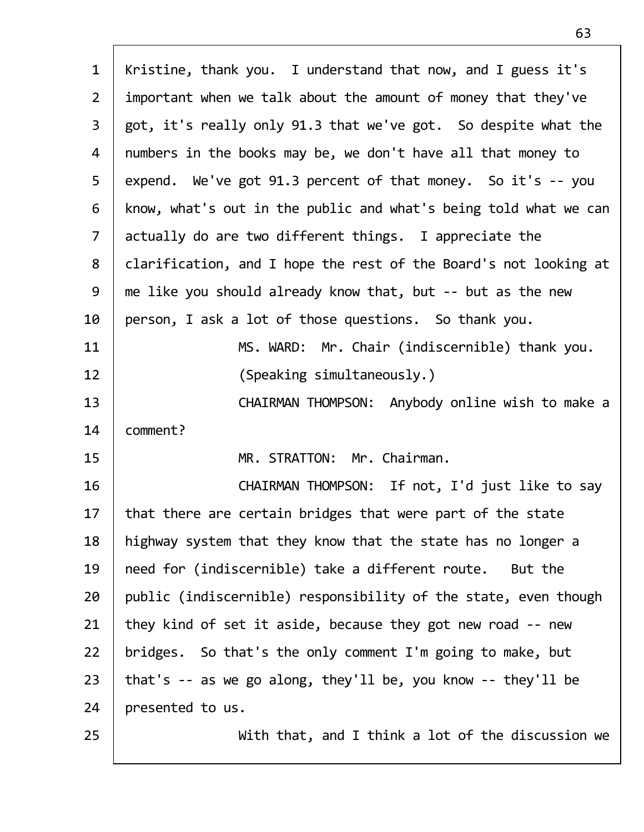| $\mathbf{1}$   | Kristine, thank you. I understand that now, and I guess it's     |
|----------------|------------------------------------------------------------------|
| $\overline{2}$ | important when we talk about the amount of money that they've    |
| 3              | got, it's really only 91.3 that we've got. So despite what the   |
| 4              | numbers in the books may be, we don't have all that money to     |
| 5              | expend. We've got 91.3 percent of that money. So it's -- you     |
| 6              | know, what's out in the public and what's being told what we can |
| $\overline{7}$ | actually do are two different things. I appreciate the           |
| 8              | clarification, and I hope the rest of the Board's not looking at |
| 9              | me like you should already know that, but -- but as the new      |
| 10             | person, I ask a lot of those questions. So thank you.            |
| 11             | MS. WARD: Mr. Chair (indiscernible) thank you.                   |
| 12             | (Speaking simultaneously.)                                       |
| 13             | CHAIRMAN THOMPSON: Anybody online wish to make a                 |
| 14             | comment?                                                         |
| 15             | MR. STRATTON: Mr. Chairman.                                      |
| 16             | CHAIRMAN THOMPSON: If not, I'd just like to say                  |
| 17             | that there are certain bridges that were part of the state       |
| 18             | highway system that they know that the state has no longer a     |
| 19             | need for (indiscernible) take a different route.<br>But the      |
| 20             | public (indiscernible) responsibility of the state, even though  |
| 21             | they kind of set it aside, because they got new road -- new      |
| 22             | bridges. So that's the only comment I'm going to make, but       |
| 23             | that's $-$ as we go along, they'll be, you know $-$ they'll be   |
| 24             | presented to us.                                                 |
| 25             | With that, and I think a lot of the discussion we                |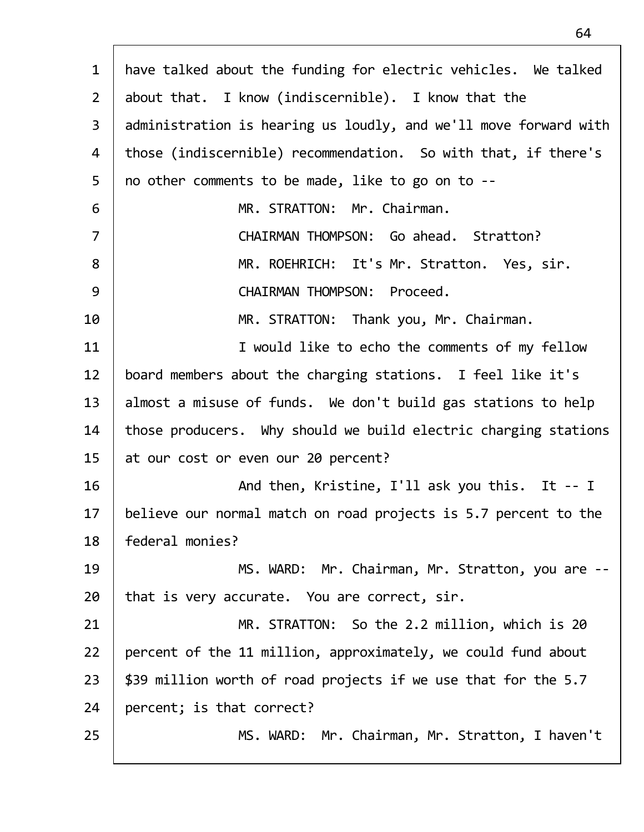| $\mathbf{1}$   | have talked about the funding for electric vehicles. We talked   |
|----------------|------------------------------------------------------------------|
| $2^{\circ}$    | about that. I know (indiscernible). I know that the              |
| $\mathbf{3}$   | administration is hearing us loudly, and we'll move forward with |
| 4              | those (indiscernible) recommendation. So with that, if there's   |
| 5              | no other comments to be made, like to go on to --                |
| 6              | MR. STRATTON: Mr. Chairman.                                      |
| $\overline{7}$ | CHAIRMAN THOMPSON: Go ahead. Stratton?                           |
| 8              | MR. ROEHRICH: It's Mr. Stratton. Yes, sir.                       |
| 9              | CHAIRMAN THOMPSON: Proceed.                                      |
| 10             | MR. STRATTON: Thank you, Mr. Chairman.                           |
| 11             | I would like to echo the comments of my fellow                   |
| 12             | board members about the charging stations. I feel like it's      |
| 13             | almost a misuse of funds. We don't build gas stations to help    |
| 14             | those producers. Why should we build electric charging stations  |
| 15             |                                                                  |
|                | at our cost or even our 20 percent?                              |
| 16             | And then, Kristine, I'll ask you this. It -- I                   |
| 17             | believe our normal match on road projects is 5.7 percent to the  |
| 18             | federal monies?                                                  |
| 19             | MS. WARD: Mr. Chairman, Mr. Stratton, you are --                 |
| 20             | that is very accurate. You are correct, sir.                     |
| 21             | MR. STRATTON: So the 2.2 million, which is 20                    |
| 22             | percent of the 11 million, approximately, we could fund about    |
| 23             | \$39 million worth of road projects if we use that for the 5.7   |
| 24             | percent; is that correct?                                        |
| 25             | MS. WARD: Mr. Chairman, Mr. Stratton, I haven't                  |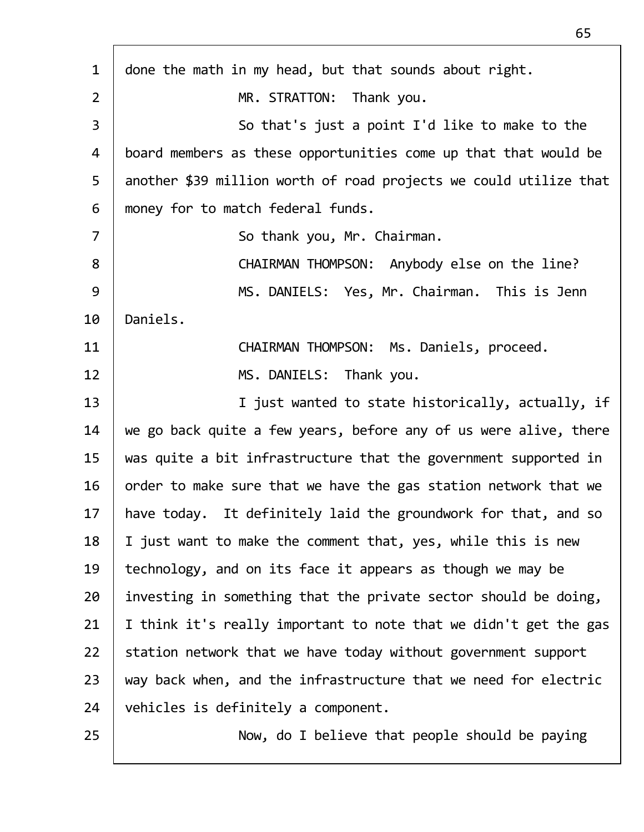| $\mathbf{1}$   | done the math in my head, but that sounds about right.            |
|----------------|-------------------------------------------------------------------|
| $\overline{2}$ | MR. STRATTON: Thank you.                                          |
| $\overline{3}$ | So that's just a point I'd like to make to the                    |
| 4              | board members as these opportunities come up that that would be   |
| 5              | another \$39 million worth of road projects we could utilize that |
| 6              | money for to match federal funds.                                 |
| $\overline{7}$ | So thank you, Mr. Chairman.                                       |
| 8              | CHAIRMAN THOMPSON: Anybody else on the line?                      |
| 9              | MS. DANIELS: Yes, Mr. Chairman. This is Jenn                      |
| 10             | Daniels.                                                          |
| 11             | CHAIRMAN THOMPSON: Ms. Daniels, proceed.                          |
| 12             | MS. DANIELS: Thank you.                                           |
| 13             | I just wanted to state historically, actually, if                 |
| 14             | we go back quite a few years, before any of us were alive, there  |
| 15             | was quite a bit infrastructure that the government supported in   |
| 16             | order to make sure that we have the gas station network that we   |
| 17             | have today. It definitely laid the groundwork for that, and so    |
| 18             | I just want to make the comment that, yes, while this is new      |
| 19             | technology, and on its face it appears as though we may be        |
| 20             | investing in something that the private sector should be doing,   |
| 21             | I think it's really important to note that we didn't get the gas  |
| 22             | station network that we have today without government support     |
| 23             | way back when, and the infrastructure that we need for electric   |
| 24             | vehicles is definitely a component.                               |
| 25             | Now, do I believe that people should be paying                    |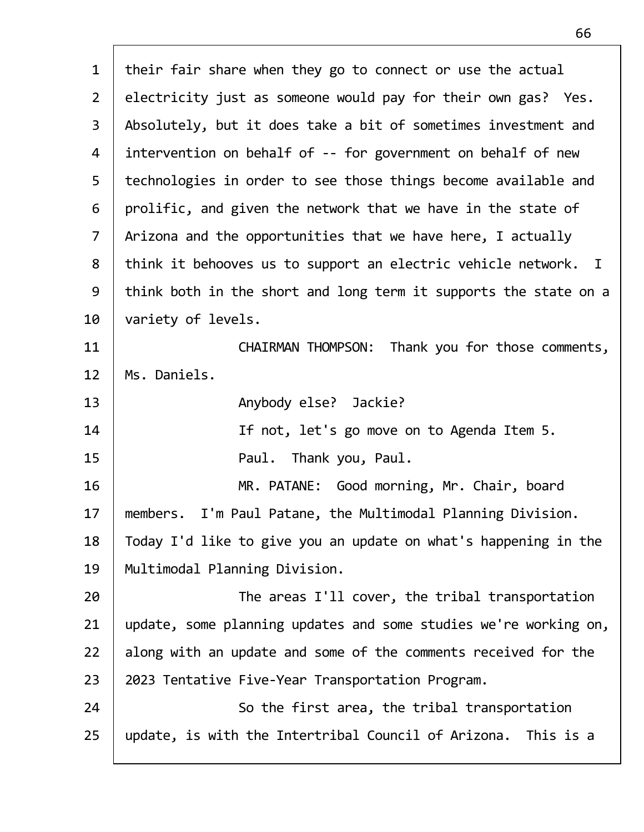| $\mathbf{1}$   | their fair share when they go to connect or use the actual       |
|----------------|------------------------------------------------------------------|
| 2 <sup>1</sup> | electricity just as someone would pay for their own gas? Yes.    |
| 3              | Absolutely, but it does take a bit of sometimes investment and   |
| 4              | intervention on behalf of -- for government on behalf of new     |
| 5              | technologies in order to see those things become available and   |
| 6              | prolific, and given the network that we have in the state of     |
| $\overline{7}$ | Arizona and the opportunities that we have here, I actually      |
| 8              | think it behooves us to support an electric vehicle network. I   |
| 9              | think both in the short and long term it supports the state on a |
| 10             | variety of levels.                                               |
| 11             | CHAIRMAN THOMPSON: Thank you for those comments,                 |
| 12             | Ms. Daniels.                                                     |
| 13             | Anybody else? Jackie?                                            |
| 14             | If not, let's go move on to Agenda Item 5.                       |
| 15             | Paul. Thank you, Paul.                                           |
| 16             | MR. PATANE: Good morning, Mr. Chair, board                       |
| 17             | members. I'm Paul Patane, the Multimodal Planning Division.      |
| 18             | Today I'd like to give you an update on what's happening in the  |
| 19             | Multimodal Planning Division.                                    |
| 20             | The areas I'll cover, the tribal transportation                  |
| 21             | update, some planning updates and some studies we're working on, |
| 22             | along with an update and some of the comments received for the   |
| 23             | 2023 Tentative Five-Year Transportation Program.                 |
| 24             | So the first area, the tribal transportation                     |
| 25             | update, is with the Intertribal Council of Arizona. This is a    |
|                |                                                                  |

Г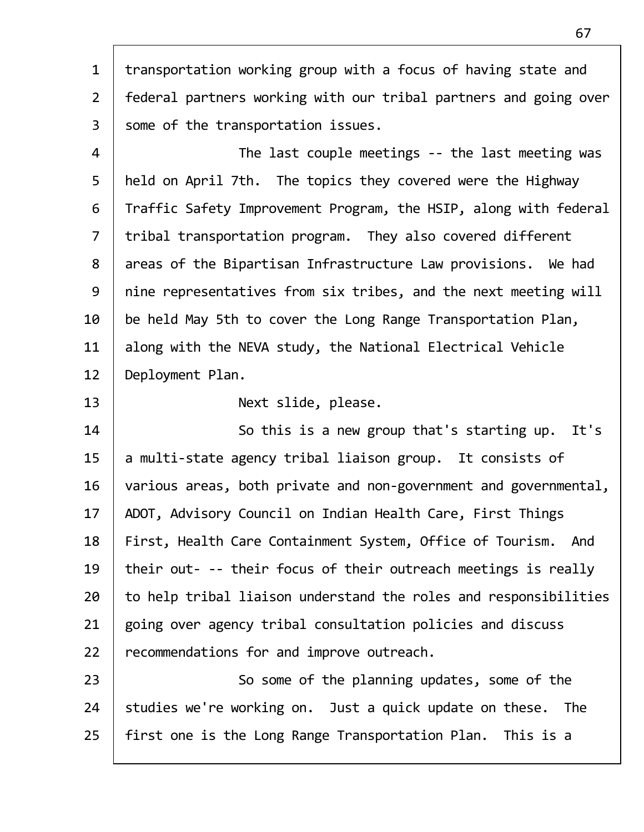1  $\vert$  transportation working group with a focus of having state and 2 federal partners working with our tribal partners and going over  $3$  | some of the transportation issues. 4 | The last couple meetings -- the last meeting was 5 | held on April 7th. The topics they covered were the Highway 6 Traffic Safety Improvement Program, the HSIP, along with federal 7 | tribal transportation program. They also covered different 8 | areas of the Bipartisan Infrastructure Law provisions. We had 9 | nine representatives from six tribes, and the next meeting will  $10$  | be held May 5th to cover the Long Range Transportation Plan,

11  $\parallel$  along with the NEVA study, the National Electrical Vehicle 12 | Deployment Plan.

13 Next slide, please.

14 | So this is a new group that's starting up. It's 15  $\parallel$  a multi-state agency tribal liaison group. It consists of 16 various areas, both private and non-government and governmental, 17 | ADOT, Advisory Council on Indian Health Care, First Things 18 | First, Health Care Containment System, Office of Tourism. And 19 | their out- -- their focus of their outreach meetings is really  $20$   $\vert$  to help tribal liaison understand the roles and responsibilities  $21$  going over agency tribal consultation policies and discuss 22 | recommendations for and improve outreach.

23 | So some of the planning updates, some of the  $24$  studies we're working on. Just a quick update on these. The 25 | first one is the Long Range Transportation Plan. This is a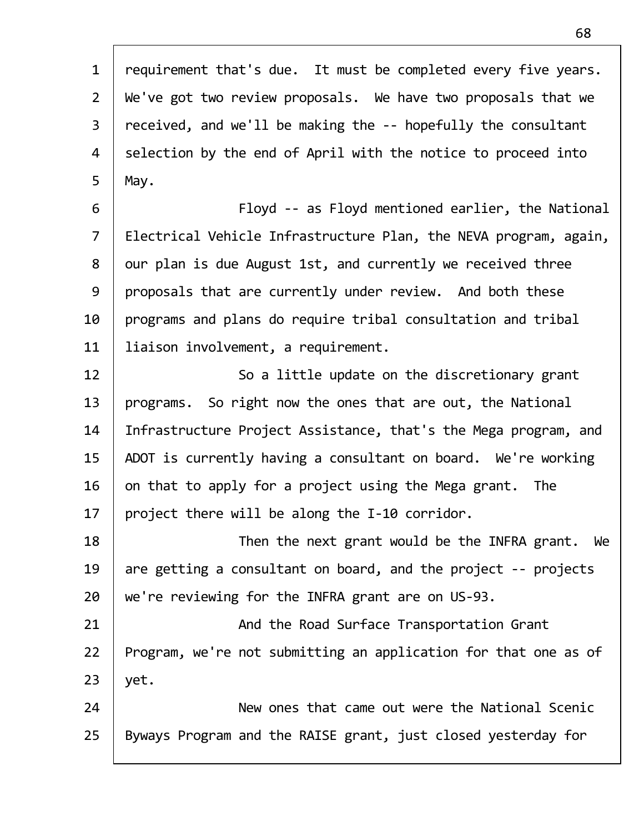| $\mathbf{1}$   | requirement that's due. It must be completed every five years.   |
|----------------|------------------------------------------------------------------|
| $\overline{2}$ | We've got two review proposals. We have two proposals that we    |
| $\overline{3}$ | received, and we'll be making the -- hopefully the consultant    |
| 4              | selection by the end of April with the notice to proceed into    |
| 5              | May.                                                             |
| 6              | Floyd -- as Floyd mentioned earlier, the National                |
| $\overline{7}$ | Electrical Vehicle Infrastructure Plan, the NEVA program, again, |
| 8              | our plan is due August 1st, and currently we received three      |
| 9              | proposals that are currently under review. And both these        |
| 10             | programs and plans do require tribal consultation and tribal     |
| 11             | liaison involvement, a requirement.                              |
| 12             | So a little update on the discretionary grant                    |
| 13             | programs. So right now the ones that are out, the National       |
| 14             | Infrastructure Project Assistance, that's the Mega program, and  |
| 15             | ADOT is currently having a consultant on board. We're working    |
| 16             | on that to apply for a project using the Mega grant. The         |
| 17             | project there will be along the I-10 corridor.                   |
| 18             | Then the next grant would be the INFRA grant. We                 |
| 19             | are getting a consultant on board, and the project -- projects   |
| 20             | we're reviewing for the INFRA grant are on US-93.                |
| 21             | And the Road Surface Transportation Grant                        |
| 22             | Program, we're not submitting an application for that one as of  |
| 23             | yet.                                                             |
| 24             | New ones that came out were the National Scenic                  |
| 25             | Byways Program and the RAISE grant, just closed yesterday for    |
|                |                                                                  |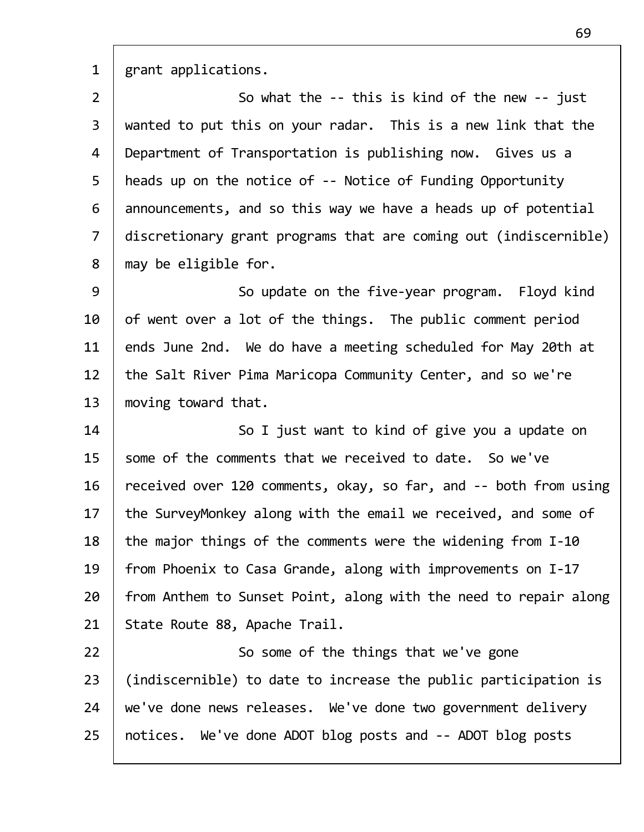1 grant applications.

2 | So what the -- this is kind of the new -- just 3 wanted to put this on your radar. This is a new link that the 4 | Department of Transportation is publishing now. Gives us a 5 | heads up on the notice of -- Notice of Funding Opportunity  $6$  announcements, and so this way we have a heads up of potential 7 discretionary grant programs that are coming out (indiscernible)  $8$  | may be eligible for.

9 | So update on the five-year program. Floyd kind  $10$  of went over a lot of the things. The public comment period 11  $\parallel$  ends June 2nd. We do have a meeting scheduled for May 20th at 12 | the Salt River Pima Maricopa Community Center, and so we're 13 | moving toward that.

14 | So I just want to kind of give you a update on  $15$  some of the comments that we received to date. So we've 16 received over 120 comments, okay, so far, and -- both from using 17 | the SurveyMonkey along with the email we received, and some of 18 the major things of the comments were the widening from  $I-10$ 19 | from Phoenix to Casa Grande, along with improvements on I-17  $20$  | from Anthem to Sunset Point, along with the need to repair along 21 | State Route 88, Apache Trail.

22 | So some of the things that we've gone 23 (indiscernible) to date to increase the public participation is 24 we've done news releases. We've done two government delivery 25 | notices. We've done ADOT blog posts and -- ADOT blog posts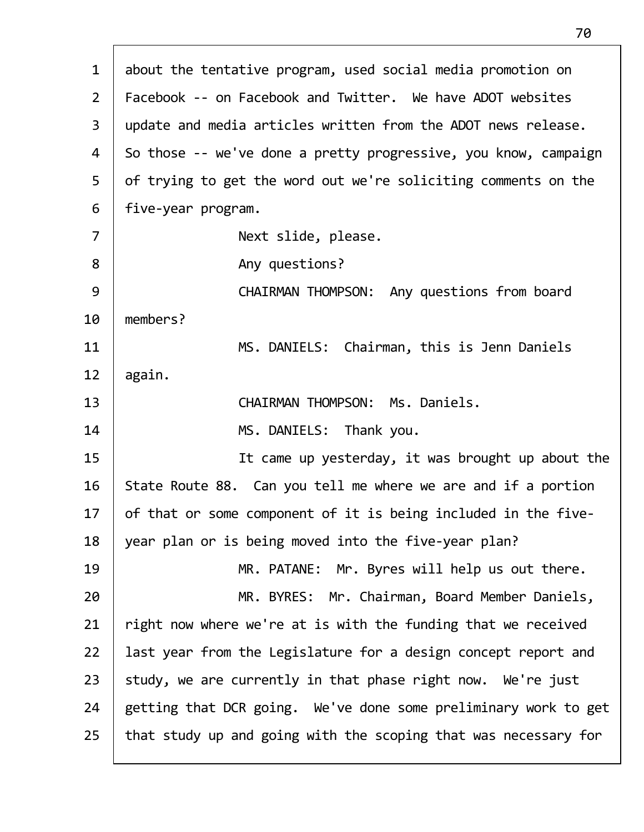| $\mathbf{1}$   | about the tentative program, used social media promotion on     |
|----------------|-----------------------------------------------------------------|
| $\overline{2}$ | Facebook -- on Facebook and Twitter. We have ADOT websites      |
| $\overline{3}$ | update and media articles written from the ADOT news release.   |
| 4              | So those -- we've done a pretty progressive, you know, campaign |
| 5              | of trying to get the word out we're soliciting comments on the  |
| 6              | five-year program.                                              |
| $\overline{7}$ | Next slide, please.                                             |
| 8              | Any questions?                                                  |
| 9              | CHAIRMAN THOMPSON: Any questions from board                     |
| 10             | members?                                                        |
| 11             | MS. DANIELS: Chairman, this is Jenn Daniels                     |
| 12             | again.                                                          |
| 13             | CHAIRMAN THOMPSON: Ms. Daniels.                                 |
| 14             | MS. DANIELS: Thank you.                                         |
| 15             | It came up yesterday, it was brought up about the               |
| 16             | State Route 88. Can you tell me where we are and if a portion   |
| 17             | of that or some component of it is being included in the five-  |
| 18             | year plan or is being moved into the five-year plan?            |
| 19             | MR. PATANE: Mr. Byres will help us out there.                   |
| 20             | MR. BYRES: Mr. Chairman, Board Member Daniels,                  |
| 21             | right now where we're at is with the funding that we received   |
| 22             | last year from the Legislature for a design concept report and  |
| 23             | study, we are currently in that phase right now. We're just     |
| 24             | getting that DCR going. We've done some preliminary work to get |
| 25             | that study up and going with the scoping that was necessary for |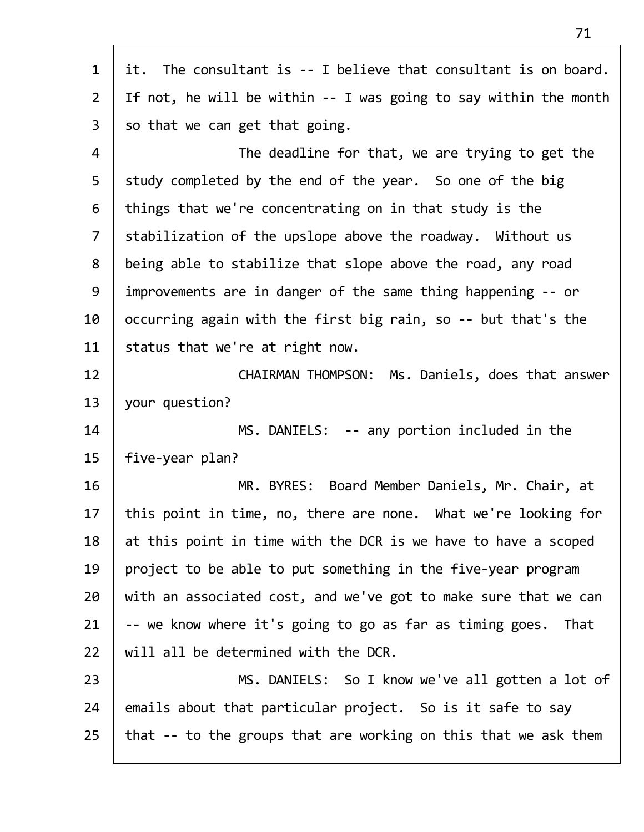| $\mathbf{1}$   | it. The consultant is -- I believe that consultant is on board.     |
|----------------|---------------------------------------------------------------------|
| $2^{\circ}$    | If not, he will be within $-$ - I was going to say within the month |
| $\overline{3}$ | so that we can get that going.                                      |
| 4              | The deadline for that, we are trying to get the                     |
| 5              | study completed by the end of the year. So one of the big           |
| 6              | things that we're concentrating on in that study is the             |
| $\overline{7}$ | stabilization of the upslope above the roadway. Without us          |
| 8              | being able to stabilize that slope above the road, any road         |
| 9              | improvements are in danger of the same thing happening -- or        |
| 10             | occurring again with the first big rain, so -- but that's the       |
| 11             | status that we're at right now.                                     |
| 12             | CHAIRMAN THOMPSON: Ms. Daniels, does that answer                    |
| 13             | your question?                                                      |
| 14             | MS. DANIELS: -- any portion included in the                         |
| 15             | five-year plan?                                                     |
| 16             | MR. BYRES: Board Member Daniels, Mr. Chair, at                      |
| 17             | this point in time, no, there are none. What we're looking for      |
| 18             | at this point in time with the DCR is we have to have a scoped      |
| 19             | project to be able to put something in the five-year program        |
| 20             | with an associated cost, and we've got to make sure that we can     |
| 21             | -- we know where it's going to go as far as timing goes. That       |
| 22             | will all be determined with the DCR.                                |
| 23             | MS. DANIELS: So I know we've all gotten a lot of                    |
| 24             | emails about that particular project. So is it safe to say          |
| 25             | that -- to the groups that are working on this that we ask them     |
|                |                                                                     |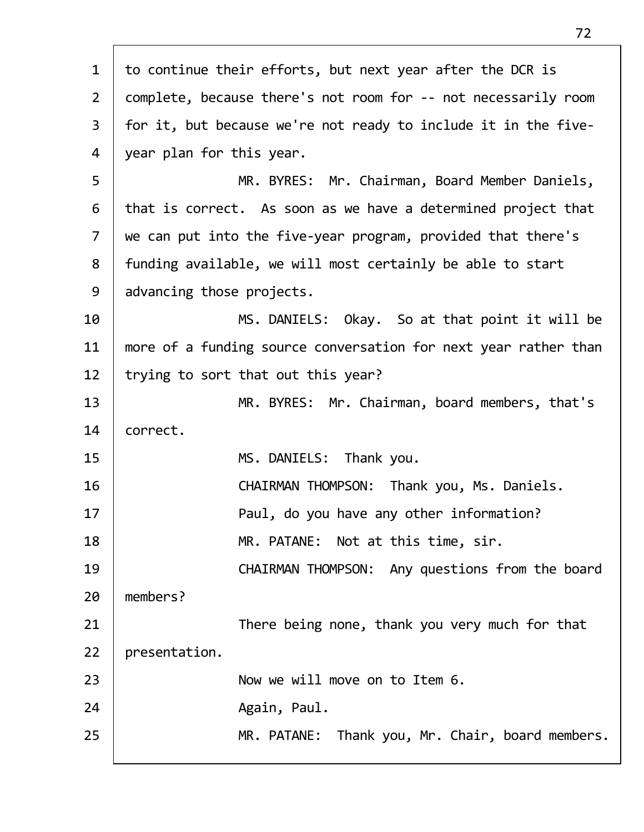| $\mathbf{1}$   | to continue their efforts, but next year after the DCR is       |
|----------------|-----------------------------------------------------------------|
| $\overline{2}$ | complete, because there's not room for -- not necessarily room  |
| $\mathsf{3}$   | for it, but because we're not ready to include it in the five-  |
| $\overline{4}$ | year plan for this year.                                        |
| 5              | MR. BYRES: Mr. Chairman, Board Member Daniels,                  |
| 6              | that is correct. As soon as we have a determined project that   |
| $\overline{7}$ | we can put into the five-year program, provided that there's    |
| 8              | funding available, we will most certainly be able to start      |
| 9              | advancing those projects.                                       |
| 10             | MS. DANIELS: Okay. So at that point it will be                  |
| 11             | more of a funding source conversation for next year rather than |
| 12             | trying to sort that out this year?                              |
| 13             | MR. BYRES: Mr. Chairman, board members, that's                  |
| 14             | correct.                                                        |
| 15             | MS. DANIELS: Thank you.                                         |
| 16             | CHAIRMAN THOMPSON: Thank you, Ms. Daniels.                      |
| 17             | Paul, do you have any other information?                        |
| 18             | MR. PATANE: Not at this time, sir.                              |
| 19             | CHAIRMAN THOMPSON: Any questions from the board                 |
| 20             | members?                                                        |
| 21             | There being none, thank you very much for that                  |
| 22             | presentation.                                                   |
| 23             | Now we will move on to Item 6.                                  |
| 24             | Again, Paul.                                                    |
| 25             | MR. PATANE: Thank you, Mr. Chair, board members.                |
|                |                                                                 |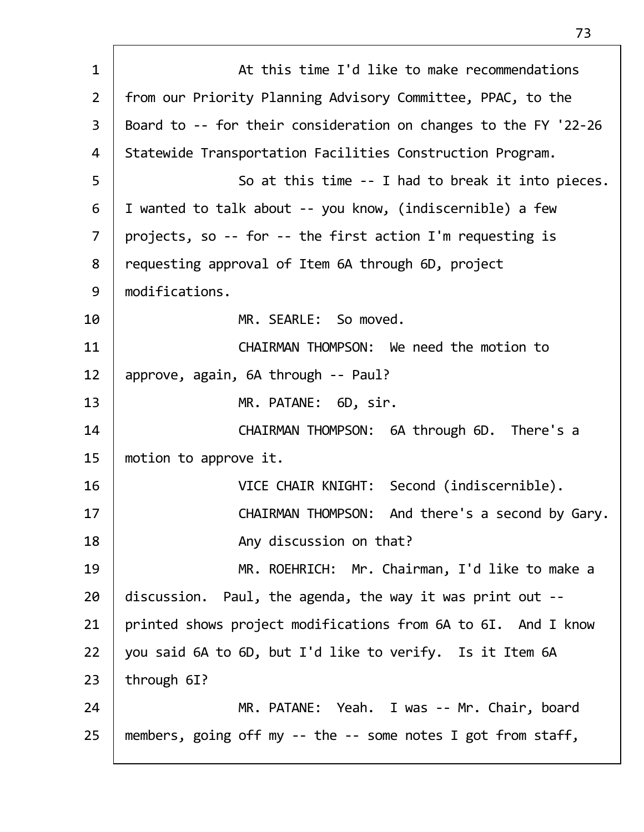| $\mathbf{1}$   | At this time I'd like to make recommendations                   |
|----------------|-----------------------------------------------------------------|
| $\overline{2}$ | from our Priority Planning Advisory Committee, PPAC, to the     |
| 3              | Board to -- for their consideration on changes to the FY '22-26 |
| 4              | Statewide Transportation Facilities Construction Program.       |
| 5              | So at this time -- I had to break it into pieces.               |
| 6              | I wanted to talk about -- you know, (indiscernible) a few       |
| $\overline{7}$ | projects, so -- for -- the first action I'm requesting is       |
| 8              | requesting approval of Item 6A through 6D, project              |
| 9              | modifications.                                                  |
| 10             | MR. SEARLE: So moved.                                           |
| 11             | CHAIRMAN THOMPSON: We need the motion to                        |
| 12             | approve, again, 6A through -- Paul?                             |
| 13             | MR. PATANE: 6D, sir.                                            |
| 14             | CHAIRMAN THOMPSON: 6A through 6D. There's a                     |
| 15             | motion to approve it.                                           |
| 16             | VICE CHAIR KNIGHT: Second (indiscernible).                      |
| 17             | And there's a second by Gary.<br><b>CHAIRMAN THOMPSON:</b>      |
| 18             | Any discussion on that?                                         |
| 19             | MR. ROEHRICH: Mr. Chairman, I'd like to make a                  |
| 20             | discussion. Paul, the agenda, the way it was print out --       |
| 21             | printed shows project modifications from 6A to 6I. And I know   |
| 22             | you said 6A to 6D, but I'd like to verify. Is it Item 6A        |
| 23             | through 6I?                                                     |
| 24             | MR. PATANE: Yeah. I was -- Mr. Chair, board                     |
| 25             | members, going off my -- the -- some notes I got from staff,    |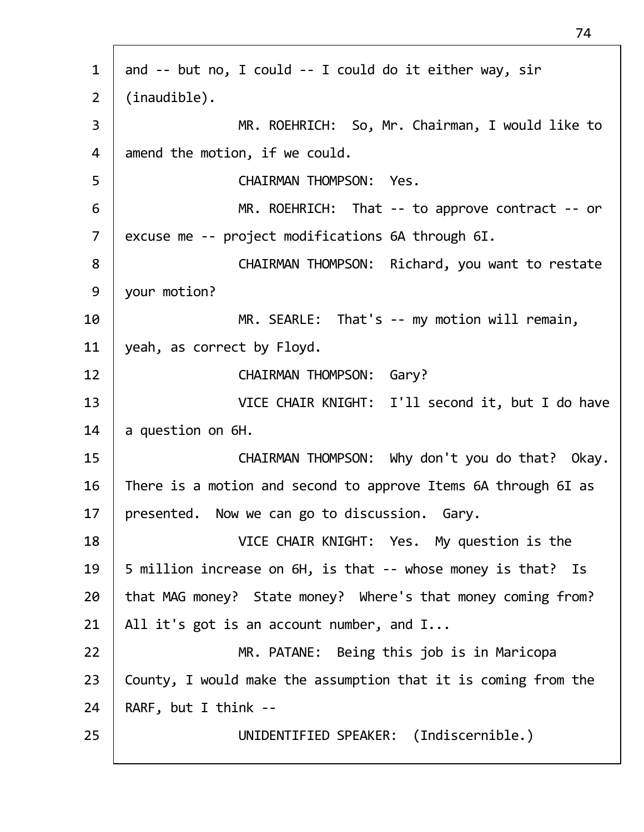1 and -- but no, I could -- I could do it either way, sir 2 (inaudible). 3 MR. ROEHRICH: So, Mr. Chairman, I would like to  $4$  amend the motion, if we could. 5 CHAIRMAN THOMPSON: Yes. 6 MR. ROEHRICH: That ‐‐ to approve contract ‐‐ or 7 excuse me -- project modifications 6A through 6I. 8 | CHAIRMAN THOMPSON: Richard, you want to restate 9 your motion? 10 | MR. SEARLE: That's -- my motion will remain, 11 | yeah, as correct by Floyd. 12 | CHAIRMAN THOMPSON: Gary? 13 VICE CHAIR KNIGHT: I'll second it, but I do have 14  $\vert$  a question on 6H. 15 | CHAIRMAN THOMPSON: Why don't you do that? Okay. 16 There is a motion and second to approve Items 6A through 6I as 17 | presented. Now we can go to discussion. Gary. 18 VICE CHAIR KNIGHT: Yes. My question is the 19 | 5 million increase on 6H, is that -- whose money is that? Is  $20$  | that MAG money? State money? Where's that money coming from? 21 | All it's got is an account number, and  $I...$ 22 MR. PATANE: Being this job is in Maricopa  $23$  | County, I would make the assumption that it is coming from the  $24$  | RARF, but I think --25 UNIDENTIFIED SPEAKER: (Indiscernible.)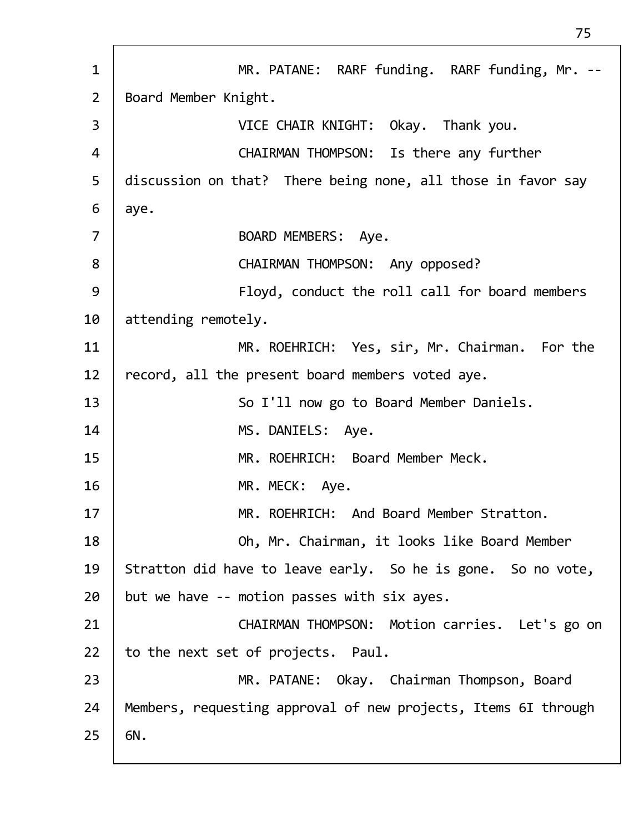1 | MR. PATANE: RARF funding. RARF funding, Mr. --2 | Board Member Knight. 3 VICE CHAIR KNIGHT: Okay. Thank you. 4 CHAIRMAN THOMPSON: Is there any further 5 | discussion on that? There being none, all those in favor say  $6 \mid ave.$  7 BOARD MEMBERS: Aye. 8 | CHAIRMAN THOMPSON: Any opposed? 9 Floyd, conduct the roll call for board members 10 attending remotely. 11 MR. ROEHRICH: Yes, sir, Mr. Chairman. For the 12 record, all the present board members voted aye. 13 | So I'll now go to Board Member Daniels. 14 | MS. DANIELS: Aye. 15 MR. ROEHRICH: Board Member Meck. 16 MR. MECK: Aye. 17 MR. ROEHRICH: And Board Member Stratton. 18 Oh, Mr. Chairman, it looks like Board Member 19 Stratton did have to leave early. So he is gone. So no vote,  $20$  but we have -- motion passes with six ayes. 21 | CHAIRMAN THOMPSON: Motion carries. Let's go on  $22$  | to the next set of projects. Paul. 23 MR. PATANE: Okay. Chairman Thompson, Board 24 | Members, requesting approval of new projects, Items 6I through  $25 \mid 6N$ .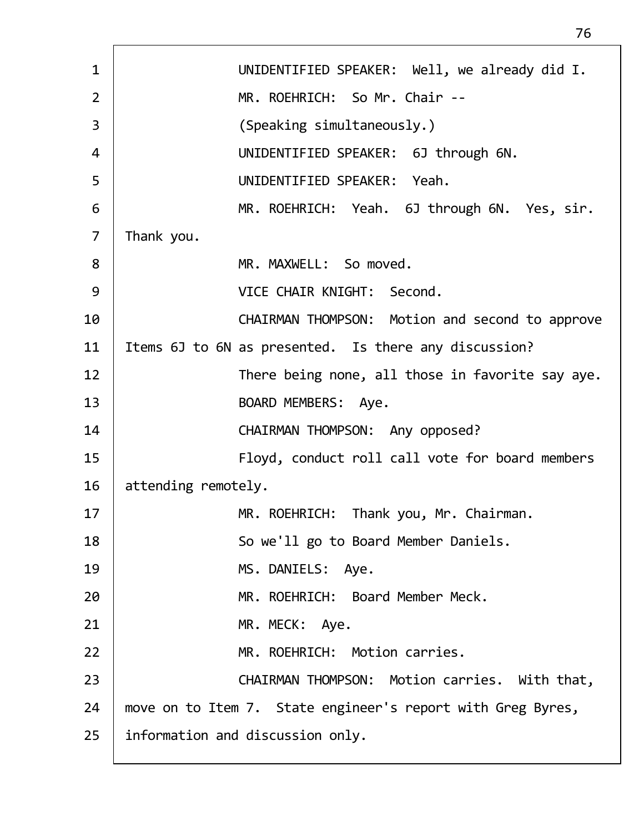| UNIDENTIFIED SPEAKER: Well, we already did I.               |
|-------------------------------------------------------------|
| MR. ROEHRICH: So Mr. Chair --                               |
| (Speaking simultaneously.)                                  |
| UNIDENTIFIED SPEAKER: 6J through 6N.                        |
| UNIDENTIFIED SPEAKER: Yeah.                                 |
| MR. ROEHRICH: Yeah. 6J through 6N. Yes, sir.                |
| Thank you.                                                  |
| MR. MAXWELL: So moved.                                      |
| VICE CHAIR KNIGHT: Second.                                  |
| CHAIRMAN THOMPSON: Motion and second to approve             |
| Items 6J to 6N as presented. Is there any discussion?       |
| There being none, all those in favorite say aye.            |
| BOARD MEMBERS: Aye.                                         |
| CHAIRMAN THOMPSON: Any opposed?                             |
| Floyd, conduct roll call vote for board members             |
| attending remotely.                                         |
| MR. ROEHRICH: Thank you, Mr. Chairman.                      |
| So we'll go to Board Member Daniels.                        |
| MS. DANIELS: Aye.                                           |
| MR. ROEHRICH: Board Member Meck.                            |
| MR. MECK: Aye.                                              |
| MR. ROEHRICH: Motion carries.                               |
| CHAIRMAN THOMPSON: Motion carries. With that,               |
|                                                             |
| move on to Item 7. State engineer's report with Greg Byres, |
|                                                             |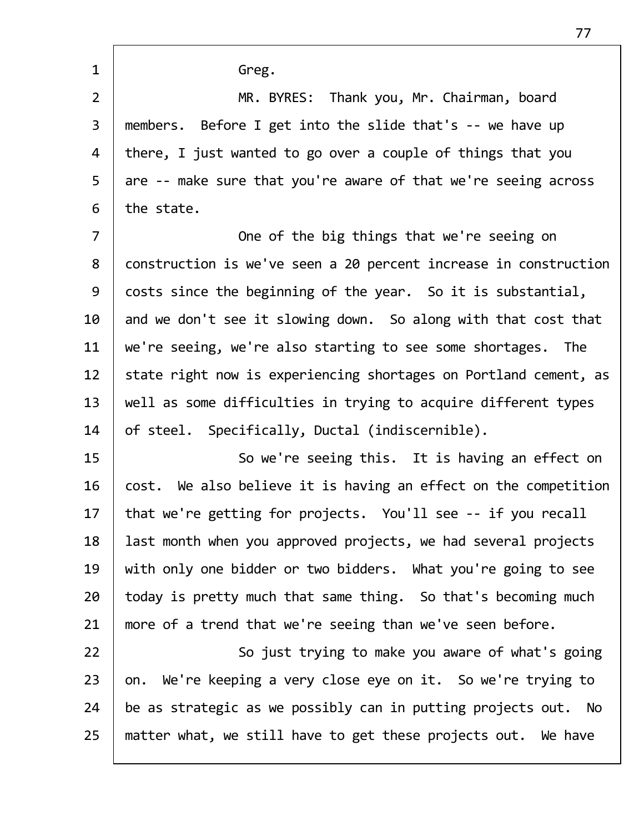1 Greg. 2 MR. BYRES: Thank you, Mr. Chairman, board 3 members. Before I get into the slide that's ‐‐ we have up 4 | there, I just wanted to go over a couple of things that you 5 are -- make sure that you're aware of that we're seeing across  $6$  the state. 7 | Cone of the big things that we're seeing on 8 construction is we've seen a 20 percent increase in construction 9 costs since the beginning of the year. So it is substantial, 10  $\parallel$  and we don't see it slowing down. So along with that cost that 11  $\mid$  we're seeing, we're also starting to see some shortages. The 12 | state right now is experiencing shortages on Portland cement, as  $13$  | well as some difficulties in trying to acquire different types 14  $\vert$  of steel. Specifically, Ductal (indiscernible). 15 | So we're seeing this. It is having an effect on 16  $\vert$  cost. We also believe it is having an effect on the competition 17 | that we're getting for projects. You'll see -- if you recall 18 | last month when you approved projects, we had several projects 19 | with only one bidder or two bidders. What you're going to see  $20$  today is pretty much that same thing. So that's becoming much 21 | more of a trend that we're seeing than we've seen before.

22 | So just trying to make you aware of what's going | on. We're keeping a very close eye on it. So we're trying to  $\vert$  be as strategic as we possibly can in putting projects out. No | matter what, we still have to get these projects out. We have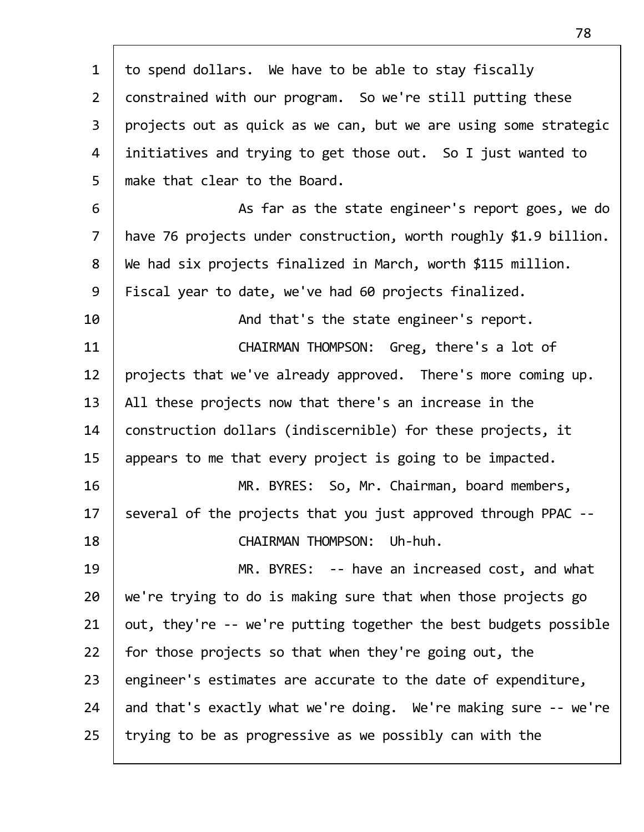| $\mathbf{1}$   | to spend dollars. We have to be able to stay fiscally             |
|----------------|-------------------------------------------------------------------|
| $\overline{2}$ | constrained with our program. So we're still putting these        |
| $\overline{3}$ | projects out as quick as we can, but we are using some strategic  |
| 4              | initiatives and trying to get those out. So I just wanted to      |
| 5              | make that clear to the Board.                                     |
| 6              | As far as the state engineer's report goes, we do                 |
| $\overline{7}$ | have 76 projects under construction, worth roughly \$1.9 billion. |
| 8              | We had six projects finalized in March, worth \$115 million.      |
| 9              | Fiscal year to date, we've had 60 projects finalized.             |
| 10             | And that's the state engineer's report.                           |
| 11             | CHAIRMAN THOMPSON: Greg, there's a lot of                         |
| 12             | projects that we've already approved. There's more coming up.     |
| 13             | All these projects now that there's an increase in the            |
| 14             | construction dollars (indiscernible) for these projects, it       |
| 15             | appears to me that every project is going to be impacted.         |
| 16             | MR. BYRES: So, Mr. Chairman, board members,                       |
| 17             | several of the projects that you just approved through PPAC       |
| 18             | CHAIRMAN THOMPSON: Uh-huh.                                        |
| 19             | MR. BYRES: -- have an increased cost, and what                    |
| 20             | we're trying to do is making sure that when those projects go     |
| 21             | out, they're -- we're putting together the best budgets possible  |
| 22             | for those projects so that when they're going out, the            |
| 23             | engineer's estimates are accurate to the date of expenditure,     |
| 24             | and that's exactly what we're doing. We're making sure -- we're   |
| 25             | trying to be as progressive as we possibly can with the           |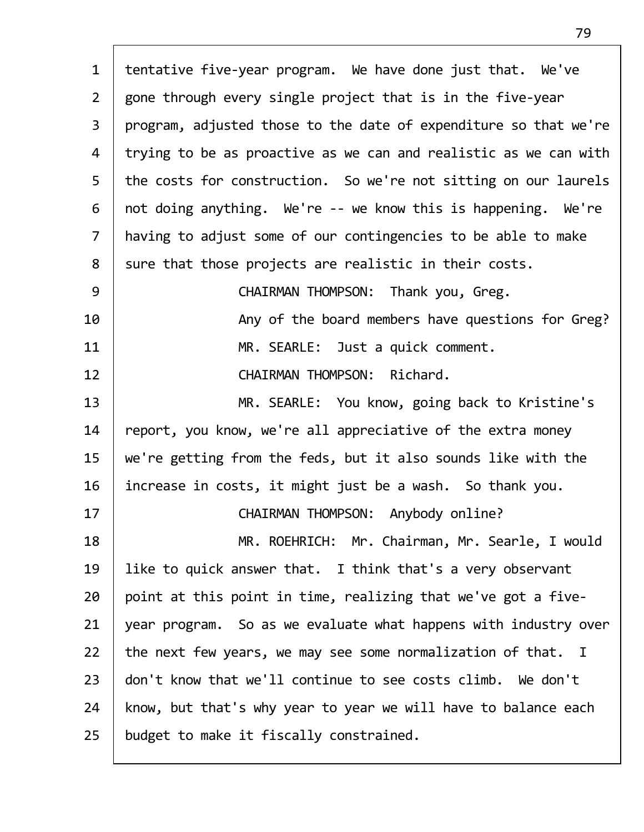| $\mathbf{1}$   | tentative five-year program. We have done just that. We've       |
|----------------|------------------------------------------------------------------|
| $2^{\circ}$    | gone through every single project that is in the five-year       |
| $\overline{3}$ | program, adjusted those to the date of expenditure so that we're |
| 4              | trying to be as proactive as we can and realistic as we can with |
| 5              | the costs for construction. So we're not sitting on our laurels  |
| 6              | not doing anything. We're -- we know this is happening. We're    |
| $\overline{7}$ | having to adjust some of our contingencies to be able to make    |
| 8              | sure that those projects are realistic in their costs.           |
| 9              | CHAIRMAN THOMPSON: Thank you, Greg.                              |
| 10             | Any of the board members have questions for Greg?                |
| 11             | MR. SEARLE: Just a quick comment.                                |
| 12             | CHAIRMAN THOMPSON: Richard.                                      |
| 13             | MR. SEARLE: You know, going back to Kristine's                   |
| 14             | report, you know, we're all appreciative of the extra money      |
| 15             | we're getting from the feds, but it also sounds like with the    |
| 16             | increase in costs, it might just be a wash. So thank you.        |
| 17             | CHAIRMAN THOMPSON: Anybody online?                               |
| 18             | MR. ROEHRICH: Mr. Chairman, Mr. Searle, I would                  |
| 19             | like to quick answer that. I think that's a very observant       |
| 20             | point at this point in time, realizing that we've got a five-    |
| 21             | year program. So as we evaluate what happens with industry over  |
| 22             | the next few years, we may see some normalization of that. I     |
| 23             | don't know that we'll continue to see costs climb. We don't      |
| 24             | know, but that's why year to year we will have to balance each   |
| 25             | budget to make it fiscally constrained.                          |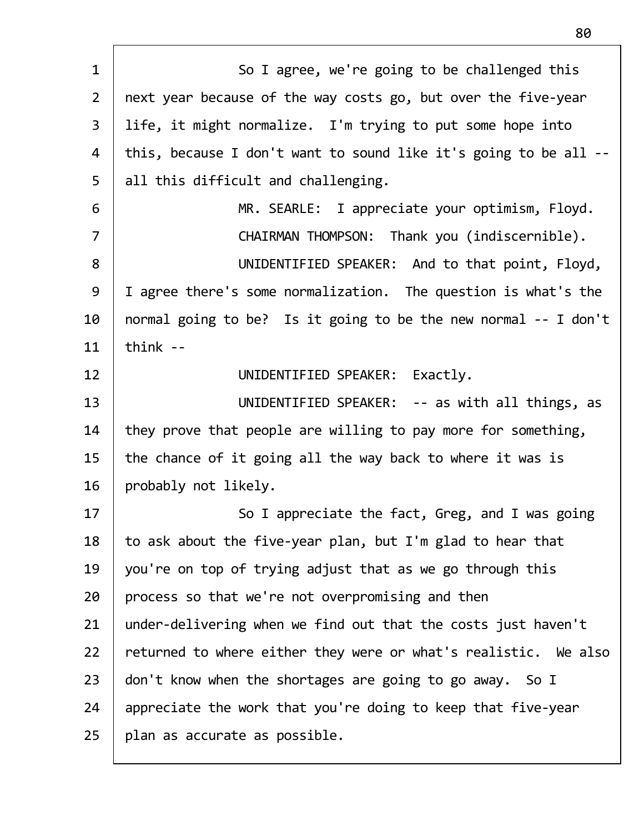| $\mathbf{1}$   | So I agree, we're going to be challenged this                    |
|----------------|------------------------------------------------------------------|
| $\overline{2}$ | next year because of the way costs go, but over the five-year    |
| $\overline{3}$ | life, it might normalize. I'm trying to put some hope into       |
| 4              | this, because I don't want to sound like it's going to be all -- |
| 5              | all this difficult and challenging.                              |
| 6              | MR. SEARLE: I appreciate your optimism, Floyd.                   |
| $\overline{7}$ | CHAIRMAN THOMPSON: Thank you (indiscernible).                    |
| 8              | UNIDENTIFIED SPEAKER: And to that point, Floyd,                  |
| 9              | I agree there's some normalization. The question is what's the   |
| 10             | normal going to be? Is it going to be the new normal -- I don't  |
| 11             | think $-$                                                        |
| 12             | UNIDENTIFIED SPEAKER: Exactly.                                   |
| 13             | UNIDENTIFIED SPEAKER: -- as with all things, as                  |
| 14             | they prove that people are willing to pay more for something,    |
| 15             | the chance of it going all the way back to where it was is       |
| 16             | probably not likely.                                             |
| 17             | So I appreciate the fact, Greg, and I was going                  |
| 18             | to ask about the five-year plan, but I'm glad to hear that       |
| 19             | you're on top of trying adjust that as we go through this        |
| 20             | process so that we're not overpromising and then                 |
| 21             | under-delivering when we find out that the costs just haven't    |
| 22             | returned to where either they were or what's realistic. We also  |
| 23             | don't know when the shortages are going to go away. So I         |
| 24             | appreciate the work that you're doing to keep that five-year     |
| 25             | plan as accurate as possible.                                    |
|                |                                                                  |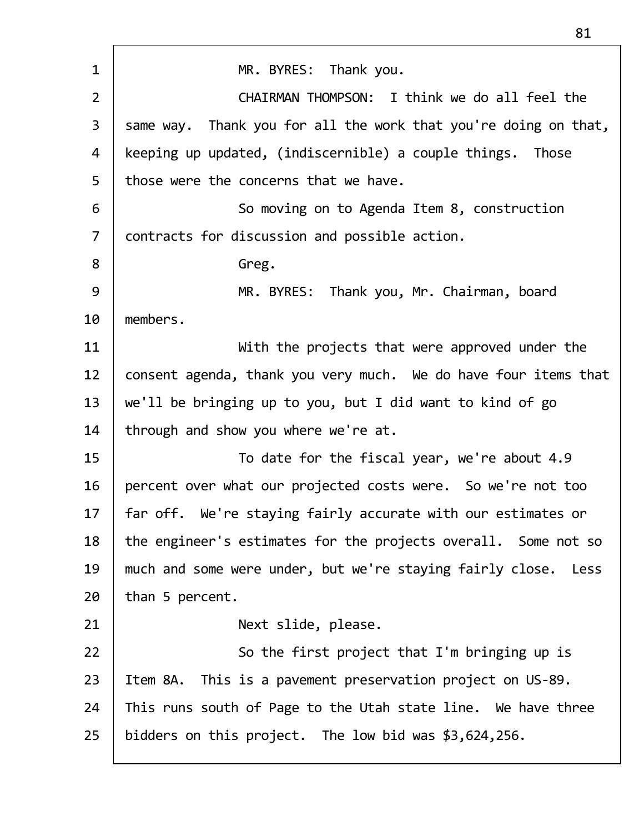| $\mathbf 1$    | MR. BYRES: Thank you.                                           |
|----------------|-----------------------------------------------------------------|
|                |                                                                 |
| $\overline{2}$ | CHAIRMAN THOMPSON: I think we do all feel the                   |
| 3              | same way. Thank you for all the work that you're doing on that, |
| 4              | keeping up updated, (indiscernible) a couple things. Those      |
| 5              | those were the concerns that we have.                           |
| 6              | So moving on to Agenda Item 8, construction                     |
| $\overline{7}$ | contracts for discussion and possible action.                   |
| 8              | Greg.                                                           |
| 9              | MR. BYRES: Thank you, Mr. Chairman, board                       |
| 10             | members.                                                        |
| 11             | With the projects that were approved under the                  |
| 12             | consent agenda, thank you very much. We do have four items that |
| 13             | we'll be bringing up to you, but I did want to kind of go       |
| 14             | through and show you where we're at.                            |
| 15             | To date for the fiscal year, we're about 4.9                    |
| 16             | percent over what our projected costs were. So we're not too    |
| 17             | far off. We're staying fairly accurate with our estimates or    |
| 18             | the engineer's estimates for the projects overall. Some not so  |
| 19             | much and some were under, but we're staying fairly close. Less  |
| 20             | than 5 percent.                                                 |
| 21             | Next slide, please.                                             |
| 22             | So the first project that I'm bringing up is                    |
| 23             | Item 8A. This is a pavement preservation project on US-89.      |
| 24             | This runs south of Page to the Utah state line. We have three   |
| 25             | bidders on this project. The low bid was \$3,624,256.           |
|                |                                                                 |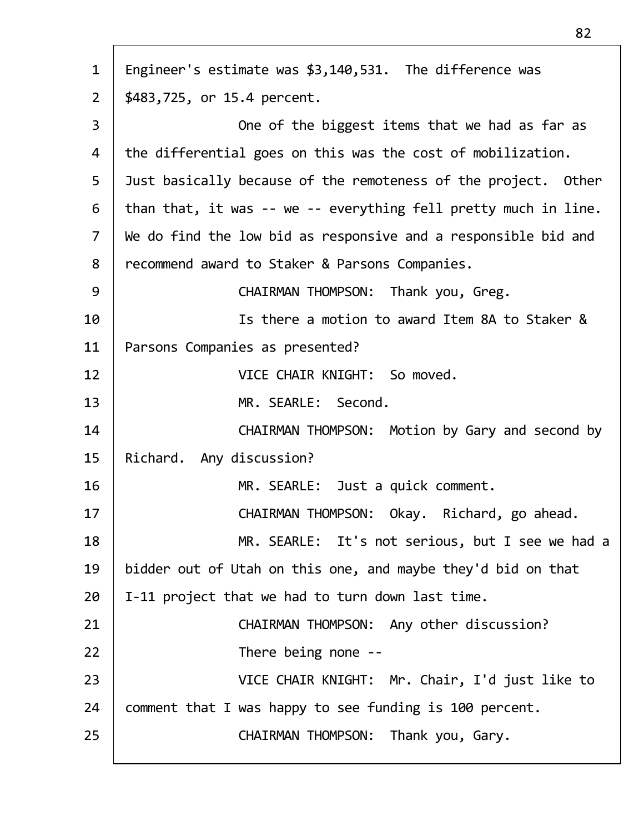| $\mathbf{1}$   | Engineer's estimate was \$3,140,531. The difference was         |
|----------------|-----------------------------------------------------------------|
| $2^{\circ}$    | \$483,725, or 15.4 percent.                                     |
| $\overline{3}$ | One of the biggest items that we had as far as                  |
| 4              | the differential goes on this was the cost of mobilization.     |
| 5              | Just basically because of the remoteness of the project. Other  |
| 6              | than that, it was -- we -- everything fell pretty much in line. |
| $\overline{7}$ | We do find the low bid as responsive and a responsible bid and  |
| 8              | recommend award to Staker & Parsons Companies.                  |
| 9              | CHAIRMAN THOMPSON: Thank you, Greg.                             |
| 10             | Is there a motion to award Item 8A to Staker &                  |
| 11             | Parsons Companies as presented?                                 |
| 12             | VICE CHAIR KNIGHT: So moved.                                    |
| 13             | MR. SEARLE: Second.                                             |
| 14             | CHAIRMAN THOMPSON: Motion by Gary and second by                 |
| 15             | Richard. Any discussion?                                        |
| 16             | MR. SEARLE: Just a quick comment.                               |
| 17             | CHAIRMAN THOMPSON: Okay. Richard, go ahead.                     |
| 18             | MR. SEARLE: It's not serious, but I see we had a                |
| 19             | bidder out of Utah on this one, and maybe they'd bid on that    |
| 20             | I-11 project that we had to turn down last time.                |
| 21             | CHAIRMAN THOMPSON: Any other discussion?                        |
| 22             | There being none --                                             |
| 23             | VICE CHAIR KNIGHT: Mr. Chair, I'd just like to                  |
| 24             | comment that I was happy to see funding is 100 percent.         |
| 25             | CHAIRMAN THOMPSON: Thank you, Gary.                             |
|                |                                                                 |

Г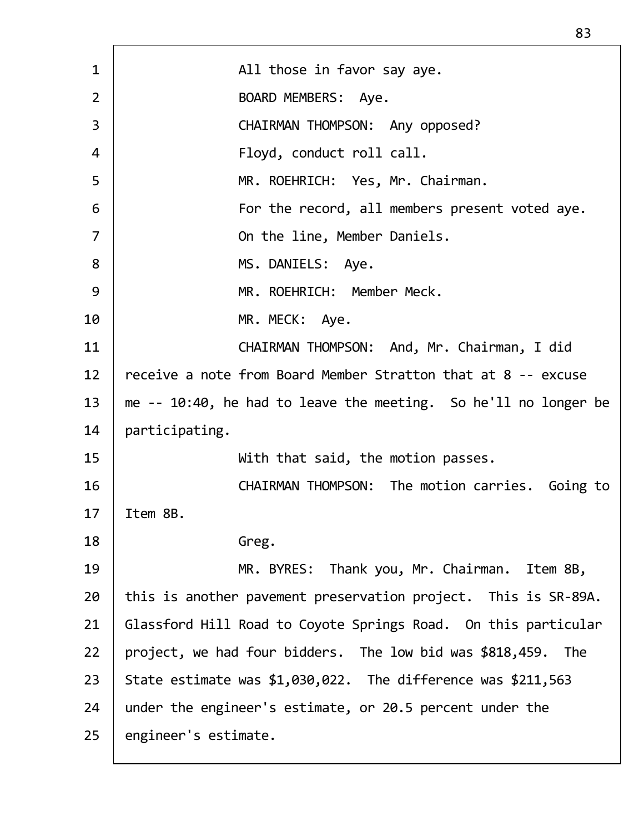| $\mathbf{1}$   | All those in favor say aye.                                     |
|----------------|-----------------------------------------------------------------|
| $\overline{2}$ | BOARD MEMBERS: Aye.                                             |
| $\overline{3}$ | CHAIRMAN THOMPSON: Any opposed?                                 |
| 4              | Floyd, conduct roll call.                                       |
| 5              | MR. ROEHRICH: Yes, Mr. Chairman.                                |
| 6              | For the record, all members present voted aye.                  |
| $\overline{7}$ | On the line, Member Daniels.                                    |
| 8              | MS. DANIELS: Aye.                                               |
| 9              | MR. ROEHRICH: Member Meck.                                      |
| 10             | MR. MECK: Aye.                                                  |
| 11             | CHAIRMAN THOMPSON: And, Mr. Chairman, I did                     |
| 12             | receive a note from Board Member Stratton that at 8 -- excuse   |
| 13             | me -- 10:40, he had to leave the meeting. So he'll no longer be |
| 14             | participating.                                                  |
| 15             | With that said, the motion passes.                              |
| 16             | CHAIRMAN THOMPSON: The motion carries. Going to                 |
| 17             | Item 8B.                                                        |
| 18             | Greg.                                                           |
| 19             | MR. BYRES: Thank you, Mr. Chairman. Item 8B,                    |
| 20             | this is another pavement preservation project. This is SR-89A.  |
| 21             | Glassford Hill Road to Coyote Springs Road. On this particular  |
| 22             | project, we had four bidders. The low bid was \$818,459. The    |
| 23             | State estimate was $$1,030,022$ . The difference was $$211,563$ |
| 24             | under the engineer's estimate, or 20.5 percent under the        |
| 25             | engineer's estimate.                                            |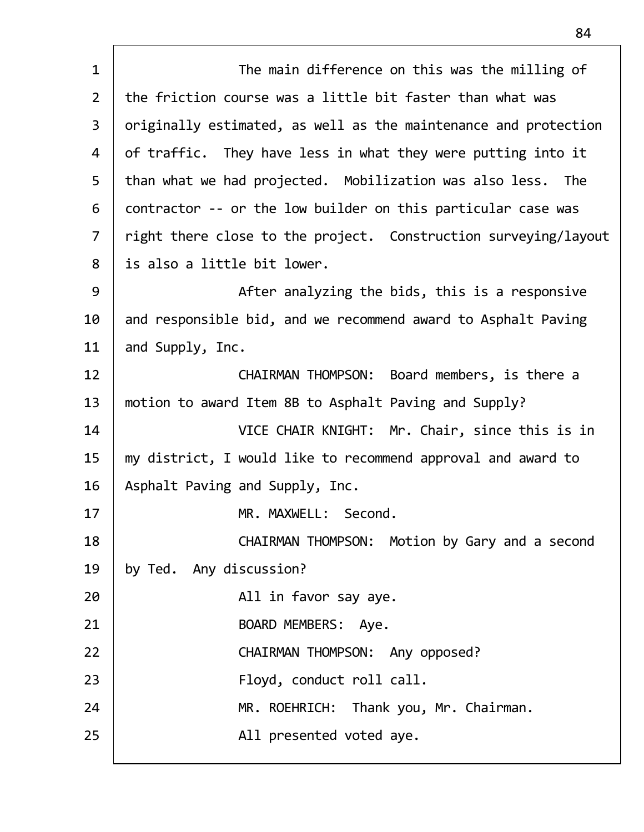| $\mathbf{1}$   | The main difference on this was the milling of                  |
|----------------|-----------------------------------------------------------------|
| $\overline{2}$ | the friction course was a little bit faster than what was       |
| 3              |                                                                 |
|                | originally estimated, as well as the maintenance and protection |
| 4              | of traffic. They have less in what they were putting into it    |
| 5              | than what we had projected. Mobilization was also less. The     |
| 6              | contractor -- or the low builder on this particular case was    |
| $\overline{7}$ | right there close to the project. Construction surveying/layout |
| 8              | is also a little bit lower.                                     |
| 9              | After analyzing the bids, this is a responsive                  |
| 10             | and responsible bid, and we recommend award to Asphalt Paving   |
| 11             | and Supply, Inc.                                                |
| 12             | CHAIRMAN THOMPSON: Board members, is there a                    |
| 13             | motion to award Item 8B to Asphalt Paving and Supply?           |
| 14             | VICE CHAIR KNIGHT: Mr. Chair, since this is in                  |
| 15             | my district, I would like to recommend approval and award to    |
| 16             | Asphalt Paving and Supply, Inc.                                 |
| 17             | MR. MAXWELL: Second.                                            |
| 18             | CHAIRMAN THOMPSON: Motion by Gary and a second                  |
| 19             | by Ted. Any discussion?                                         |
| 20             | All in favor say aye.                                           |
| 21             | BOARD MEMBERS: Aye.                                             |
| 22             | CHAIRMAN THOMPSON: Any opposed?                                 |
| 23             | Floyd, conduct roll call.                                       |
| 24             | MR. ROEHRICH: Thank you, Mr. Chairman.                          |
| 25             | All presented voted aye.                                        |
|                |                                                                 |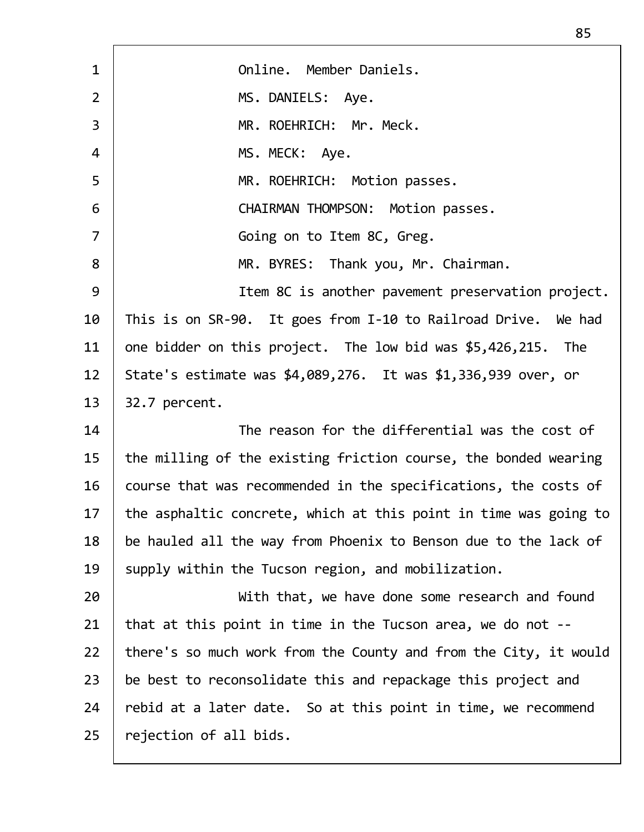1 Online. Member Daniels. 2 | MS.DANIELS: Aye. 3 MR. ROEHRICH: Mr. Meck. 4 | MS. MECK: Aye. 5 MR. ROEHRICH: Motion passes. 6 CHAIRMAN THOMPSON: Motion passes. 7 | Going on to Item 8C, Greg. 8 | MR. BYRES: Thank you, Mr. Chairman. 9 | Item 8C is another pavement preservation project. 10 | This is on SR-90. It goes from I-10 to Railroad Drive. We had 11  $\vert$  one bidder on this project. The low bid was \$5,426,215. The 12 State's estimate was \$4,089,276. It was \$1,336,939 over, or 13 | 32.7 percent. 14 The reason for the differential was the cost of  $15$  the milling of the existing friction course, the bonded wearing 16 course that was recommended in the specifications, the costs of  $17$  | the asphaltic concrete, which at this point in time was going to 18 be hauled all the way from Phoenix to Benson due to the lack of 19 Supply within the Tucson region, and mobilization. 20 | With that, we have done some research and found 21 | that at this point in time in the Tucson area, we do not  $-$ 22 | there's so much work from the County and from the City, it would  $23$  be best to reconsolidate this and repackage this project and 24 rebid at a later date. So at this point in time, we recommend  $25$  | rejection of all bids.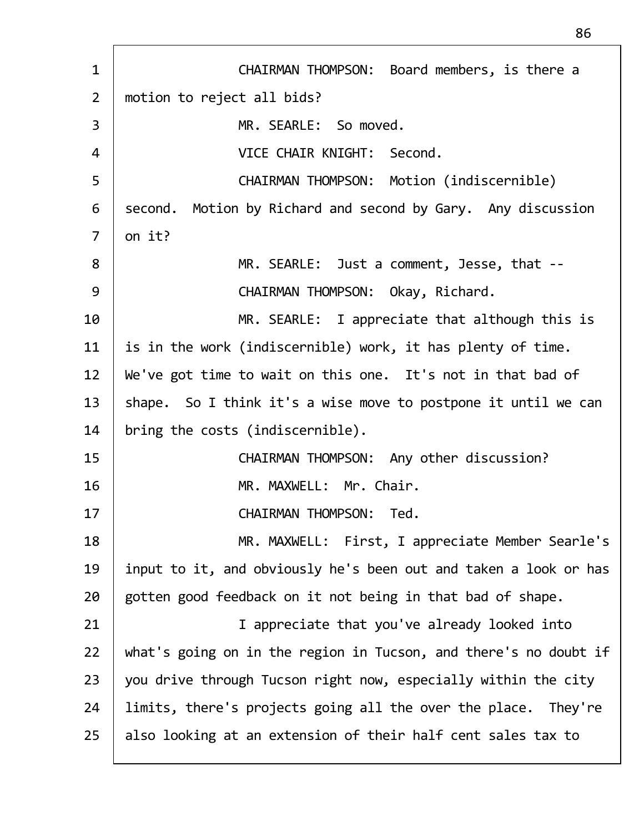| CHAIRMAN THOMPSON: Board members, is there a                     |
|------------------------------------------------------------------|
| motion to reject all bids?                                       |
| MR. SEARLE: So moved.                                            |
| VICE CHAIR KNIGHT: Second.                                       |
| CHAIRMAN THOMPSON: Motion (indiscernible)                        |
| second. Motion by Richard and second by Gary. Any discussion     |
| on it?                                                           |
| MR. SEARLE: Just a comment, Jesse, that --                       |
| CHAIRMAN THOMPSON: Okay, Richard.                                |
| MR. SEARLE: I appreciate that although this is                   |
| is in the work (indiscernible) work, it has plenty of time.      |
| We've got time to wait on this one. It's not in that bad of      |
| shape. So I think it's a wise move to postpone it until we can   |
| bring the costs (indiscernible).                                 |
| CHAIRMAN THOMPSON: Any other discussion?                         |
| MR. MAXWELL: Mr. Chair.                                          |
| <b>CHAIRMAN THOMPSON:</b><br>Ted.                                |
| MR. MAXWELL: First, I appreciate Member Searle's                 |
| input to it, and obviously he's been out and taken a look or has |
| gotten good feedback on it not being in that bad of shape.       |
| I appreciate that you've already looked into                     |
| what's going on in the region in Tucson, and there's no doubt if |
| you drive through Tucson right now, especially within the city   |
| limits, there's projects going all the over the place. They're   |
| also looking at an extension of their half cent sales tax to     |
|                                                                  |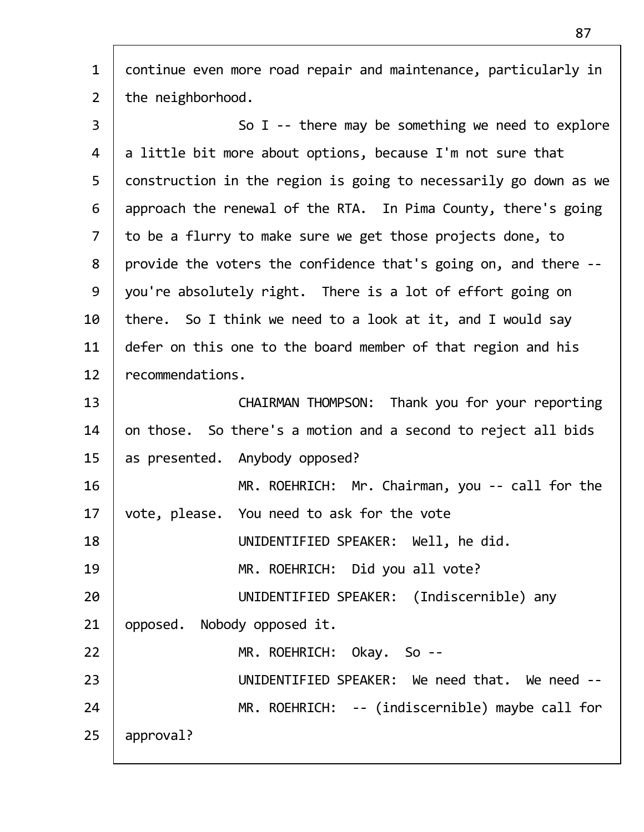| $\mathbf{1}$   | continue even more road repair and maintenance, particularly in  |
|----------------|------------------------------------------------------------------|
| $\overline{2}$ | the neighborhood.                                                |
| 3              | So I -- there may be something we need to explore                |
| 4              | a little bit more about options, because I'm not sure that       |
| 5              | construction in the region is going to necessarily go down as we |
| 6              | approach the renewal of the RTA. In Pima County, there's going   |
| $\overline{7}$ | to be a flurry to make sure we get those projects done, to       |
| 8              | provide the voters the confidence that's going on, and there --  |
| 9              | you're absolutely right. There is a lot of effort going on       |
| 10             | there. So I think we need to a look at it, and I would say       |
| 11             | defer on this one to the board member of that region and his     |
| 12             | recommendations.                                                 |
| 13             | CHAIRMAN THOMPSON: Thank you for your reporting                  |
| 14             | on those. So there's a motion and a second to reject all bids    |
| 15             | as presented. Anybody opposed?                                   |
| 16             | MR. ROEHRICH: Mr. Chairman, you -- call for the                  |
| 17             | vote, please. You need to ask for the vote                       |
| 18             | UNIDENTIFIED SPEAKER: Well, he did.                              |
| 19             | MR. ROEHRICH: Did you all vote?                                  |
| 20             | UNIDENTIFIED SPEAKER: (Indiscernible) any                        |
| 21             | opposed. Nobody opposed it.                                      |
| 22             | MR. ROEHRICH: Okay. So --                                        |
| 23             | UNIDENTIFIED SPEAKER: We need that. We need --                   |
| 24             | MR. ROEHRICH: -- (indiscernible) maybe call for                  |
| 25             | approval?                                                        |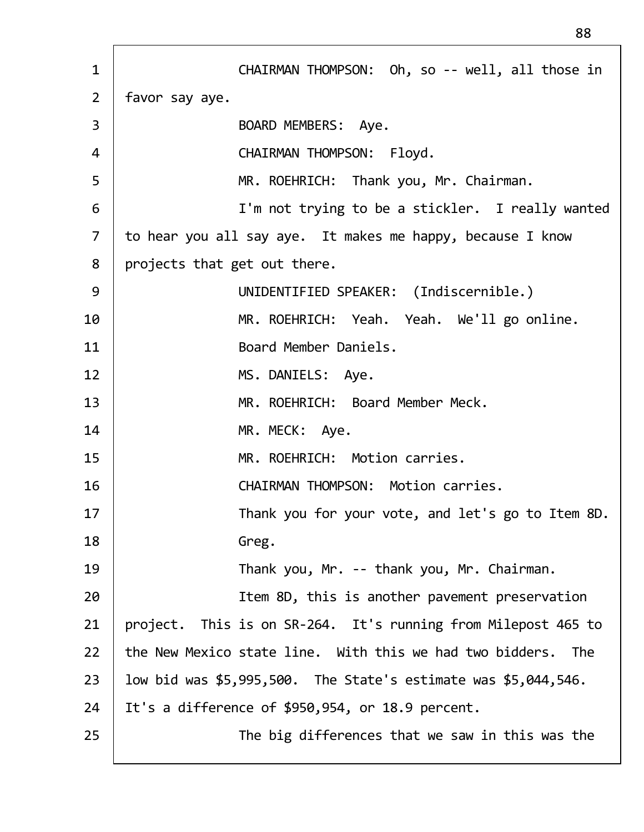| $\mathbf{1}$   | CHAIRMAN THOMPSON: Oh, so -- well, all those in                    |
|----------------|--------------------------------------------------------------------|
| $\overline{2}$ | favor say aye.                                                     |
| $\overline{3}$ | BOARD MEMBERS: Aye.                                                |
| $\overline{4}$ | CHAIRMAN THOMPSON: Floyd.                                          |
| 5              | MR. ROEHRICH: Thank you, Mr. Chairman.                             |
| 6              | I'm not trying to be a stickler. I really wanted                   |
| $\overline{7}$ | to hear you all say aye. It makes me happy, because I know         |
| 8              | projects that get out there.                                       |
| 9              | UNIDENTIFIED SPEAKER: (Indiscernible.)                             |
| 10             | MR. ROEHRICH: Yeah. Yeah. We'll go online.                         |
| 11             | Board Member Daniels.                                              |
| 12             | MS. DANIELS: Aye.                                                  |
| 13             | MR. ROEHRICH: Board Member Meck.                                   |
| 14             | MR. MECK: Aye.                                                     |
| 15             | MR. ROEHRICH: Motion carries.                                      |
| 16             | CHAIRMAN THOMPSON: Motion carries.                                 |
| 17             | Thank you for your vote, and let's go to Item 8D.                  |
| 18             | Greg.                                                              |
| 19             | Thank you, Mr. -- thank you, Mr. Chairman.                         |
| 20             | Item 8D, this is another pavement preservation                     |
| 21             | project. This is on SR-264. It's running from Milepost 465 to      |
| 22             | the New Mexico state line. With this we had two bidders. The       |
| 23             | low bid was $$5,995,500$ . The State's estimate was $$5,044,546$ . |
| 24             | It's a difference of \$950,954, or 18.9 percent.                   |
| 25             | The big differences that we saw in this was the                    |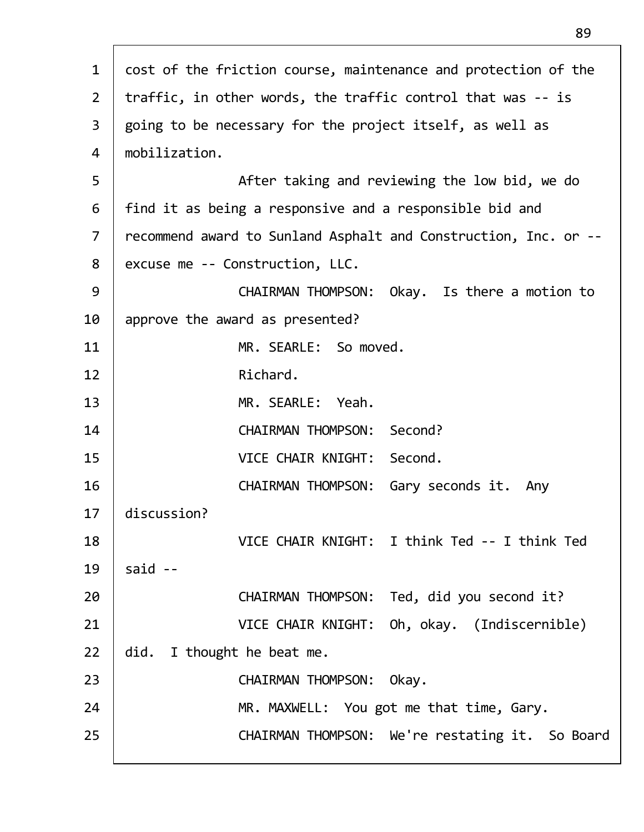| $\mathbf{1}$   | cost of the friction course, maintenance and protection of the  |
|----------------|-----------------------------------------------------------------|
| $2^{\circ}$    | traffic, in other words, the traffic control that was -- is     |
| 3              | going to be necessary for the project itself, as well as        |
| 4              | mobilization.                                                   |
| 5              | After taking and reviewing the low bid, we do                   |
| 6              | find it as being a responsive and a responsible bid and         |
| $\overline{7}$ | recommend award to Sunland Asphalt and Construction, Inc. or -- |
| 8              | excuse me -- Construction, LLC.                                 |
| 9              | CHAIRMAN THOMPSON: Okay. Is there a motion to                   |
| 10             | approve the award as presented?                                 |
| 11             | MR. SEARLE: So moved.                                           |
| 12             | Richard.                                                        |
| 13             | MR. SEARLE: Yeah.                                               |
| 14             | CHAIRMAN THOMPSON: Second?                                      |
| 15             | VICE CHAIR KNIGHT: Second.                                      |
| 16             | CHAIRMAN THOMPSON: Gary seconds it. Any                         |
| 17             | discussion?                                                     |
| 18             | VICE CHAIR KNIGHT: I think Ted -- I think Ted                   |
| 19             | said $-$                                                        |
| 20             | CHAIRMAN THOMPSON: Ted, did you second it?                      |
| 21             | VICE CHAIR KNIGHT: Oh, okay. (Indiscernible)                    |
| 22             | did. I thought he beat me.                                      |
| 23             | <b>CHAIRMAN THOMPSON:</b><br>Okay.                              |
| 24             | MR. MAXWELL: You got me that time, Gary.                        |
| 25             | CHAIRMAN THOMPSON: We're restating it. So Board                 |
|                |                                                                 |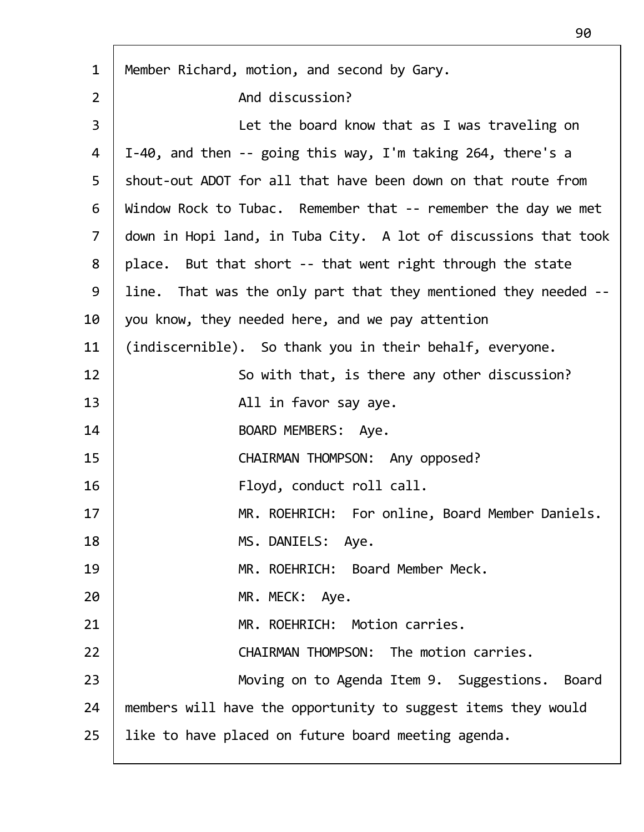| $\mathbf{1}$   | Member Richard, motion, and second by Gary.                     |
|----------------|-----------------------------------------------------------------|
| $\overline{2}$ | And discussion?                                                 |
| 3              | Let the board know that as I was traveling on                   |
| 4              | I-40, and then $-$ - going this way, I'm taking 264, there's a  |
| 5              | shout-out ADOT for all that have been down on that route from   |
| 6              | Window Rock to Tubac. Remember that -- remember the day we met  |
| $\overline{7}$ | down in Hopi land, in Tuba City. A lot of discussions that took |
| 8              | place. But that short -- that went right through the state      |
| 9              | line. That was the only part that they mentioned they needed -- |
| 10             | you know, they needed here, and we pay attention                |
| 11             | (indiscernible). So thank you in their behalf, everyone.        |
| 12             | So with that, is there any other discussion?                    |
| 13             | All in favor say aye.                                           |
| 14             | BOARD MEMBERS: Aye.                                             |
| 15             | CHAIRMAN THOMPSON: Any opposed?                                 |
| 16             | Floyd, conduct roll call.                                       |
| 17             | MR. ROEHRICH: For online, Board Member Daniels.                 |
| 18             | MS. DANIELS: Aye.                                               |
| 19             | MR. ROEHRICH: Board Member Meck.                                |
| 20             | MR. MECK: Aye.                                                  |
| 21             | MR. ROEHRICH: Motion carries.                                   |
| 22             | CHAIRMAN THOMPSON: The motion carries.                          |
| 23             | Moving on to Agenda Item 9. Suggestions. Board                  |
| 24             | members will have the opportunity to suggest items they would   |
| 25             | like to have placed on future board meeting agenda.             |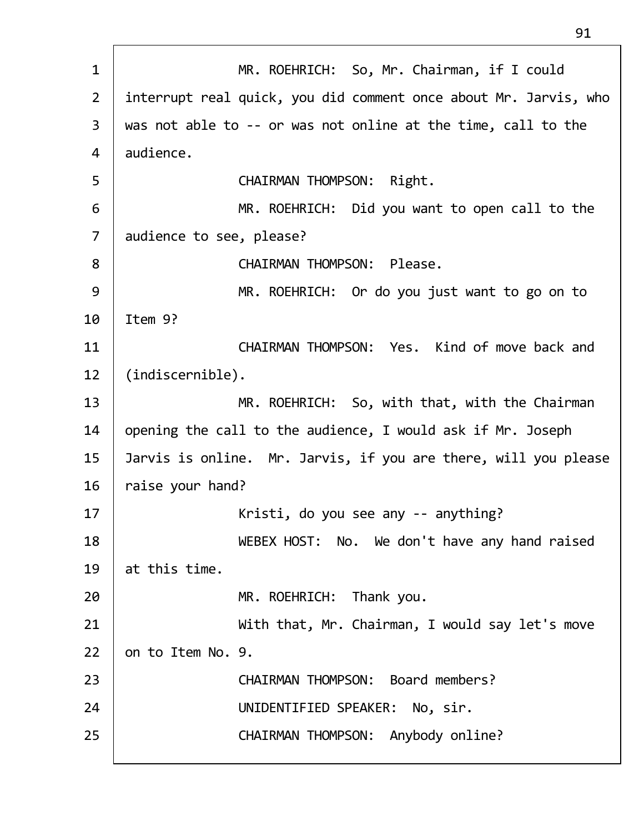1 MR. ROEHRICH: So, Mr. Chairman, if I could 2 interrupt real quick, you did comment once about Mr. Jarvis, who 3 was not able to ‐‐ or was not online at the time, call to the 4 audience. 5 CHAIRMAN THOMPSON: Right. 6 MR. ROEHRICH: Did you want to open call to the 7 audience to see, please? 8 | CHAIRMAN THOMPSON: Please. 9 | MR. ROEHRICH: Or do you just want to go on to 10 Item 9? 11 CHAIRMAN THOMPSON: Yes. Kind of move back and 12 (indiscernible). 13 | MR. ROEHRICH: So, with that, with the Chairman 14 | opening the call to the audience, I would ask if Mr. Joseph 15  $\vert$  Jarvis is online. Mr. Jarvis, if you are there, will you please  $16$  raise your hand? 17 | Kristi, do you see any -- anything? 18 | WEBEX HOST: No. We don't have any hand raised 19  $\vert$  at this time. 20 | MR. ROEHRICH: Thank you. 21 | With that, Mr. Chairman, I would say let's move  $22$  on to Item No. 9. 23 CHAIRMAN THOMPSON: Board members? 24 UNIDENTIFIED SPEAKER: No, sir. 25 CHAIRMAN THOMPSON: Anybody online?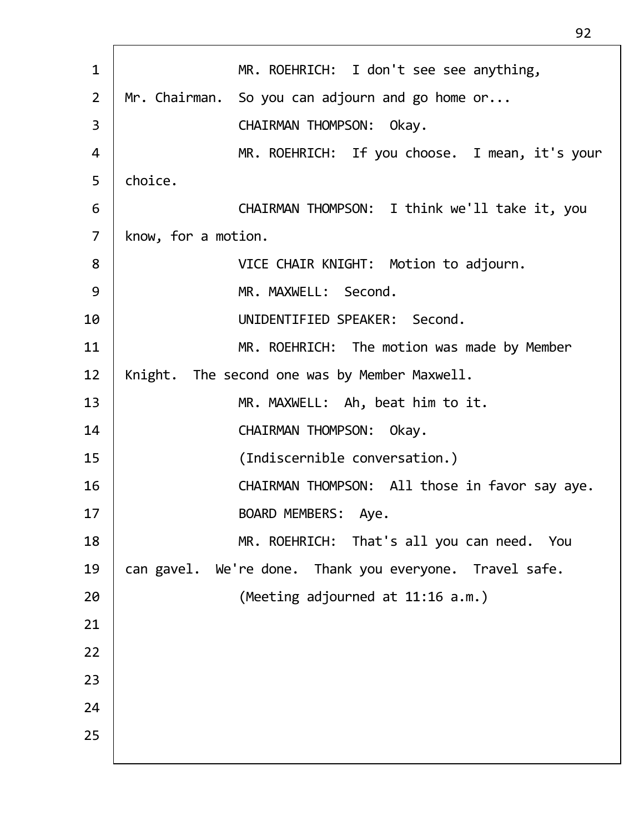| $\mathbf{1}$   | MR. ROEHRICH: I don't see see anything,                 |
|----------------|---------------------------------------------------------|
| $\overline{2}$ | Mr. Chairman. So you can adjourn and go home or         |
| 3              | <b>CHAIRMAN THOMPSON:</b><br>Okay.                      |
| 4              | MR. ROEHRICH: If you choose. I mean, it's your          |
| 5              | choice.                                                 |
| 6              | CHAIRMAN THOMPSON: I think we'll take it, you           |
| $\overline{7}$ | know, for a motion.                                     |
| 8              | VICE CHAIR KNIGHT: Motion to adjourn.                   |
| 9              | MR. MAXWELL: Second.                                    |
| 10             | UNIDENTIFIED SPEAKER: Second.                           |
| 11             | MR. ROEHRICH: The motion was made by Member             |
| 12             | Knight. The second one was by Member Maxwell.           |
| 13             | MR. MAXWELL: Ah, beat him to it.                        |
| 14             | CHAIRMAN THOMPSON: Okay.                                |
| 15             | (Indiscernible conversation.)                           |
| 16             | CHAIRMAN THOMPSON: All those in favor say aye.          |
| 17             | BOARD MEMBERS: Aye.                                     |
| 18             | MR. ROEHRICH: That's all you can need. You              |
| 19             | can gavel. We're done. Thank you everyone. Travel safe. |
| 20             | (Meeting adjourned at 11:16 a.m.)                       |
| 21             |                                                         |
| 22             |                                                         |
| 23             |                                                         |
| 24             |                                                         |
| 25             |                                                         |
|                |                                                         |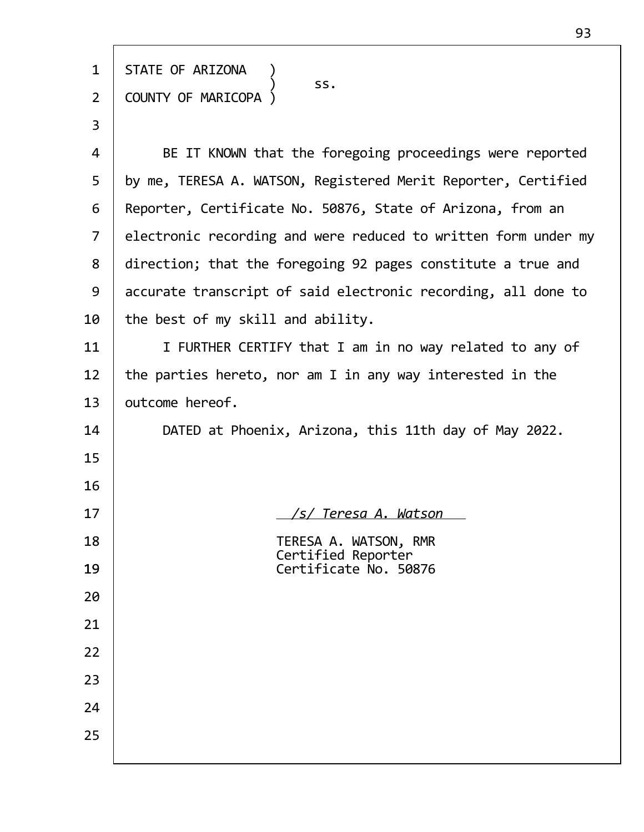| $\mathbf{1}$   | STATE OF ARIZONA                                               |
|----------------|----------------------------------------------------------------|
| $\overline{2}$ | SS.<br>COUNTY OF MARICOPA                                      |
|                |                                                                |
| 3              |                                                                |
| 4              | BE IT KNOWN that the foregoing proceedings were reported       |
| 5              | by me, TERESA A. WATSON, Registered Merit Reporter, Certified  |
| 6              | Reporter, Certificate No. 50876, State of Arizona, from an     |
| $\overline{7}$ | electronic recording and were reduced to written form under my |
| 8              | direction; that the foregoing 92 pages constitute a true and   |
| 9              | accurate transcript of said electronic recording, all done to  |
| 10             | the best of my skill and ability.                              |
| 11             | I FURTHER CERTIFY that I am in no way related to any of        |
| 12             | the parties hereto, nor am I in any way interested in the      |
| 13             | outcome hereof.                                                |
| 14             | DATED at Phoenix, Arizona, this 11th day of May 2022.          |
| 15             |                                                                |
| 16             |                                                                |
| 17             | <u>/s/ Teresa A. Watson</u>                                    |
| 18             | TERESA A. WATSON, RMR<br>Certified Reporter                    |
| 19             | Certificate No. 50876                                          |
| 20             |                                                                |
| 21             |                                                                |
| 22             |                                                                |
| 23             |                                                                |
| 24             |                                                                |
| 25             |                                                                |
|                |                                                                |